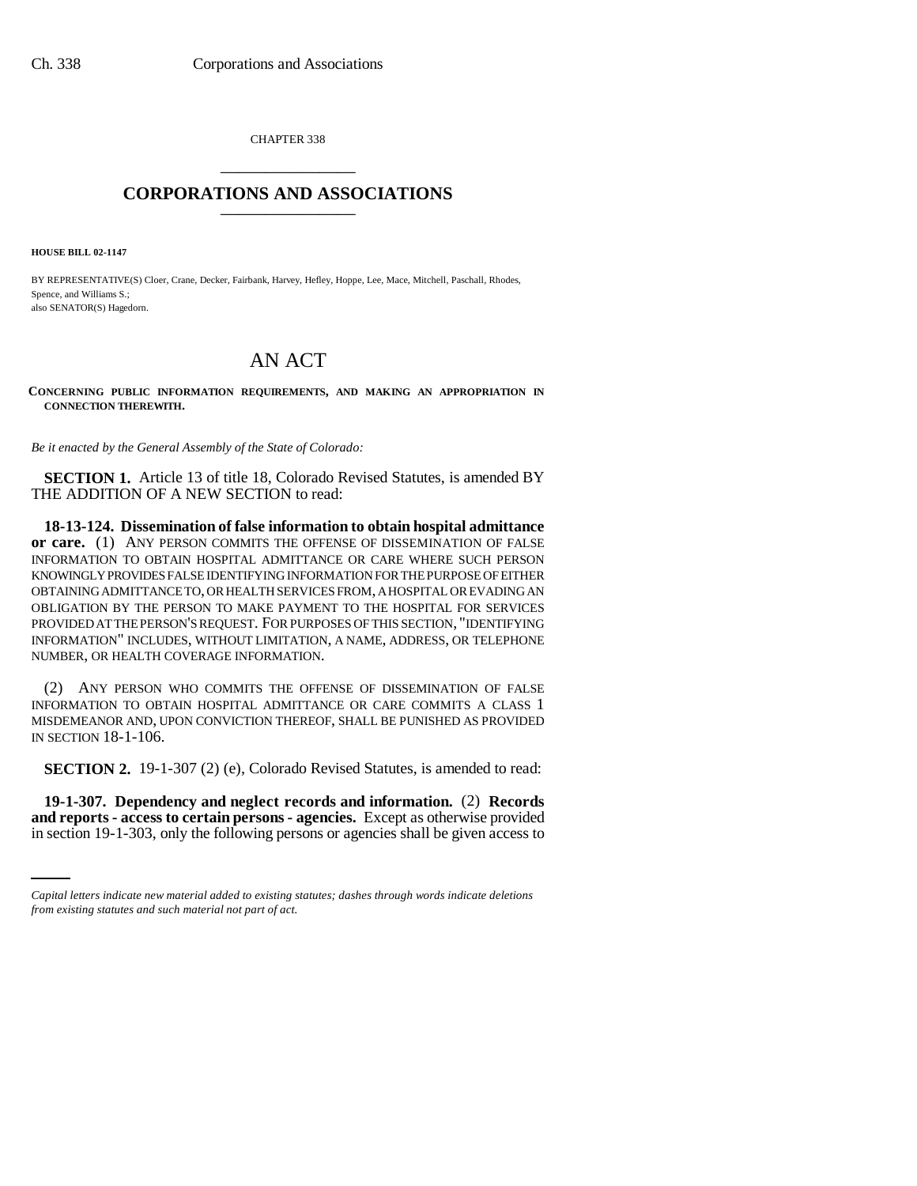CHAPTER 338 \_\_\_\_\_\_\_\_\_\_\_\_\_\_\_

# **CORPORATIONS AND ASSOCIATIONS** \_\_\_\_\_\_\_\_\_\_\_\_\_\_\_

**HOUSE BILL 02-1147**

BY REPRESENTATIVE(S) Cloer, Crane, Decker, Fairbank, Harvey, Hefley, Hoppe, Lee, Mace, Mitchell, Paschall, Rhodes, Spence, and Williams S.; also SENATOR(S) Hagedorn.

# AN ACT

**CONCERNING PUBLIC INFORMATION REQUIREMENTS, AND MAKING AN APPROPRIATION IN CONNECTION THEREWITH.**

*Be it enacted by the General Assembly of the State of Colorado:*

**SECTION 1.** Article 13 of title 18, Colorado Revised Statutes, is amended BY THE ADDITION OF A NEW SECTION to read:

**18-13-124. Dissemination of false information to obtain hospital admittance or care.** (1) ANY PERSON COMMITS THE OFFENSE OF DISSEMINATION OF FALSE INFORMATION TO OBTAIN HOSPITAL ADMITTANCE OR CARE WHERE SUCH PERSON KNOWINGLY PROVIDES FALSE IDENTIFYING INFORMATION FOR THE PURPOSE OF EITHER OBTAINING ADMITTANCE TO, OR HEALTH SERVICES FROM, A HOSPITAL OR EVADING AN OBLIGATION BY THE PERSON TO MAKE PAYMENT TO THE HOSPITAL FOR SERVICES PROVIDED AT THE PERSON'S REQUEST. FOR PURPOSES OF THIS SECTION, "IDENTIFYING INFORMATION" INCLUDES, WITHOUT LIMITATION, A NAME, ADDRESS, OR TELEPHONE NUMBER, OR HEALTH COVERAGE INFORMATION.

(2) ANY PERSON WHO COMMITS THE OFFENSE OF DISSEMINATION OF FALSE INFORMATION TO OBTAIN HOSPITAL ADMITTANCE OR CARE COMMITS A CLASS 1 MISDEMEANOR AND, UPON CONVICTION THEREOF, SHALL BE PUNISHED AS PROVIDED IN SECTION 18-1-106.

**SECTION 2.** 19-1-307 (2) (e), Colorado Revised Statutes, is amended to read:

 **19-1-307. Dependency and neglect records and information.** (2) **Records and reports - access to certain persons - agencies.** Except as otherwise provided in section 19-1-303, only the following persons or agencies shall be given access to

*Capital letters indicate new material added to existing statutes; dashes through words indicate deletions from existing statutes and such material not part of act.*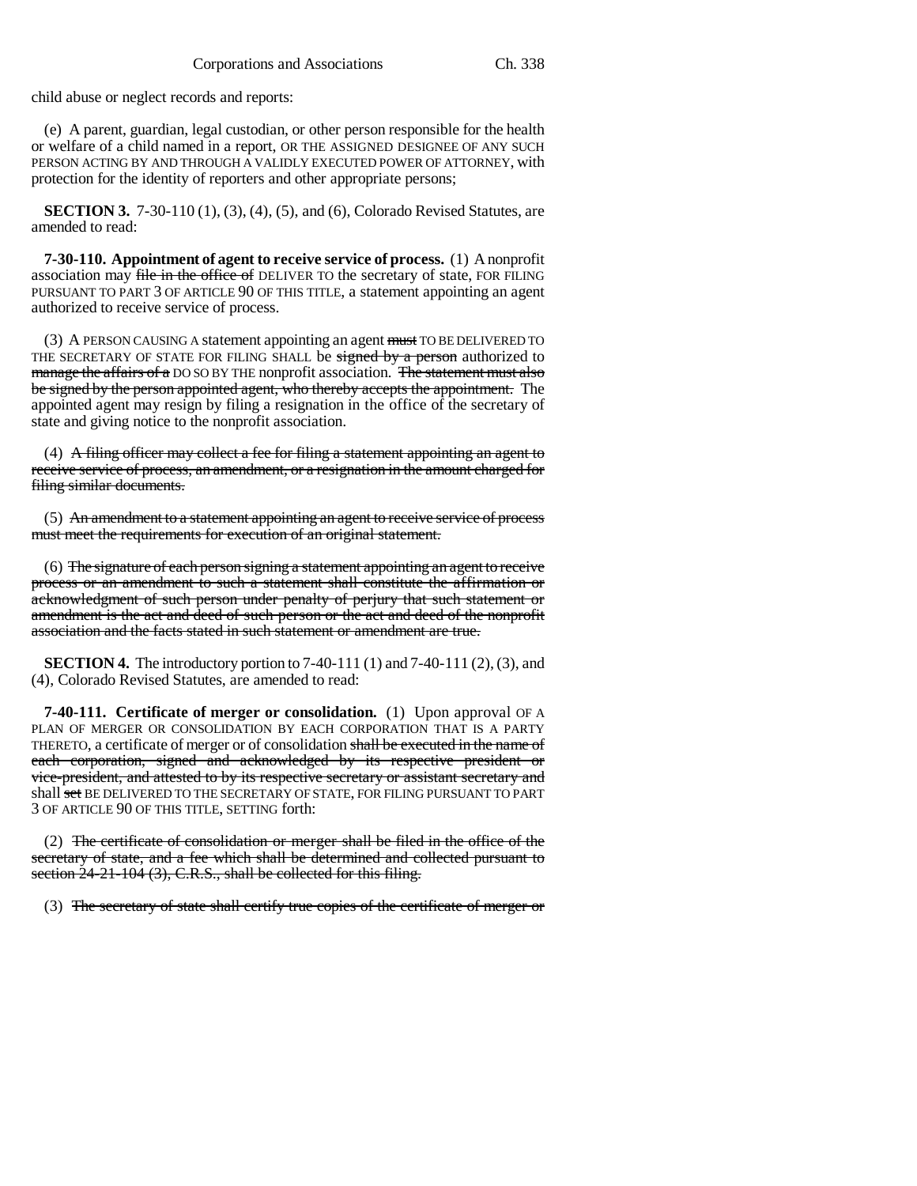child abuse or neglect records and reports:

(e) A parent, guardian, legal custodian, or other person responsible for the health or welfare of a child named in a report, OR THE ASSIGNED DESIGNEE OF ANY SUCH PERSON ACTING BY AND THROUGH A VALIDLY EXECUTED POWER OF ATTORNEY, with protection for the identity of reporters and other appropriate persons;

**SECTION 3.** 7-30-110 (1), (3), (4), (5), and (6), Colorado Revised Statutes, are amended to read:

**7-30-110. Appointment of agent to receive service of process.** (1) A nonprofit association may file in the office of DELIVER TO the secretary of state, FOR FILING PURSUANT TO PART 3 OF ARTICLE 90 OF THIS TITLE, a statement appointing an agent authorized to receive service of process.

(3) A PERSON CAUSING A statement appointing an agent must TO BE DELIVERED TO THE SECRETARY OF STATE FOR FILING SHALL be signed by a person authorized to manage the affairs of a DO SO BY THE nonprofit association. The statement must also be signed by the person appointed agent, who thereby accepts the appointment. The appointed agent may resign by filing a resignation in the office of the secretary of state and giving notice to the nonprofit association.

(4) A filing officer may collect a fee for filing a statement appointing an agent to receive service of process, an amendment, or a resignation in the amount charged for filing similar documents.

(5) An amendment to a statement appointing an agent to receive service of process must meet the requirements for execution of an original statement.

(6) The signature of each person signing a statement appointing an agent to receive process or an amendment to such a statement shall constitute the affirmation or acknowledgment of such person under penalty of perjury that such statement or amendment is the act and deed of such person or the act and deed of the nonprofit association and the facts stated in such statement or amendment are true.

**SECTION 4.** The introductory portion to 7-40-111 (1) and 7-40-111 (2), (3), and (4), Colorado Revised Statutes, are amended to read:

**7-40-111. Certificate of merger or consolidation.** (1) Upon approval OF A PLAN OF MERGER OR CONSOLIDATION BY EACH CORPORATION THAT IS A PARTY THERETO, a certificate of merger or of consolidation shall be executed in the name of each corporation, signed and acknowledged by its respective president or vice-president, and attested to by its respective secretary or assistant secretary and shall set BE DELIVERED TO THE SECRETARY OF STATE, FOR FILING PURSUANT TO PART 3 OF ARTICLE 90 OF THIS TITLE, SETTING forth:

(2) The certificate of consolidation or merger shall be filed in the office of the secretary of state, and a fee which shall be determined and collected pursuant to section 24-21-104 (3), C.R.S., shall be collected for this filing.

(3) The secretary of state shall certify true copies of the certificate of merger or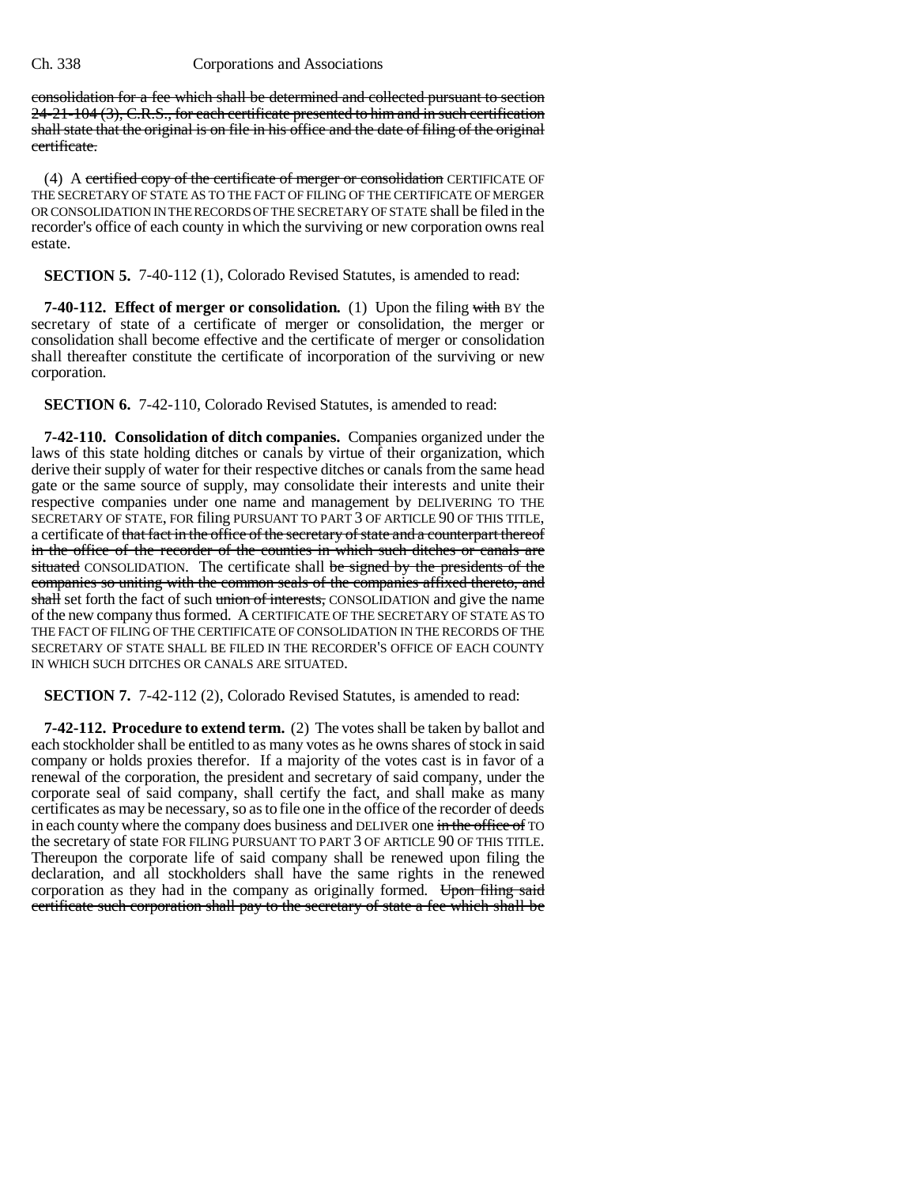consolidation for a fee which shall be determined and collected pursuant to section 24-21-104 (3), C.R.S., for each certificate presented to him and in such certification shall state that the original is on file in his office and the date of filing of the original certificate.

(4) A certified copy of the certificate of merger or consolidation CERTIFICATE OF THE SECRETARY OF STATE AS TO THE FACT OF FILING OF THE CERTIFICATE OF MERGER OR CONSOLIDATION IN THE RECORDS OF THE SECRETARY OF STATE shall be filed in the recorder's office of each county in which the surviving or new corporation owns real estate.

**SECTION 5.** 7-40-112 (1), Colorado Revised Statutes, is amended to read:

**7-40-112. Effect of merger or consolidation.** (1) Upon the filing with BY the secretary of state of a certificate of merger or consolidation, the merger or consolidation shall become effective and the certificate of merger or consolidation shall thereafter constitute the certificate of incorporation of the surviving or new corporation.

**SECTION 6.** 7-42-110, Colorado Revised Statutes, is amended to read:

**7-42-110. Consolidation of ditch companies.** Companies organized under the laws of this state holding ditches or canals by virtue of their organization, which derive their supply of water for their respective ditches or canals from the same head gate or the same source of supply, may consolidate their interests and unite their respective companies under one name and management by DELIVERING TO THE SECRETARY OF STATE, FOR filing PURSUANT TO PART 3 OF ARTICLE 90 OF THIS TITLE, a certificate of that fact in the office of the secretary of state and a counterpart thereof in the office of the recorder of the counties in which such ditches or canals are situated CONSOLIDATION. The certificate shall be signed by the presidents of the companies so uniting with the common seals of the companies affixed thereto, and shall set forth the fact of such union of interests, CONSOLIDATION and give the name of the new company thus formed. A CERTIFICATE OF THE SECRETARY OF STATE AS TO THE FACT OF FILING OF THE CERTIFICATE OF CONSOLIDATION IN THE RECORDS OF THE SECRETARY OF STATE SHALL BE FILED IN THE RECORDER'S OFFICE OF EACH COUNTY IN WHICH SUCH DITCHES OR CANALS ARE SITUATED.

**SECTION 7.** 7-42-112 (2), Colorado Revised Statutes, is amended to read:

**7-42-112. Procedure to extend term.** (2) The votes shall be taken by ballot and each stockholder shall be entitled to as many votes as he owns shares of stock in said company or holds proxies therefor. If a majority of the votes cast is in favor of a renewal of the corporation, the president and secretary of said company, under the corporate seal of said company, shall certify the fact, and shall make as many certificates as may be necessary, so as to file one in the office of the recorder of deeds in each county where the company does business and DELIVER one in the office of TO the secretary of state FOR FILING PURSUANT TO PART 3 OF ARTICLE 90 OF THIS TITLE. Thereupon the corporate life of said company shall be renewed upon filing the declaration, and all stockholders shall have the same rights in the renewed corporation as they had in the company as originally formed. Upon filing said certificate such corporation shall pay to the secretary of state a fee which shall be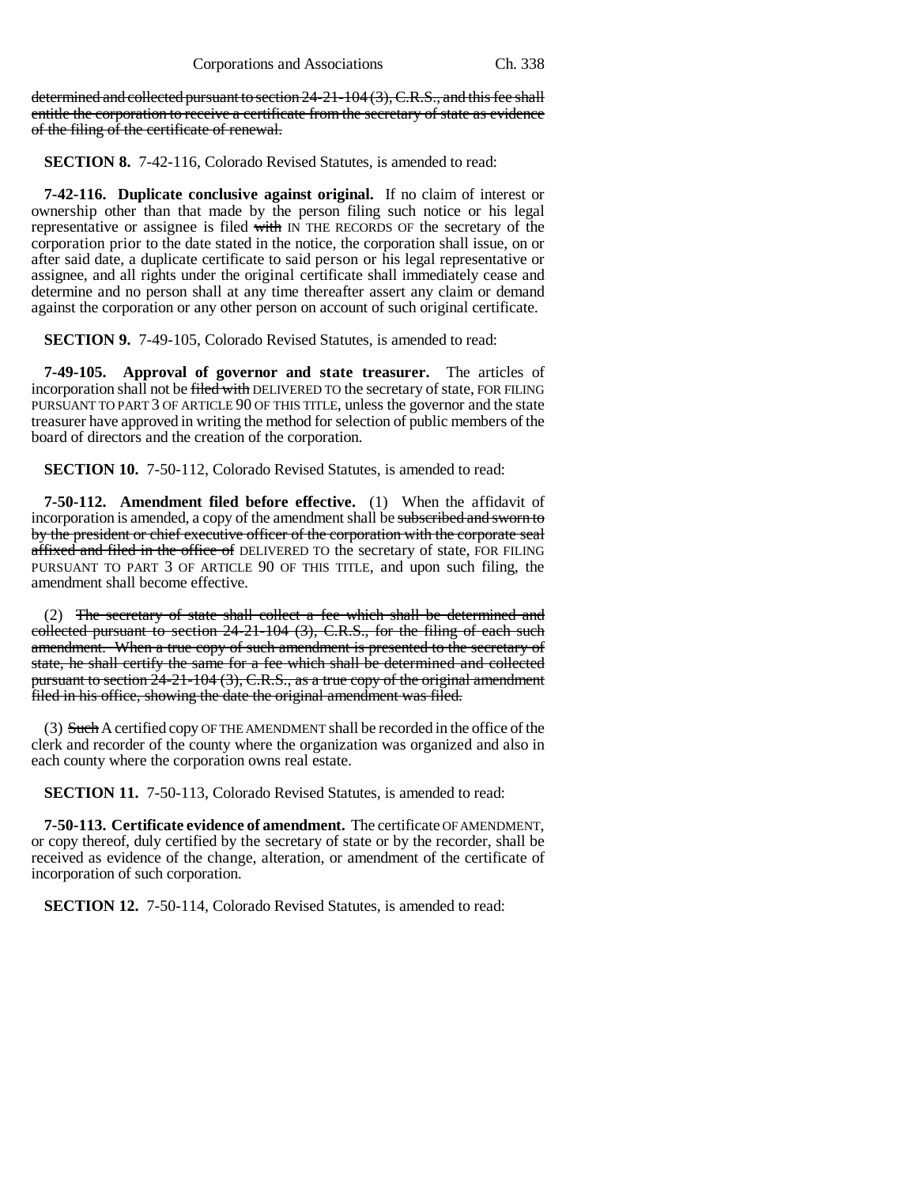determined and collected pursuant to section 24-21-104 (3), C.R.S., and this fee shall entitle the corporation to receive a certificate from the secretary of state as evidence of the filing of the certificate of renewal.

**SECTION 8.** 7-42-116, Colorado Revised Statutes, is amended to read:

**7-42-116. Duplicate conclusive against original.** If no claim of interest or ownership other than that made by the person filing such notice or his legal representative or assignee is filed with IN THE RECORDS OF the secretary of the corporation prior to the date stated in the notice, the corporation shall issue, on or after said date, a duplicate certificate to said person or his legal representative or assignee, and all rights under the original certificate shall immediately cease and determine and no person shall at any time thereafter assert any claim or demand against the corporation or any other person on account of such original certificate.

**SECTION 9.** 7-49-105, Colorado Revised Statutes, is amended to read:

**7-49-105. Approval of governor and state treasurer.** The articles of incorporation shall not be filed with DELIVERED TO the secretary of state, FOR FILING PURSUANT TO PART 3 OF ARTICLE 90 OF THIS TITLE, unless the governor and the state treasurer have approved in writing the method for selection of public members of the board of directors and the creation of the corporation.

**SECTION 10.** 7-50-112, Colorado Revised Statutes, is amended to read:

**7-50-112. Amendment filed before effective.** (1) When the affidavit of incorporation is amended, a copy of the amendment shall be subscribed and sworn to by the president or chief executive officer of the corporation with the corporate seal affixed and filed in the office of DELIVERED TO the secretary of state, FOR FILING PURSUANT TO PART 3 OF ARTICLE 90 OF THIS TITLE, and upon such filing, the amendment shall become effective.

(2) The secretary of state shall collect a fee which shall be determined and collected pursuant to section 24-21-104 (3), C.R.S., for the filing of each such amendment. When a true copy of such amendment is presented to the secretary of state, he shall certify the same for a fee which shall be determined and collected pursuant to section 24-21-104 (3), C.R.S., as a true copy of the original amendment filed in his office, showing the date the original amendment was filed.

(3) Such A certified copy OF THE AMENDMENT shall be recorded in the office of the clerk and recorder of the county where the organization was organized and also in each county where the corporation owns real estate.

**SECTION 11.** 7-50-113, Colorado Revised Statutes, is amended to read:

**7-50-113. Certificate evidence of amendment.** The certificate OF AMENDMENT, or copy thereof, duly certified by the secretary of state or by the recorder, shall be received as evidence of the change, alteration, or amendment of the certificate of incorporation of such corporation.

**SECTION 12.** 7-50-114, Colorado Revised Statutes, is amended to read: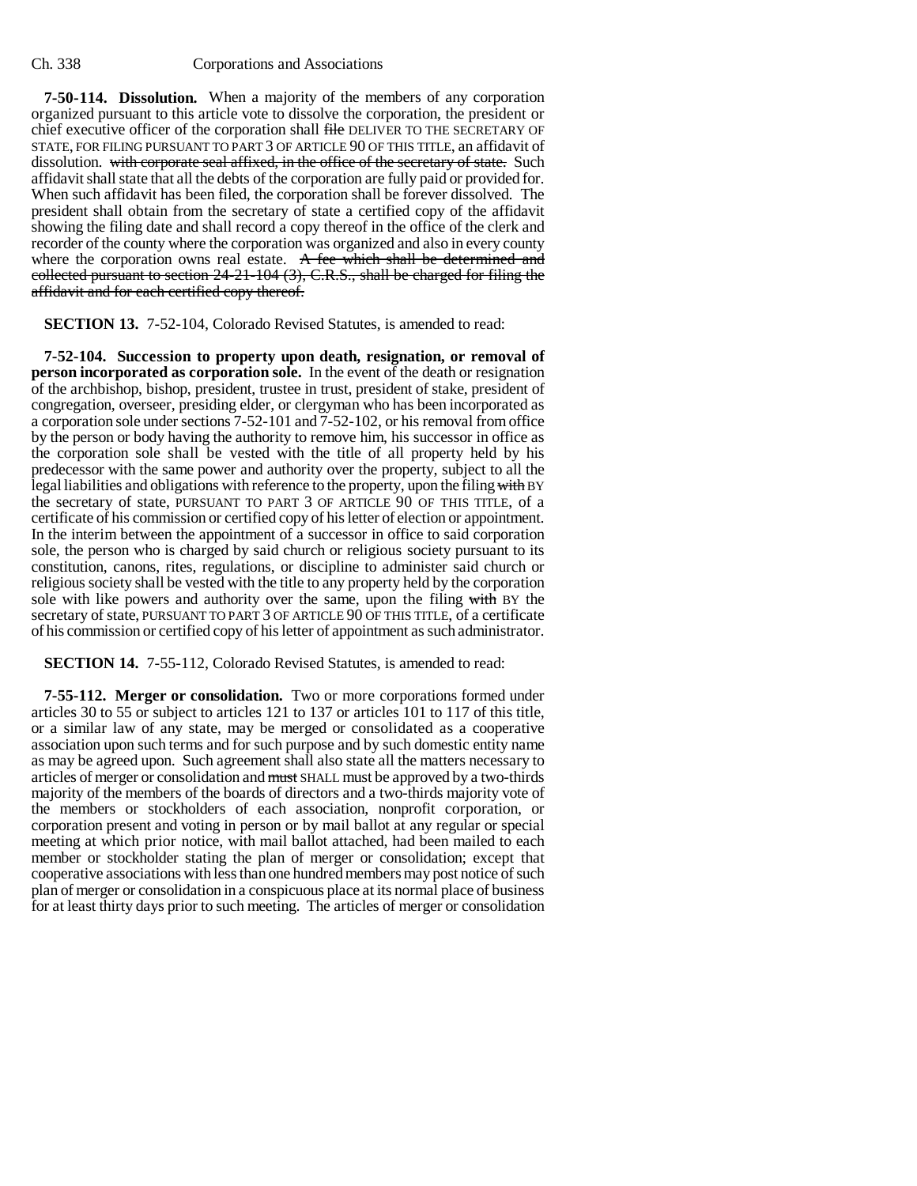**7-50-114. Dissolution.** When a majority of the members of any corporation organized pursuant to this article vote to dissolve the corporation, the president or chief executive officer of the corporation shall file DELIVER TO THE SECRETARY OF STATE, FOR FILING PURSUANT TO PART 3 OF ARTICLE 90 OF THIS TITLE, an affidavit of dissolution. with corporate seal affixed, in the office of the secretary of state. Such affidavit shall state that all the debts of the corporation are fully paid or provided for. When such affidavit has been filed, the corporation shall be forever dissolved. The president shall obtain from the secretary of state a certified copy of the affidavit showing the filing date and shall record a copy thereof in the office of the clerk and recorder of the county where the corporation was organized and also in every county where the corporation owns real estate. A fee which shall be determined and collected pursuant to section 24-21-104 (3), C.R.S., shall be charged for filing the affidavit and for each certified copy thereof.

**SECTION 13.** 7-52-104, Colorado Revised Statutes, is amended to read:

**7-52-104. Succession to property upon death, resignation, or removal of person incorporated as corporation sole.** In the event of the death or resignation of the archbishop, bishop, president, trustee in trust, president of stake, president of congregation, overseer, presiding elder, or clergyman who has been incorporated as a corporation sole under sections 7-52-101 and 7-52-102, or his removal from office by the person or body having the authority to remove him, his successor in office as the corporation sole shall be vested with the title of all property held by his predecessor with the same power and authority over the property, subject to all the legal liabilities and obligations with reference to the property, upon the filing with BY the secretary of state, PURSUANT TO PART 3 OF ARTICLE 90 OF THIS TITLE, of a certificate of his commission or certified copy of his letter of election or appointment. In the interim between the appointment of a successor in office to said corporation sole, the person who is charged by said church or religious society pursuant to its constitution, canons, rites, regulations, or discipline to administer said church or religious society shall be vested with the title to any property held by the corporation sole with like powers and authority over the same, upon the filing with BY the secretary of state, PURSUANT TO PART 3 OF ARTICLE 90 OF THIS TITLE, of a certificate of his commission or certified copy of his letter of appointment as such administrator.

**SECTION 14.** 7-55-112, Colorado Revised Statutes, is amended to read:

**7-55-112. Merger or consolidation.** Two or more corporations formed under articles 30 to 55 or subject to articles 121 to 137 or articles 101 to 117 of this title, or a similar law of any state, may be merged or consolidated as a cooperative association upon such terms and for such purpose and by such domestic entity name as may be agreed upon. Such agreement shall also state all the matters necessary to articles of merger or consolidation and must SHALL must be approved by a two-thirds majority of the members of the boards of directors and a two-thirds majority vote of the members or stockholders of each association, nonprofit corporation, or corporation present and voting in person or by mail ballot at any regular or special meeting at which prior notice, with mail ballot attached, had been mailed to each member or stockholder stating the plan of merger or consolidation; except that cooperative associations with less than one hundred members may post notice of such plan of merger or consolidation in a conspicuous place at its normal place of business for at least thirty days prior to such meeting. The articles of merger or consolidation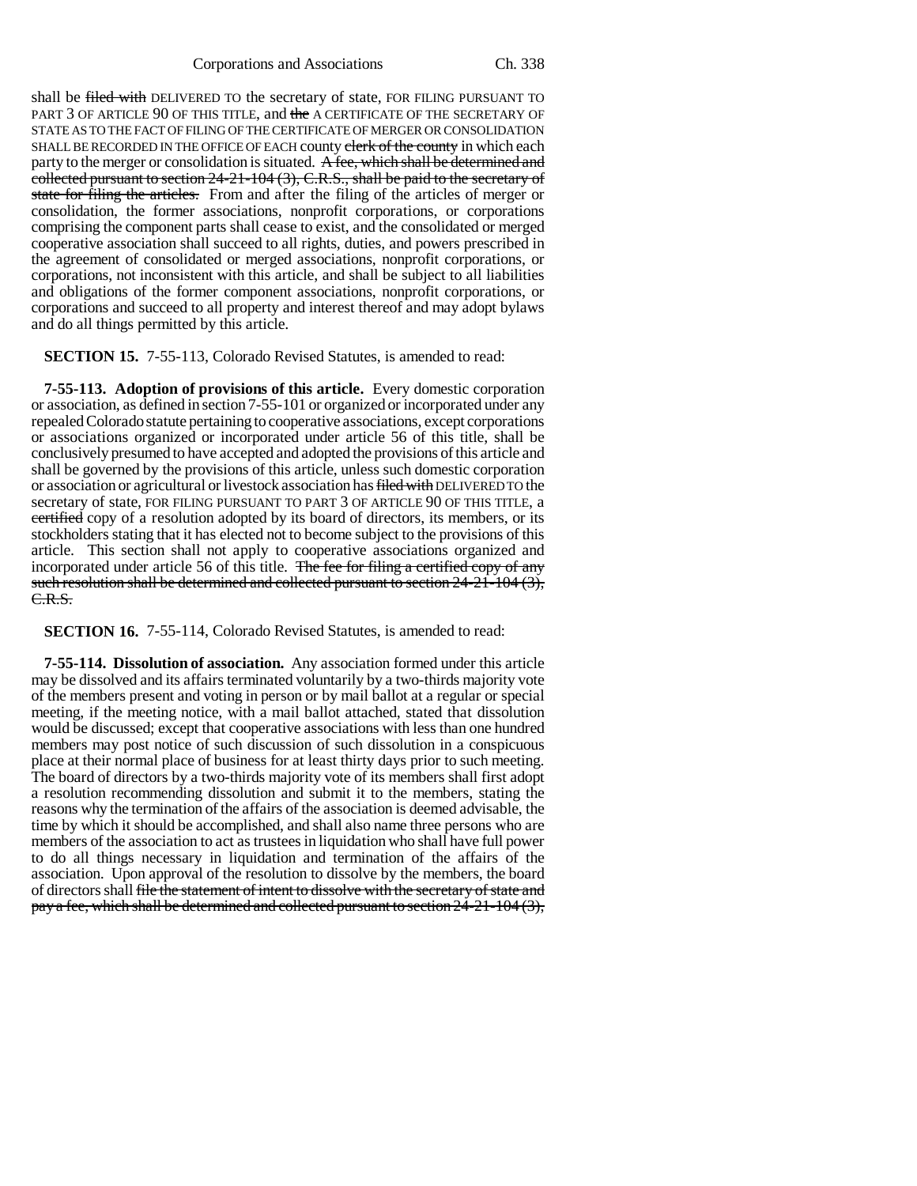Corporations and Associations Ch. 338

shall be filed with DELIVERED TO the secretary of state, FOR FILING PURSUANT TO PART 3 OF ARTICLE 90 OF THIS TITLE, and the A CERTIFICATE OF THE SECRETARY OF STATE AS TO THE FACT OF FILING OF THE CERTIFICATE OF MERGER OR CONSOLIDATION SHALL BE RECORDED IN THE OFFICE OF EACH county clerk of the county in which each party to the merger or consolidation is situated. A fee, which shall be determined and collected pursuant to section 24-21-104 (3), C.R.S., shall be paid to the secretary of state for filing the articles. From and after the filing of the articles of merger or consolidation, the former associations, nonprofit corporations, or corporations comprising the component parts shall cease to exist, and the consolidated or merged cooperative association shall succeed to all rights, duties, and powers prescribed in the agreement of consolidated or merged associations, nonprofit corporations, or corporations, not inconsistent with this article, and shall be subject to all liabilities and obligations of the former component associations, nonprofit corporations, or corporations and succeed to all property and interest thereof and may adopt bylaws and do all things permitted by this article.

**SECTION 15.** 7-55-113, Colorado Revised Statutes, is amended to read:

**7-55-113. Adoption of provisions of this article.** Every domestic corporation or association, as defined in section 7-55-101 or organized or incorporated under any repealed Colorado statute pertaining to cooperative associations, except corporations or associations organized or incorporated under article 56 of this title, shall be conclusively presumed to have accepted and adopted the provisions of this article and shall be governed by the provisions of this article, unless such domestic corporation or association or agricultural or livestock association has filed with DELIVERED TO the secretary of state, FOR FILING PURSUANT TO PART 3 OF ARTICLE 90 OF THIS TITLE, a certified copy of a resolution adopted by its board of directors, its members, or its stockholders stating that it has elected not to become subject to the provisions of this article. This section shall not apply to cooperative associations organized and incorporated under article 56 of this title. The fee for filing a certified copy of any such resolution shall be determined and collected pursuant to section 24-21-104 (3), C.R.S.

**SECTION 16.** 7-55-114, Colorado Revised Statutes, is amended to read:

**7-55-114. Dissolution of association.** Any association formed under this article may be dissolved and its affairs terminated voluntarily by a two-thirds majority vote of the members present and voting in person or by mail ballot at a regular or special meeting, if the meeting notice, with a mail ballot attached, stated that dissolution would be discussed; except that cooperative associations with less than one hundred members may post notice of such discussion of such dissolution in a conspicuous place at their normal place of business for at least thirty days prior to such meeting. The board of directors by a two-thirds majority vote of its members shall first adopt a resolution recommending dissolution and submit it to the members, stating the reasons why the termination of the affairs of the association is deemed advisable, the time by which it should be accomplished, and shall also name three persons who are members of the association to act as trustees in liquidation who shall have full power to do all things necessary in liquidation and termination of the affairs of the association. Upon approval of the resolution to dissolve by the members, the board of directors shall file the statement of intent to dissolve with the secretary of state and pay a fee, which shall be determined and collected pursuant to section 24-21-104 (3),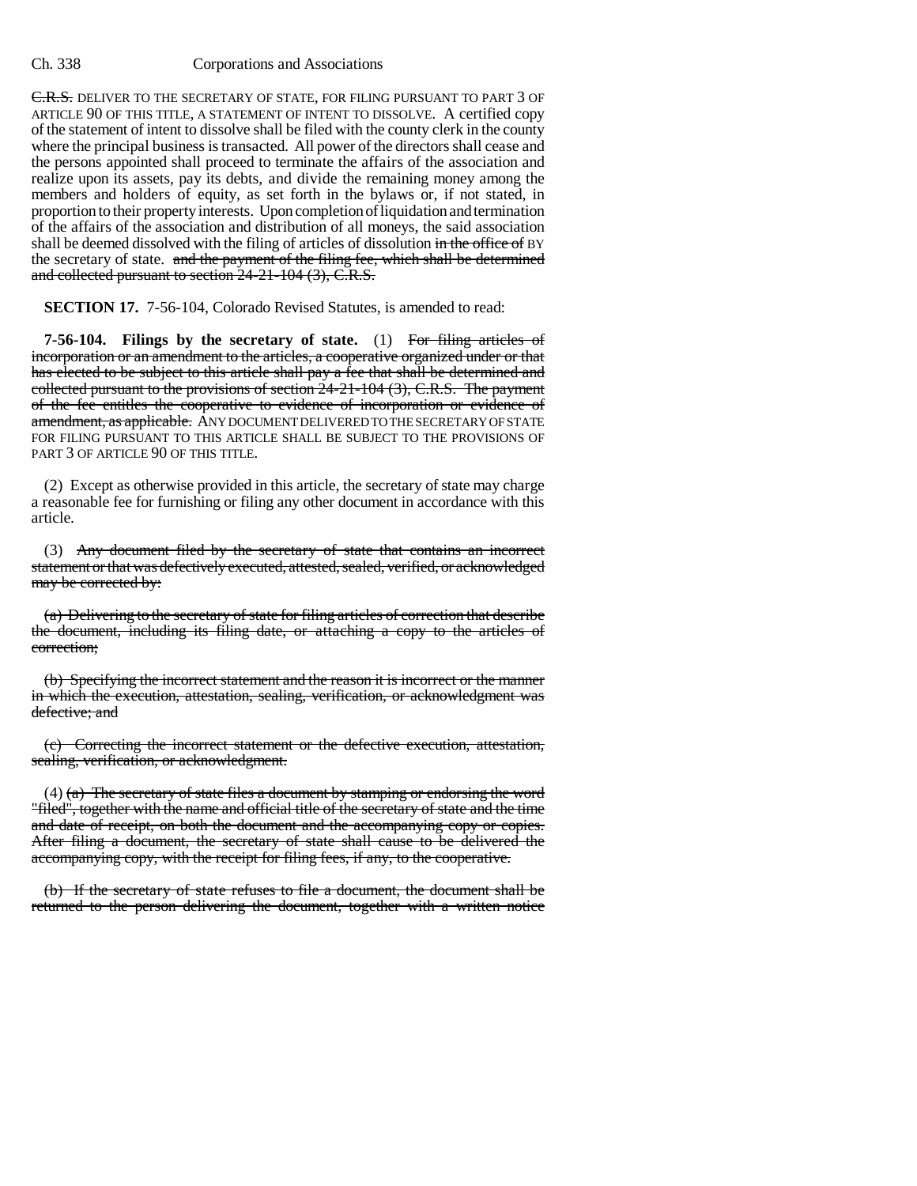C.R.S. DELIVER TO THE SECRETARY OF STATE, FOR FILING PURSUANT TO PART 3 OF ARTICLE 90 OF THIS TITLE, A STATEMENT OF INTENT TO DISSOLVE. A certified copy of the statement of intent to dissolve shall be filed with the county clerk in the county where the principal business is transacted. All power of the directors shall cease and the persons appointed shall proceed to terminate the affairs of the association and realize upon its assets, pay its debts, and divide the remaining money among the members and holders of equity, as set forth in the bylaws or, if not stated, in proportion to their property interests. Upon completion of liquidation and termination of the affairs of the association and distribution of all moneys, the said association shall be deemed dissolved with the filing of articles of dissolution in the office of BY the secretary of state. and the payment of the filing fee, which shall be determined and collected pursuant to section 24-21-104 (3), C.R.S.

**SECTION 17.** 7-56-104, Colorado Revised Statutes, is amended to read:

**7-56-104. Filings by the secretary of state.** (1) For filing articles of incorporation or an amendment to the articles, a cooperative organized under or that has elected to be subject to this article shall pay a fee that shall be determined and collected pursuant to the provisions of section  $24-21-104$   $(3)$ , C.R.S. The payment of the fee entitles the cooperative to evidence of incorporation or evidence of amendment, as applicable. ANY DOCUMENT DELIVERED TO THE SECRETARY OF STATE FOR FILING PURSUANT TO THIS ARTICLE SHALL BE SUBJECT TO THE PROVISIONS OF PART 3 OF ARTICLE 90 OF THIS TITLE.

(2) Except as otherwise provided in this article, the secretary of state may charge a reasonable fee for furnishing or filing any other document in accordance with this article.

(3) Any document filed by the secretary of state that contains an incorrect statement or that was defectively executed, attested, sealed, verified, or acknowledged may be corrected by:

(a) Delivering to the secretary of state for filing articles of correction that describe the document, including its filing date, or attaching a copy to the articles of correction;

(b) Specifying the incorrect statement and the reason it is incorrect or the manner in which the execution, attestation, sealing, verification, or acknowledgment was defective; and

(c) Correcting the incorrect statement or the defective execution, attestation, sealing, verification, or acknowledgment.

(4)  $(a)$  The secretary of state files a document by stamping or endorsing the word "filed", together with the name and official title of the secretary of state and the time and date of receipt, on both the document and the accompanying copy or copies. After filing a document, the secretary of state shall cause to be delivered the accompanying copy, with the receipt for filing fees, if any, to the cooperative.

(b) If the secretary of state refuses to file a document, the document shall be returned to the person delivering the document, together with a written notice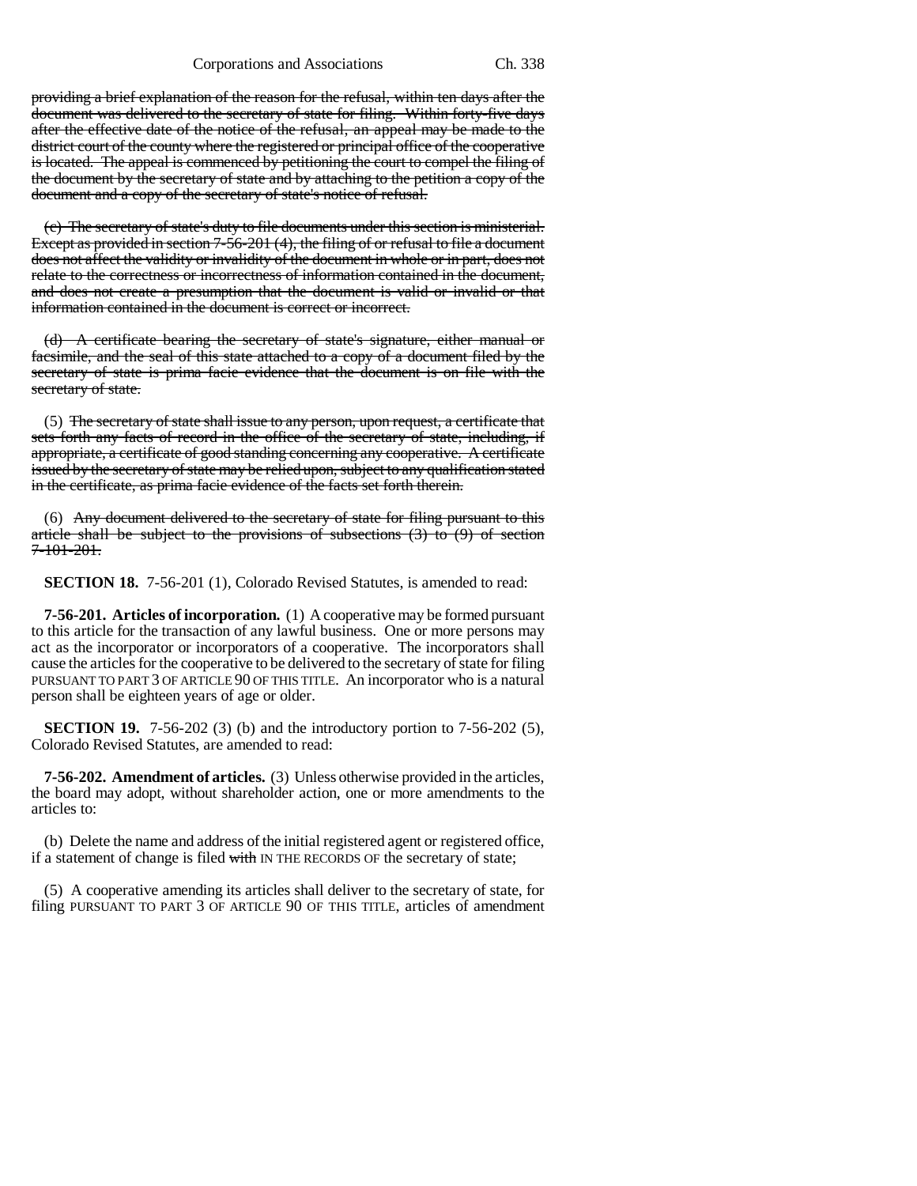providing a brief explanation of the reason for the refusal, within ten days after the document was delivered to the secretary of state for filing. Within forty-five days after the effective date of the notice of the refusal, an appeal may be made to the district court of the county where the registered or principal office of the cooperative is located. The appeal is commenced by petitioning the court to compel the filing of the document by the secretary of state and by attaching to the petition a copy of the document and a copy of the secretary of state's notice of refusal.

(c) The secretary of state's duty to file documents under this section is ministerial. Except as provided in section 7-56-201 (4), the filing of or refusal to file a document does not affect the validity or invalidity of the document in whole or in part, does not relate to the correctness or incorrectness of information contained in the document, and does not create a presumption that the document is valid or invalid or that information contained in the document is correct or incorrect.

(d) A certificate bearing the secretary of state's signature, either manual or facsimile, and the seal of this state attached to a copy of a document filed by the secretary of state is prima facie evidence that the document is on file with the secretary of state.

(5) The secretary of state shall issue to any person, upon request, a certificate that sets forth any facts of record in the office of the secretary of state, including, if appropriate, a certificate of good standing concerning any cooperative. A certificate issued by the secretary of state may be relied upon, subject to any qualification stated in the certificate, as prima facie evidence of the facts set forth therein.

(6) Any document delivered to the secretary of state for filing pursuant to this article shall be subject to the provisions of subsections  $(3)$  to  $(9)$  of section 7-101-201.

**SECTION 18.** 7-56-201 (1), Colorado Revised Statutes, is amended to read:

**7-56-201. Articles of incorporation.** (1) A cooperative may be formed pursuant to this article for the transaction of any lawful business. One or more persons may act as the incorporator or incorporators of a cooperative. The incorporators shall cause the articles for the cooperative to be delivered to the secretary of state for filing PURSUANT TO PART 3 OF ARTICLE 90 OF THIS TITLE. An incorporator who is a natural person shall be eighteen years of age or older.

**SECTION 19.** 7-56-202 (3) (b) and the introductory portion to 7-56-202 (5), Colorado Revised Statutes, are amended to read:

**7-56-202. Amendment of articles.** (3) Unless otherwise provided in the articles, the board may adopt, without shareholder action, one or more amendments to the articles to:

(b) Delete the name and address of the initial registered agent or registered office, if a statement of change is filed with IN THE RECORDS OF the secretary of state;

(5) A cooperative amending its articles shall deliver to the secretary of state, for filing PURSUANT TO PART 3 OF ARTICLE 90 OF THIS TITLE, articles of amendment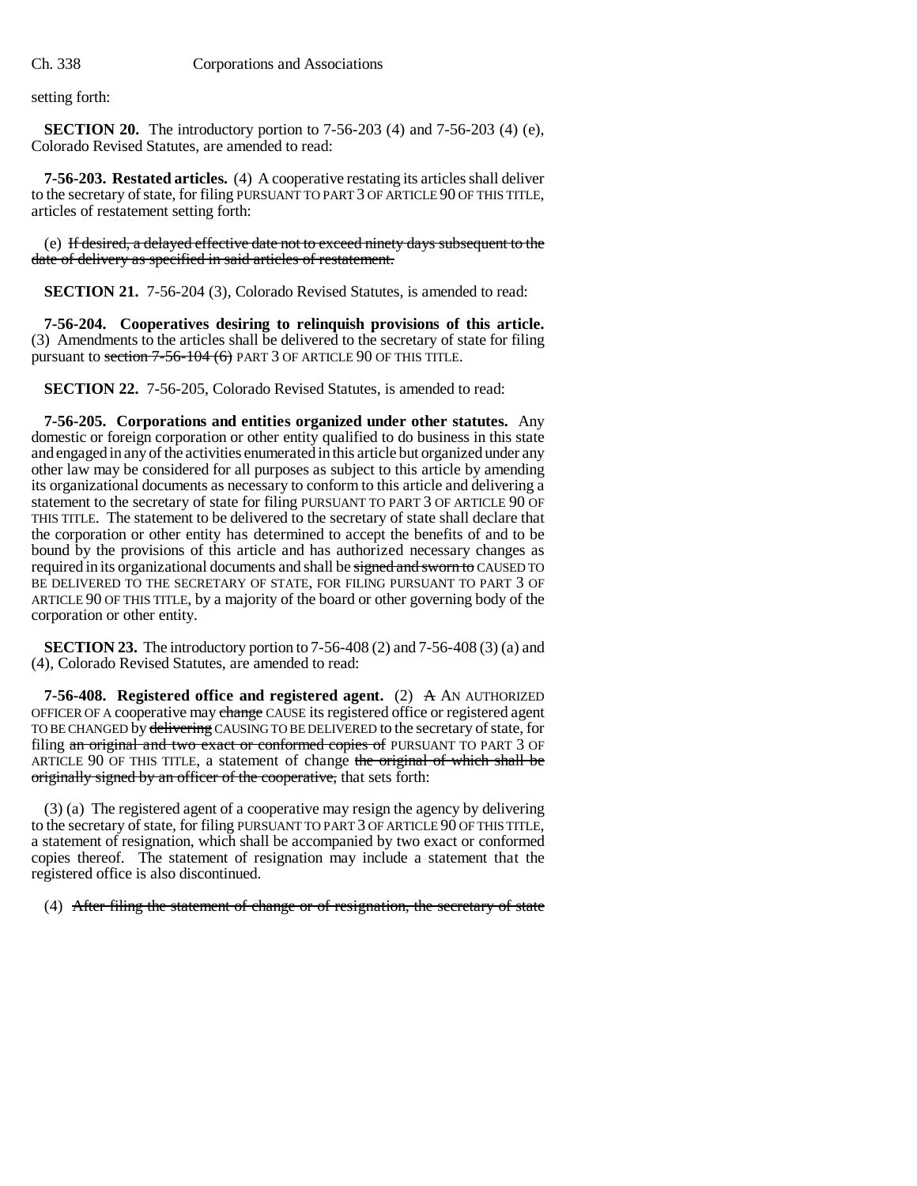setting forth:

**SECTION 20.** The introductory portion to 7-56-203 (4) and 7-56-203 (4) (e), Colorado Revised Statutes, are amended to read:

**7-56-203. Restated articles.** (4) A cooperative restating its articles shall deliver to the secretary of state, for filing PURSUANT TO PART 3 OF ARTICLE 90 OF THIS TITLE, articles of restatement setting forth:

(e) If desired, a delayed effective date not to exceed ninety days subsequent to the date of delivery as specified in said articles of restatement.

**SECTION 21.** 7-56-204 (3), Colorado Revised Statutes, is amended to read:

**7-56-204. Cooperatives desiring to relinquish provisions of this article.** (3) Amendments to the articles shall be delivered to the secretary of state for filing pursuant to section 7-56-104 (6) PART 3 OF ARTICLE 90 OF THIS TITLE.

**SECTION 22.** 7-56-205, Colorado Revised Statutes, is amended to read:

**7-56-205. Corporations and entities organized under other statutes.** Any domestic or foreign corporation or other entity qualified to do business in this state and engaged in any of the activities enumerated in this article but organized under any other law may be considered for all purposes as subject to this article by amending its organizational documents as necessary to conform to this article and delivering a statement to the secretary of state for filing PURSUANT TO PART 3 OF ARTICLE 90 OF THIS TITLE. The statement to be delivered to the secretary of state shall declare that the corporation or other entity has determined to accept the benefits of and to be bound by the provisions of this article and has authorized necessary changes as required in its organizational documents and shall be signed and sworn to CAUSED TO BE DELIVERED TO THE SECRETARY OF STATE, FOR FILING PURSUANT TO PART 3 OF ARTICLE 90 OF THIS TITLE, by a majority of the board or other governing body of the corporation or other entity.

**SECTION 23.** The introductory portion to 7-56-408 (2) and 7-56-408 (3) (a) and (4), Colorado Revised Statutes, are amended to read:

**7-56-408. Registered office and registered agent.** (2) A AN AUTHORIZED OFFICER OF A cooperative may change CAUSE its registered office or registered agent TO BE CHANGED by delivering CAUSING TO BE DELIVERED to the secretary of state, for filing an original and two exact or conformed copies of PURSUANT TO PART 3 OF ARTICLE 90 OF THIS TITLE, a statement of change the original of which shall be originally signed by an officer of the cooperative, that sets forth:

(3) (a) The registered agent of a cooperative may resign the agency by delivering to the secretary of state, for filing PURSUANT TO PART 3 OF ARTICLE 90 OF THIS TITLE, a statement of resignation, which shall be accompanied by two exact or conformed copies thereof. The statement of resignation may include a statement that the registered office is also discontinued.

(4) After filing the statement of change or of resignation, the secretary of state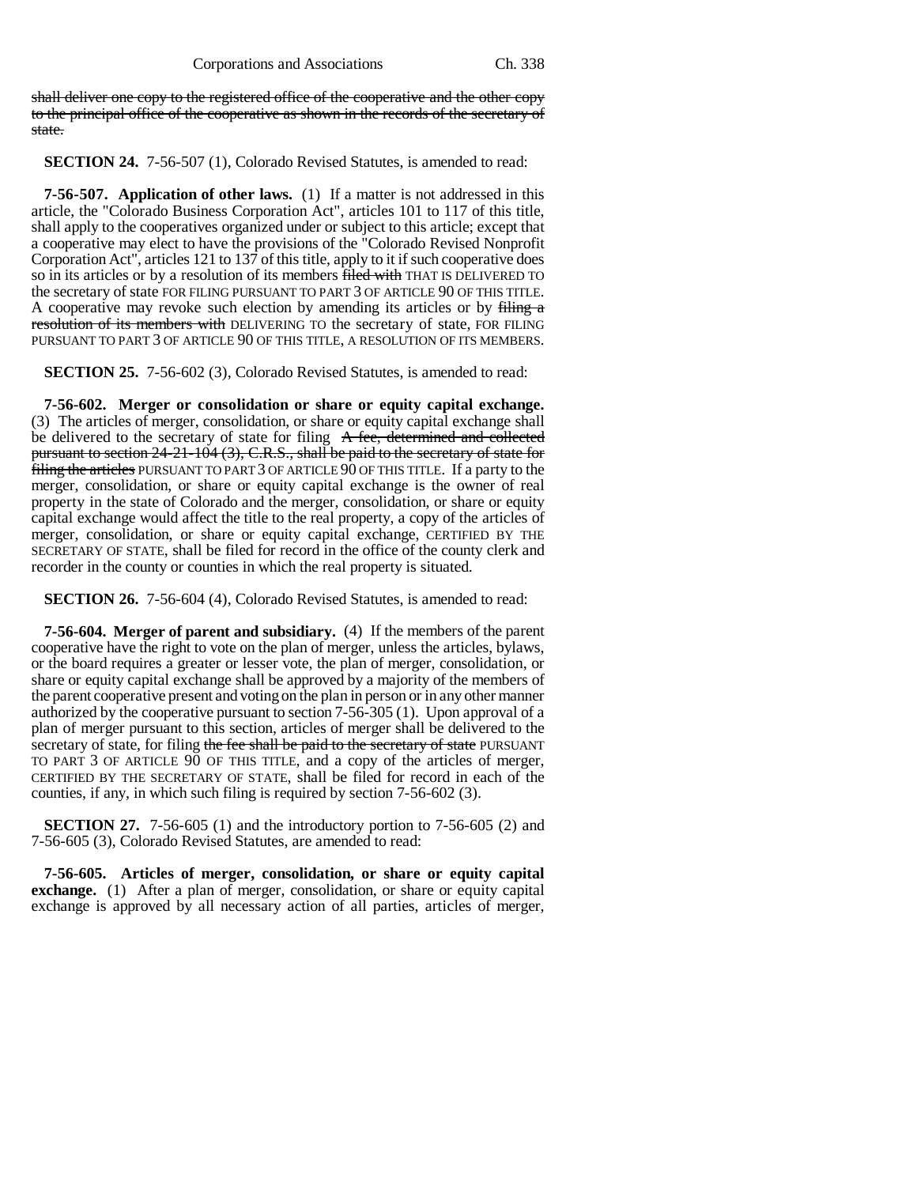shall deliver one copy to the registered office of the cooperative and the other copy to the principal office of the cooperative as shown in the records of the secretary of state.

**SECTION 24.** 7-56-507 (1), Colorado Revised Statutes, is amended to read:

**7-56-507. Application of other laws.** (1) If a matter is not addressed in this article, the "Colorado Business Corporation Act", articles 101 to 117 of this title, shall apply to the cooperatives organized under or subject to this article; except that a cooperative may elect to have the provisions of the "Colorado Revised Nonprofit Corporation Act", articles 121 to 137 of this title, apply to it if such cooperative does so in its articles or by a resolution of its members filed with THAT IS DELIVERED TO the secretary of state FOR FILING PURSUANT TO PART 3 OF ARTICLE 90 OF THIS TITLE. A cooperative may revoke such election by amending its articles or by filing a resolution of its members with DELIVERING TO the secretary of state, FOR FILING PURSUANT TO PART 3 OF ARTICLE 90 OF THIS TITLE, A RESOLUTION OF ITS MEMBERS.

**SECTION 25.** 7-56-602 (3), Colorado Revised Statutes, is amended to read:

**7-56-602. Merger or consolidation or share or equity capital exchange.** (3) The articles of merger, consolidation, or share or equity capital exchange shall be delivered to the secretary of state for filing A fee, determined and collected pursuant to section 24-21-104 (3), C.R.S., shall be paid to the secretary of state for filing the articles PURSUANT TO PART 3 OF ARTICLE 90 OF THIS TITLE. If a party to the merger, consolidation, or share or equity capital exchange is the owner of real property in the state of Colorado and the merger, consolidation, or share or equity capital exchange would affect the title to the real property, a copy of the articles of merger, consolidation, or share or equity capital exchange, CERTIFIED BY THE SECRETARY OF STATE, shall be filed for record in the office of the county clerk and recorder in the county or counties in which the real property is situated.

**SECTION 26.** 7-56-604 (4), Colorado Revised Statutes, is amended to read:

**7-56-604. Merger of parent and subsidiary.** (4) If the members of the parent cooperative have the right to vote on the plan of merger, unless the articles, bylaws, or the board requires a greater or lesser vote, the plan of merger, consolidation, or share or equity capital exchange shall be approved by a majority of the members of the parent cooperative present and voting on the plan in person or in any other manner authorized by the cooperative pursuant to section 7-56-305 (1). Upon approval of a plan of merger pursuant to this section, articles of merger shall be delivered to the secretary of state, for filing the fee shall be paid to the secretary of state PURSUANT TO PART 3 OF ARTICLE 90 OF THIS TITLE, and a copy of the articles of merger, CERTIFIED BY THE SECRETARY OF STATE, shall be filed for record in each of the counties, if any, in which such filing is required by section 7-56-602 (3).

**SECTION 27.** 7-56-605 (1) and the introductory portion to 7-56-605 (2) and 7-56-605 (3), Colorado Revised Statutes, are amended to read:

**7-56-605. Articles of merger, consolidation, or share or equity capital exchange.** (1) After a plan of merger, consolidation, or share or equity capital exchange is approved by all necessary action of all parties, articles of merger,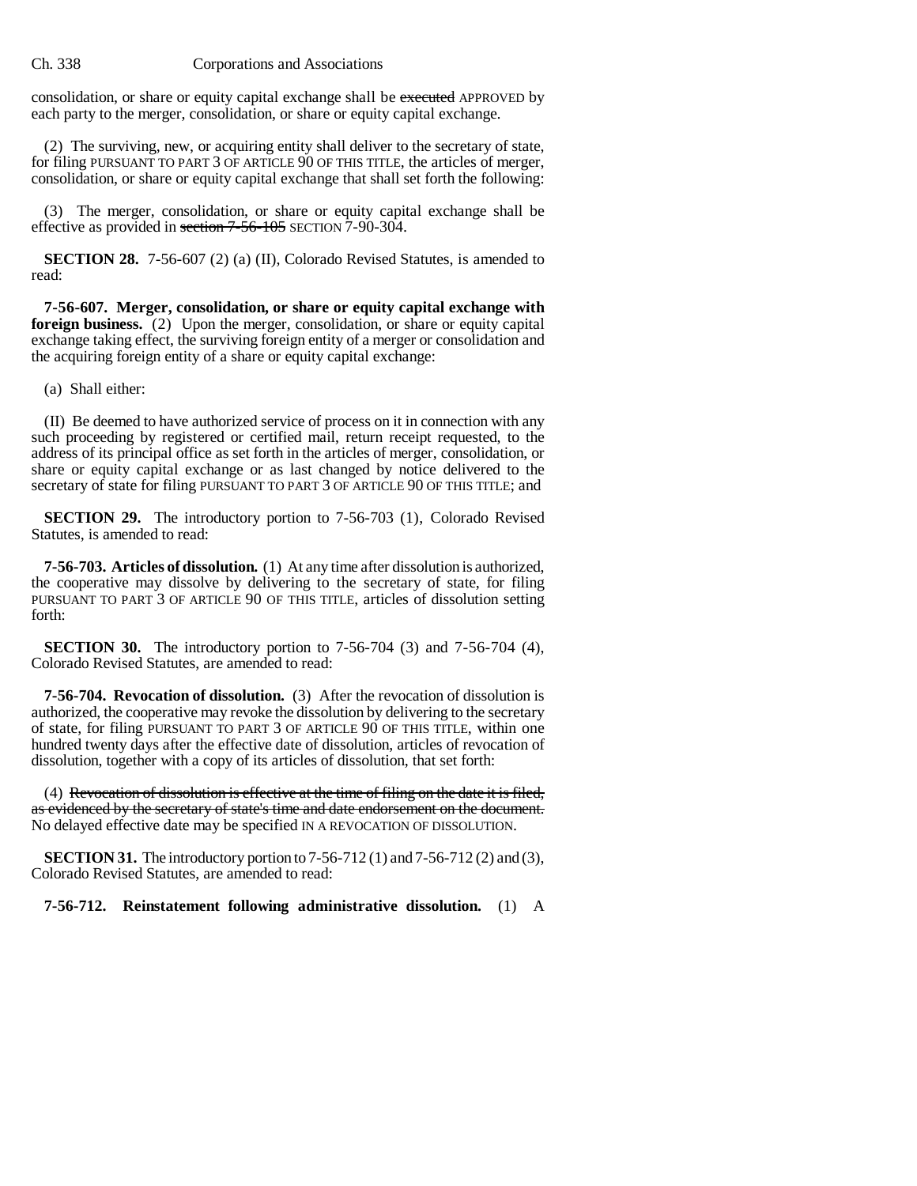consolidation, or share or equity capital exchange shall be executed APPROVED by each party to the merger, consolidation, or share or equity capital exchange.

(2) The surviving, new, or acquiring entity shall deliver to the secretary of state, for filing PURSUANT TO PART 3 OF ARTICLE 90 OF THIS TITLE, the articles of merger, consolidation, or share or equity capital exchange that shall set forth the following:

(3) The merger, consolidation, or share or equity capital exchange shall be effective as provided in section 7-56-105 SECTION 7-90-304.

**SECTION 28.** 7-56-607 (2) (a) (II), Colorado Revised Statutes, is amended to read:

**7-56-607. Merger, consolidation, or share or equity capital exchange with foreign business.** (2) Upon the merger, consolidation, or share or equity capital exchange taking effect, the surviving foreign entity of a merger or consolidation and the acquiring foreign entity of a share or equity capital exchange:

(a) Shall either:

(II) Be deemed to have authorized service of process on it in connection with any such proceeding by registered or certified mail, return receipt requested, to the address of its principal office as set forth in the articles of merger, consolidation, or share or equity capital exchange or as last changed by notice delivered to the secretary of state for filing PURSUANT TO PART 3 OF ARTICLE 90 OF THIS TITLE; and

**SECTION 29.** The introductory portion to 7-56-703 (1), Colorado Revised Statutes, is amended to read:

**7-56-703. Articles of dissolution.** (1) At any time after dissolution is authorized, the cooperative may dissolve by delivering to the secretary of state, for filing PURSUANT TO PART 3 OF ARTICLE 90 OF THIS TITLE, articles of dissolution setting forth:

**SECTION 30.** The introductory portion to 7-56-704 (3) and 7-56-704 (4), Colorado Revised Statutes, are amended to read:

**7-56-704. Revocation of dissolution.** (3) After the revocation of dissolution is authorized, the cooperative may revoke the dissolution by delivering to the secretary of state, for filing PURSUANT TO PART 3 OF ARTICLE 90 OF THIS TITLE, within one hundred twenty days after the effective date of dissolution, articles of revocation of dissolution, together with a copy of its articles of dissolution, that set forth:

(4) Revocation of dissolution is effective at the time of filing on the date it is filed, as evidenced by the secretary of state's time and date endorsement on the document. No delayed effective date may be specified IN A REVOCATION OF DISSOLUTION.

**SECTION 31.** The introductory portion to 7-56-712 (1) and 7-56-712 (2) and (3), Colorado Revised Statutes, are amended to read:

**7-56-712. Reinstatement following administrative dissolution.** (1) A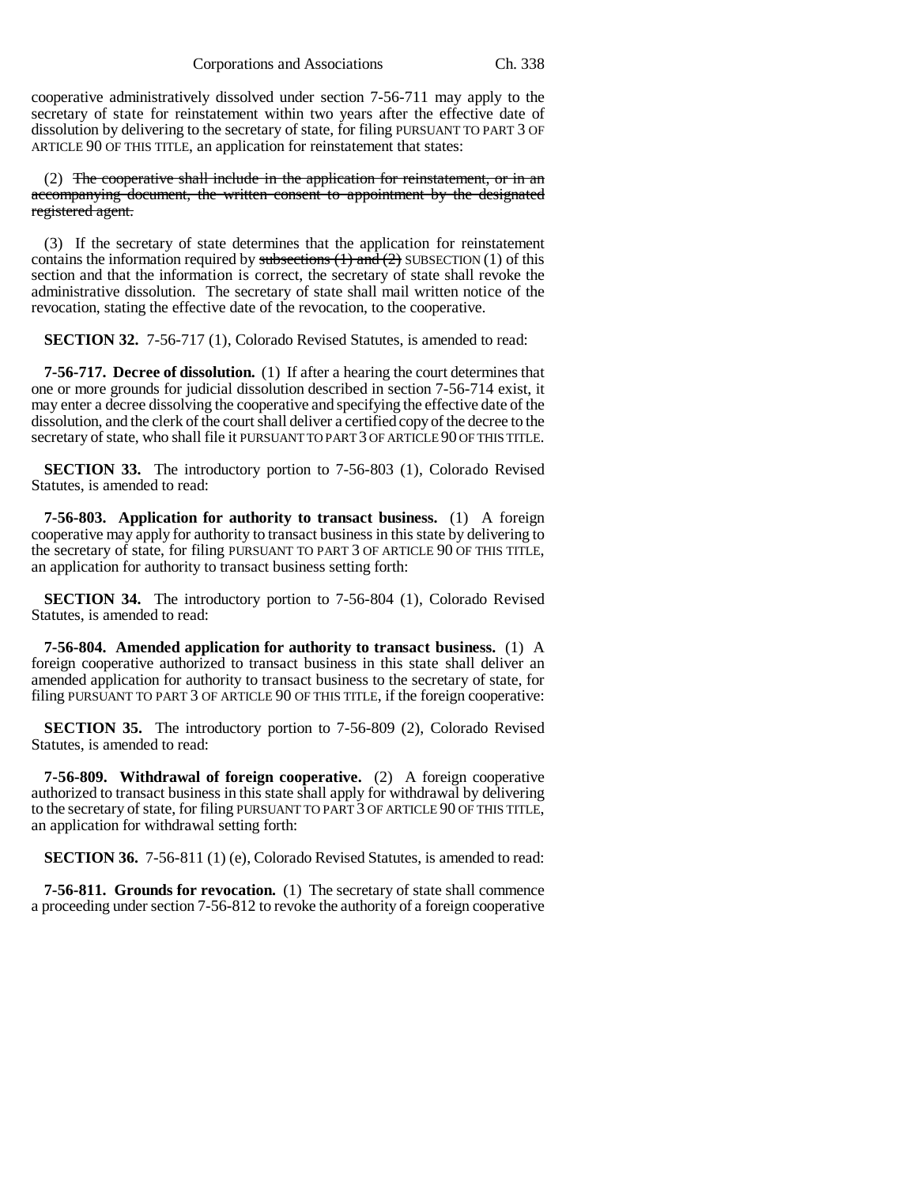cooperative administratively dissolved under section 7-56-711 may apply to the secretary of state for reinstatement within two years after the effective date of dissolution by delivering to the secretary of state, for filing PURSUANT TO PART 3 OF ARTICLE 90 OF THIS TITLE, an application for reinstatement that states:

(2) The cooperative shall include in the application for reinstatement, or in an accompanying document, the written consent to appointment by the designated registered agent.

(3) If the secretary of state determines that the application for reinstatement contains the information required by subsections  $(1)$  and  $(2)$  SUBSECTION  $(1)$  of this section and that the information is correct, the secretary of state shall revoke the administrative dissolution. The secretary of state shall mail written notice of the revocation, stating the effective date of the revocation, to the cooperative.

**SECTION 32.** 7-56-717 (1), Colorado Revised Statutes, is amended to read:

**7-56-717. Decree of dissolution.** (1) If after a hearing the court determines that one or more grounds for judicial dissolution described in section 7-56-714 exist, it may enter a decree dissolving the cooperative and specifying the effective date of the dissolution, and the clerk of the court shall deliver a certified copy of the decree to the secretary of state, who shall file it PURSUANT TO PART 3 OF ARTICLE 90 OF THIS TITLE.

**SECTION 33.** The introductory portion to 7-56-803 (1), Colorado Revised Statutes, is amended to read:

**7-56-803. Application for authority to transact business.** (1) A foreign cooperative may apply for authority to transact business in this state by delivering to the secretary of state, for filing PURSUANT TO PART 3 OF ARTICLE 90 OF THIS TITLE, an application for authority to transact business setting forth:

**SECTION 34.** The introductory portion to 7-56-804 (1), Colorado Revised Statutes, is amended to read:

**7-56-804. Amended application for authority to transact business.** (1) A foreign cooperative authorized to transact business in this state shall deliver an amended application for authority to transact business to the secretary of state, for filing PURSUANT TO PART 3 OF ARTICLE 90 OF THIS TITLE, if the foreign cooperative:

**SECTION 35.** The introductory portion to 7-56-809 (2), Colorado Revised Statutes, is amended to read:

**7-56-809. Withdrawal of foreign cooperative.** (2) A foreign cooperative authorized to transact business in this state shall apply for withdrawal by delivering to the secretary of state, for filing PURSUANT TO PART 3 OF ARTICLE 90 OF THIS TITLE, an application for withdrawal setting forth:

**SECTION 36.** 7-56-811 (1) (e), Colorado Revised Statutes, is amended to read:

**7-56-811. Grounds for revocation.** (1) The secretary of state shall commence a proceeding under section 7-56-812 to revoke the authority of a foreign cooperative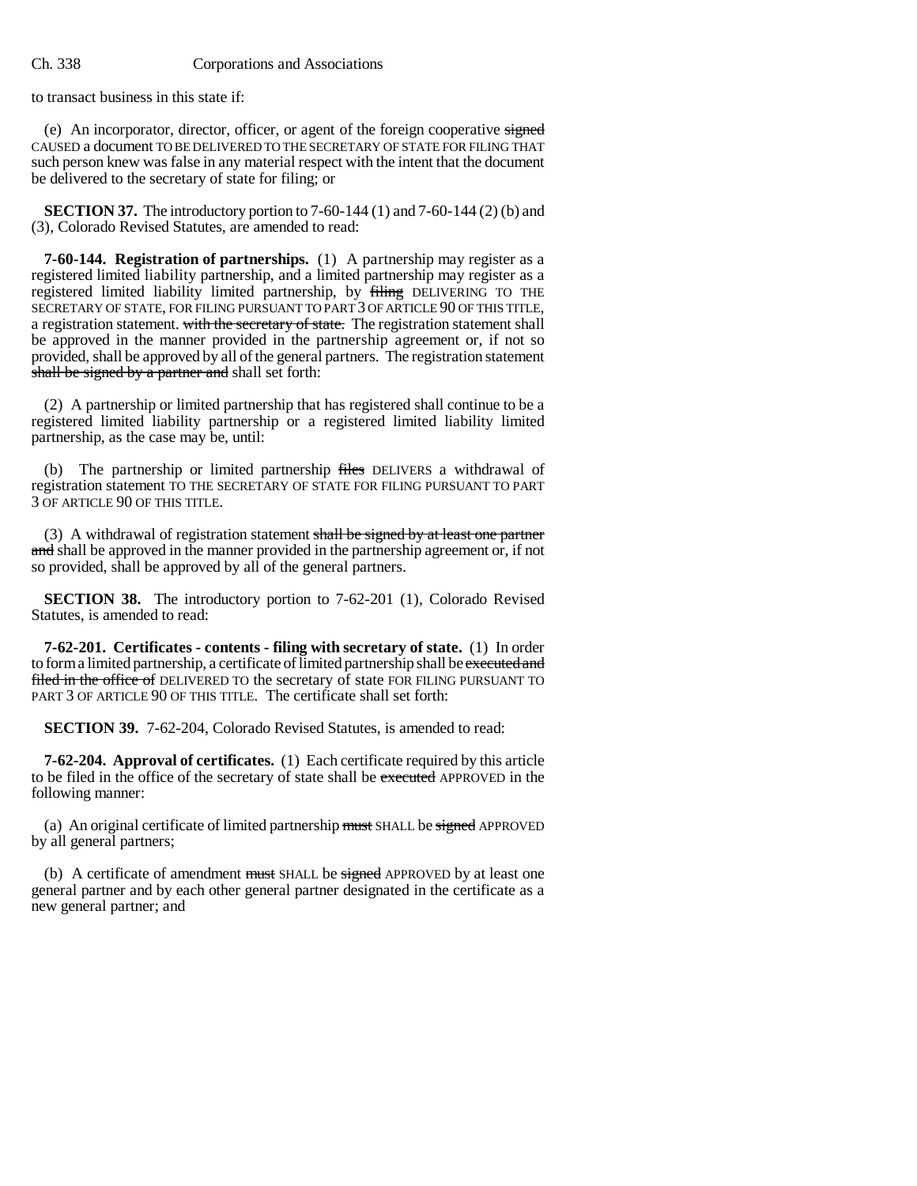to transact business in this state if:

(e) An incorporator, director, officer, or agent of the foreign cooperative signed CAUSED a document TO BE DELIVERED TO THE SECRETARY OF STATE FOR FILING THAT such person knew was false in any material respect with the intent that the document be delivered to the secretary of state for filing; or

**SECTION 37.** The introductory portion to 7-60-144 (1) and 7-60-144 (2) (b) and (3), Colorado Revised Statutes, are amended to read:

**7-60-144. Registration of partnerships.** (1) A partnership may register as a registered limited liability partnership, and a limited partnership may register as a registered limited liability limited partnership, by filing DELIVERING TO THE SECRETARY OF STATE, FOR FILING PURSUANT TO PART 3 OF ARTICLE 90 OF THIS TITLE, a registration statement. with the secretary of state. The registration statement shall be approved in the manner provided in the partnership agreement or, if not so provided, shall be approved by all of the general partners. The registration statement shall be signed by a partner and shall set forth:

(2) A partnership or limited partnership that has registered shall continue to be a registered limited liability partnership or a registered limited liability limited partnership, as the case may be, until:

(b) The partnership or limited partnership files DELIVERS a withdrawal of registration statement TO THE SECRETARY OF STATE FOR FILING PURSUANT TO PART 3 OF ARTICLE 90 OF THIS TITLE.

(3) A withdrawal of registration statement shall be signed by at least one partner and shall be approved in the manner provided in the partnership agreement or, if not so provided, shall be approved by all of the general partners.

**SECTION 38.** The introductory portion to 7-62-201 (1), Colorado Revised Statutes, is amended to read:

**7-62-201. Certificates - contents - filing with secretary of state.** (1) In order to form a limited partnership, a certificate of limited partnership shall be executed and filed in the office of DELIVERED TO the secretary of state FOR FILING PURSUANT TO PART 3 OF ARTICLE 90 OF THIS TITLE. The certificate shall set forth:

**SECTION 39.** 7-62-204, Colorado Revised Statutes, is amended to read:

**7-62-204. Approval of certificates.** (1) Each certificate required by this article to be filed in the office of the secretary of state shall be executed APPROVED in the following manner:

(a) An original certificate of limited partnership must SHALL be signed APPROVED by all general partners;

(b) A certificate of amendment must SHALL be signed APPROVED by at least one general partner and by each other general partner designated in the certificate as a new general partner; and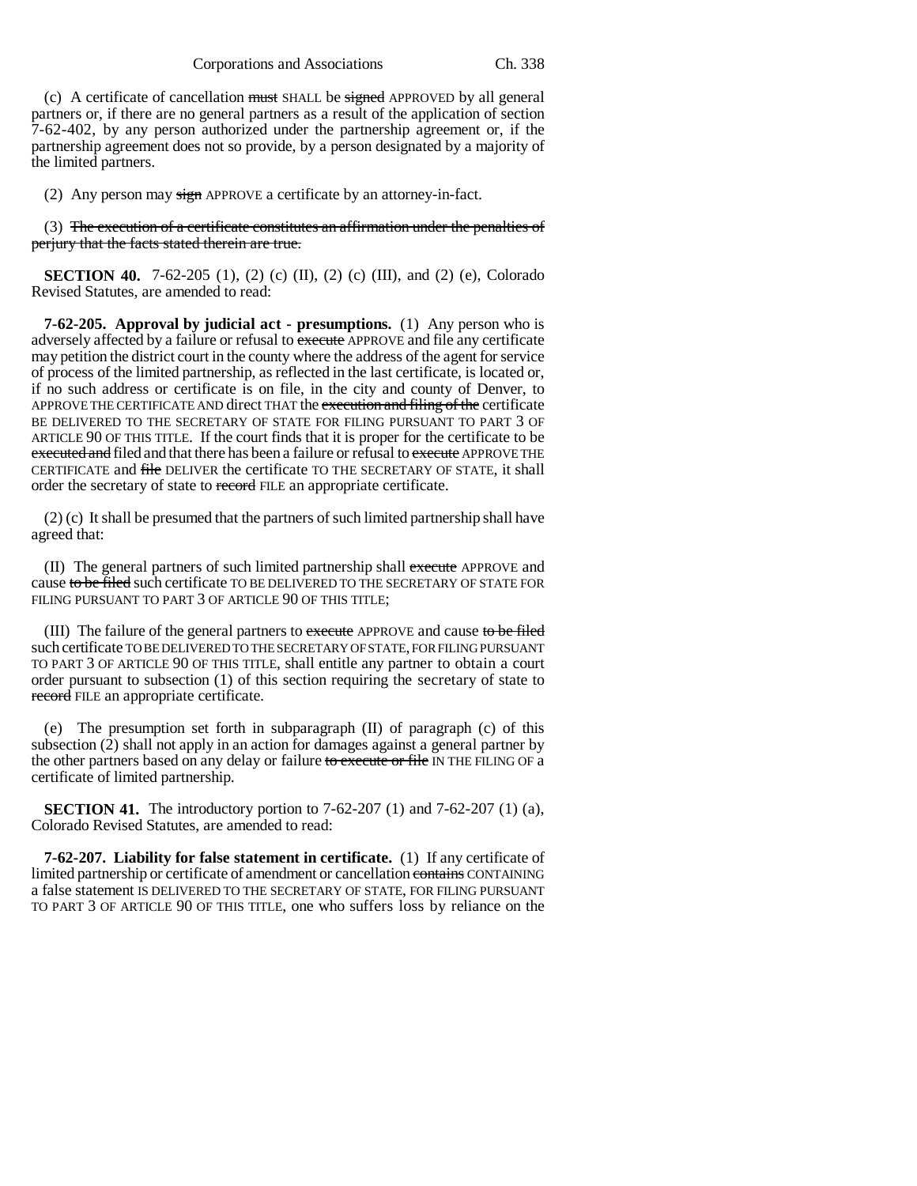Corporations and Associations Ch. 338

(c) A certificate of cancellation must SHALL be signed APPROVED by all general partners or, if there are no general partners as a result of the application of section 7-62-402, by any person authorized under the partnership agreement or, if the partnership agreement does not so provide, by a person designated by a majority of the limited partners.

(2) Any person may  $\frac{sign}{p}$  APPROVE a certificate by an attorney-in-fact.

(3) The execution of a certificate constitutes an affirmation under the penalties of perjury that the facts stated therein are true.

**SECTION 40.** 7-62-205 (1), (2) (c) (II), (2) (c) (III), and (2) (e), Colorado Revised Statutes, are amended to read:

**7-62-205. Approval by judicial act - presumptions.** (1) Any person who is adversely affected by a failure or refusal to execute APPROVE and file any certificate may petition the district court in the county where the address of the agent for service of process of the limited partnership, as reflected in the last certificate, is located or, if no such address or certificate is on file, in the city and county of Denver, to APPROVE THE CERTIFICATE AND direct THAT the execution and filing of the certificate BE DELIVERED TO THE SECRETARY OF STATE FOR FILING PURSUANT TO PART 3 OF ARTICLE 90 OF THIS TITLE. If the court finds that it is proper for the certificate to be executed and filed and that there has been a failure or refusal to execute APPROVE THE CERTIFICATE and file DELIVER the certificate TO THE SECRETARY OF STATE, it shall order the secretary of state to record FILE an appropriate certificate.

(2) (c) It shall be presumed that the partners of such limited partnership shall have agreed that:

(II) The general partners of such limited partnership shall execute APPROVE and cause to be filed such certificate TO BE DELIVERED TO THE SECRETARY OF STATE FOR FILING PURSUANT TO PART 3 OF ARTICLE 90 OF THIS TITLE;

(III) The failure of the general partners to execute APPROVE and cause to be filed such certificate TO BE DELIVERED TO THE SECRETARY OF STATE, FOR FILING PURSUANT TO PART 3 OF ARTICLE 90 OF THIS TITLE, shall entitle any partner to obtain a court order pursuant to subsection (1) of this section requiring the secretary of state to record FILE an appropriate certificate.

(e) The presumption set forth in subparagraph (II) of paragraph (c) of this subsection (2) shall not apply in an action for damages against a general partner by the other partners based on any delay or failure to execute or file IN THE FILING OF a certificate of limited partnership.

**SECTION 41.** The introductory portion to 7-62-207 (1) and 7-62-207 (1) (a), Colorado Revised Statutes, are amended to read:

**7-62-207. Liability for false statement in certificate.** (1) If any certificate of limited partnership or certificate of amendment or cancellation contains CONTAINING a false statement IS DELIVERED TO THE SECRETARY OF STATE, FOR FILING PURSUANT TO PART 3 OF ARTICLE 90 OF THIS TITLE, one who suffers loss by reliance on the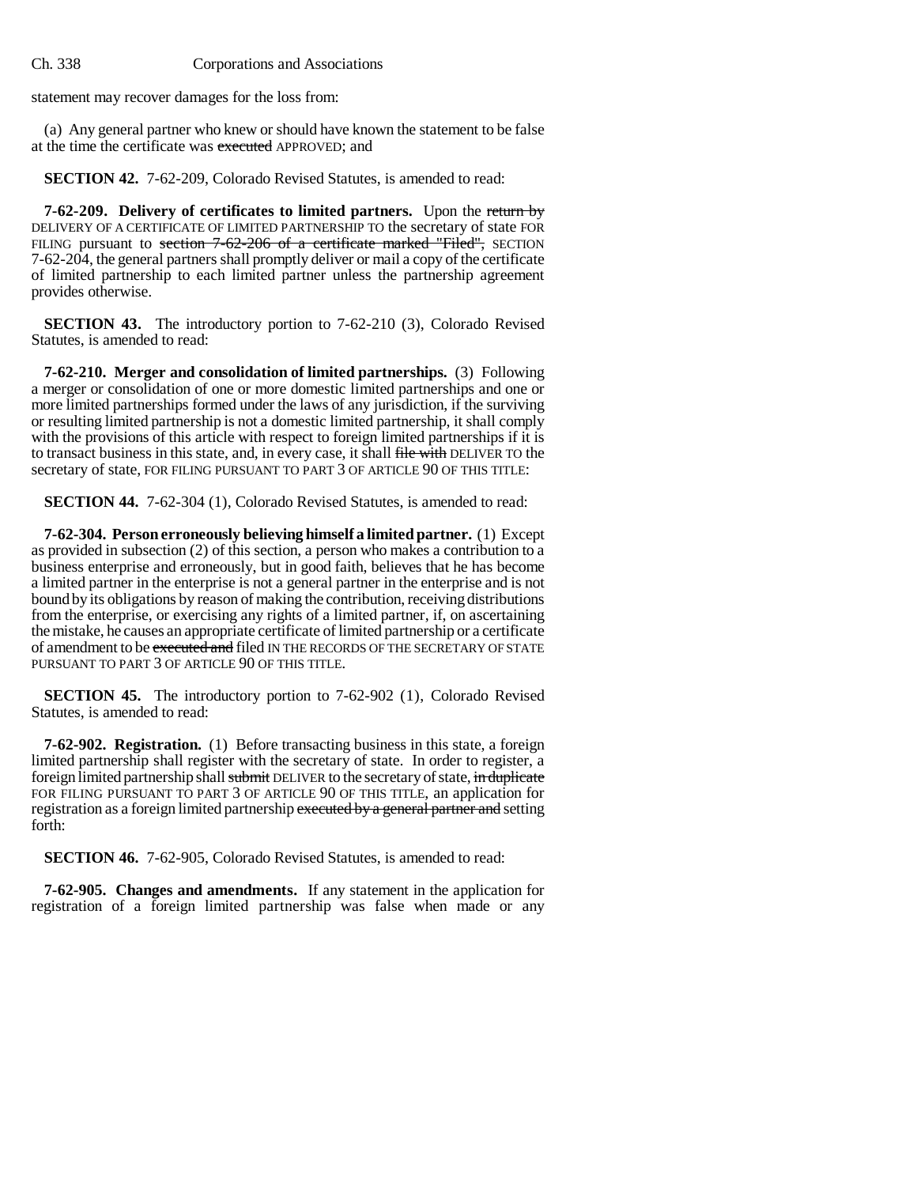statement may recover damages for the loss from:

(a) Any general partner who knew or should have known the statement to be false at the time the certificate was executed APPROVED; and

**SECTION 42.** 7-62-209, Colorado Revised Statutes, is amended to read:

**7-62-209. Delivery of certificates to limited partners.** Upon the return by DELIVERY OF A CERTIFICATE OF LIMITED PARTNERSHIP TO the secretary of state FOR FILING pursuant to section 7-62-206 of a certificate marked "Filed", SECTION 7-62-204, the general partners shall promptly deliver or mail a copy of the certificate of limited partnership to each limited partner unless the partnership agreement provides otherwise.

**SECTION 43.** The introductory portion to 7-62-210 (3), Colorado Revised Statutes, is amended to read:

**7-62-210. Merger and consolidation of limited partnerships.** (3) Following a merger or consolidation of one or more domestic limited partnerships and one or more limited partnerships formed under the laws of any jurisdiction, if the surviving or resulting limited partnership is not a domestic limited partnership, it shall comply with the provisions of this article with respect to foreign limited partnerships if it is to transact business in this state, and, in every case, it shall file with DELIVER TO the secretary of state, FOR FILING PURSUANT TO PART 3 OF ARTICLE 90 OF THIS TITLE:

**SECTION 44.** 7-62-304 (1), Colorado Revised Statutes, is amended to read:

**7-62-304. Person erroneously believing himself a limited partner.** (1) Except as provided in subsection (2) of this section, a person who makes a contribution to a business enterprise and erroneously, but in good faith, believes that he has become a limited partner in the enterprise is not a general partner in the enterprise and is not bound by its obligations by reason of making the contribution, receiving distributions from the enterprise, or exercising any rights of a limited partner, if, on ascertaining the mistake, he causes an appropriate certificate of limited partnership or a certificate of amendment to be executed and filed IN THE RECORDS OF THE SECRETARY OF STATE PURSUANT TO PART 3 OF ARTICLE 90 OF THIS TITLE.

**SECTION 45.** The introductory portion to 7-62-902 (1), Colorado Revised Statutes, is amended to read:

**7-62-902. Registration.** (1) Before transacting business in this state, a foreign limited partnership shall register with the secretary of state. In order to register, a foreign limited partnership shall submit DELIVER to the secretary of state, in duplicate FOR FILING PURSUANT TO PART 3 OF ARTICLE 90 OF THIS TITLE, an application for registration as a foreign limited partnership executed by a general partner and setting forth:

**SECTION 46.** 7-62-905, Colorado Revised Statutes, is amended to read:

**7-62-905. Changes and amendments.** If any statement in the application for registration of a foreign limited partnership was false when made or any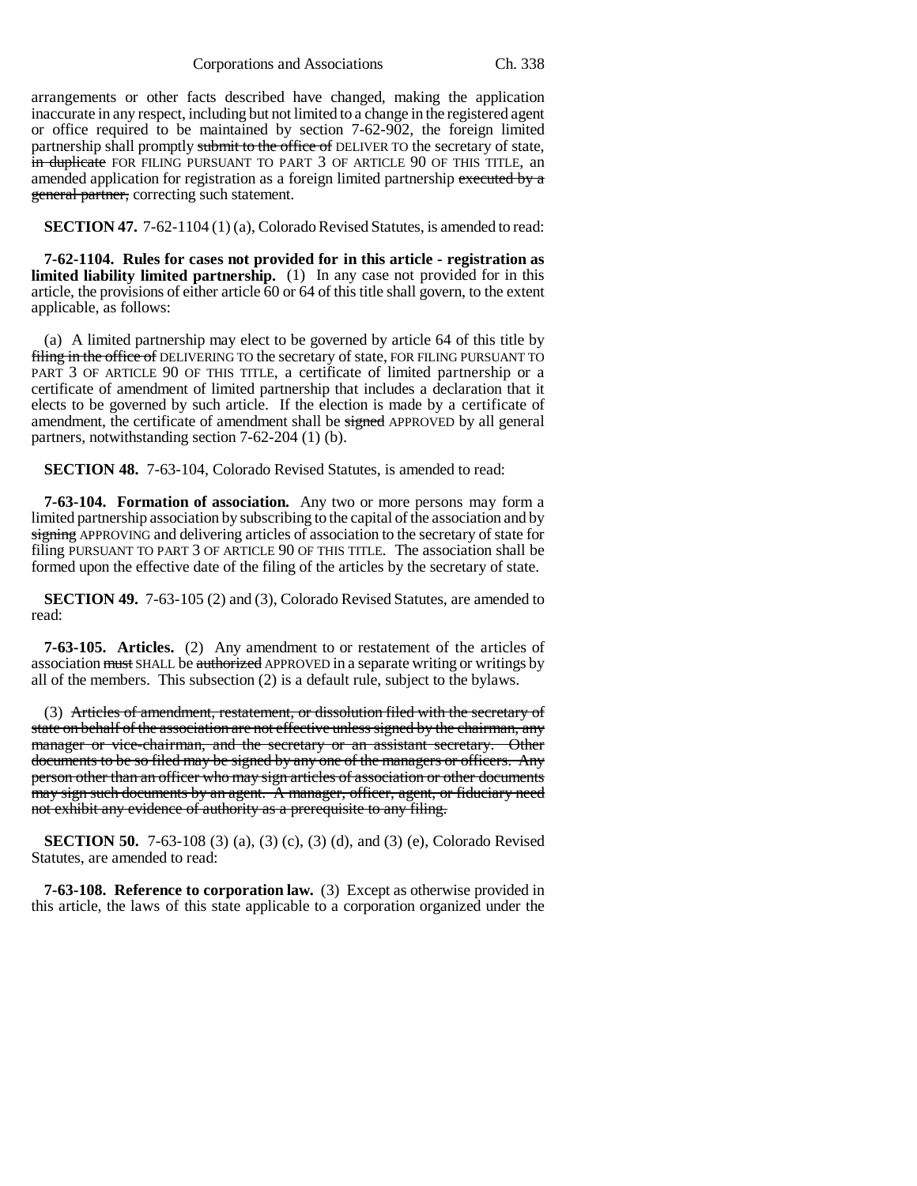Corporations and Associations Ch. 338

arrangements or other facts described have changed, making the application inaccurate in any respect, including but not limited to a change in the registered agent or office required to be maintained by section 7-62-902, the foreign limited partnership shall promptly submit to the office of DELIVER TO the secretary of state, in duplicate FOR FILING PURSUANT TO PART 3 OF ARTICLE 90 OF THIS TITLE, an amended application for registration as a foreign limited partnership executed by a general partner, correcting such statement.

**SECTION 47.** 7-62-1104 (1) (a), Colorado Revised Statutes, is amended to read:

**7-62-1104. Rules for cases not provided for in this article - registration as limited liability limited partnership.** (1) In any case not provided for in this article, the provisions of either article 60 or 64 of this title shall govern, to the extent applicable, as follows:

(a) A limited partnership may elect to be governed by article 64 of this title by filing in the office of DELIVERING TO the secretary of state, FOR FILING PURSUANT TO PART 3 OF ARTICLE 90 OF THIS TITLE, a certificate of limited partnership or a certificate of amendment of limited partnership that includes a declaration that it elects to be governed by such article. If the election is made by a certificate of amendment, the certificate of amendment shall be signed APPROVED by all general partners, notwithstanding section 7-62-204 (1) (b).

**SECTION 48.** 7-63-104, Colorado Revised Statutes, is amended to read:

**7-63-104. Formation of association.** Any two or more persons may form a limited partnership association by subscribing to the capital of the association and by signing APPROVING and delivering articles of association to the secretary of state for filing PURSUANT TO PART 3 OF ARTICLE 90 OF THIS TITLE. The association shall be formed upon the effective date of the filing of the articles by the secretary of state.

**SECTION 49.** 7-63-105 (2) and (3), Colorado Revised Statutes, are amended to read:

**7-63-105. Articles.** (2) Any amendment to or restatement of the articles of association must SHALL be authorized APPROVED in a separate writing or writings by all of the members. This subsection (2) is a default rule, subject to the bylaws.

(3) Articles of amendment, restatement, or dissolution filed with the secretary of state on behalf of the association are not effective unless signed by the chairman, any manager or vice-chairman, and the secretary or an assistant secretary. Other documents to be so filed may be signed by any one of the managers or officers. Any person other than an officer who may sign articles of association or other documents may sign such documents by an agent. A manager, officer, agent, or fiduciary need not exhibit any evidence of authority as a prerequisite to any filing.

**SECTION 50.** 7-63-108 (3) (a), (3) (c), (3) (d), and (3) (e), Colorado Revised Statutes, are amended to read:

**7-63-108. Reference to corporation law.** (3) Except as otherwise provided in this article, the laws of this state applicable to a corporation organized under the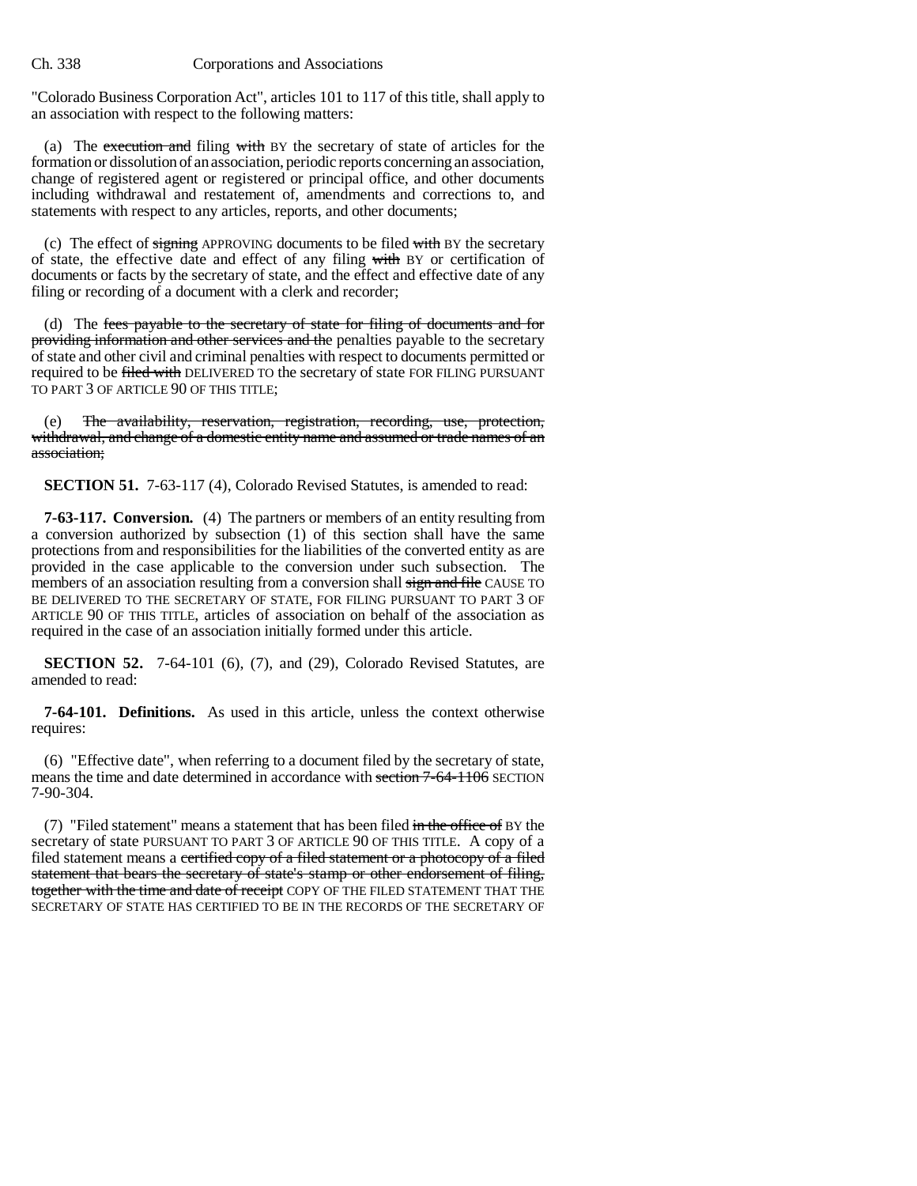"Colorado Business Corporation Act", articles 101 to 117 of this title, shall apply to an association with respect to the following matters:

(a) The execution and filing with BY the secretary of state of articles for the formation or dissolution of an association, periodic reports concerning an association, change of registered agent or registered or principal office, and other documents including withdrawal and restatement of, amendments and corrections to, and statements with respect to any articles, reports, and other documents;

(c) The effect of signing APPROVING documents to be filed with BY the secretary of state, the effective date and effect of any filing with BY or certification of documents or facts by the secretary of state, and the effect and effective date of any filing or recording of a document with a clerk and recorder;

(d) The fees payable to the secretary of state for filing of documents and for providing information and other services and the penalties payable to the secretary of state and other civil and criminal penalties with respect to documents permitted or required to be filed with DELIVERED TO the secretary of state FOR FILING PURSUANT TO PART 3 OF ARTICLE 90 OF THIS TITLE;

The availability, reservation, registration, recording, use, protection, withdrawal, and change of a domestic entity name and assumed or trade names of an association;

**SECTION 51.** 7-63-117 (4), Colorado Revised Statutes, is amended to read:

**7-63-117. Conversion.** (4) The partners or members of an entity resulting from a conversion authorized by subsection (1) of this section shall have the same protections from and responsibilities for the liabilities of the converted entity as are provided in the case applicable to the conversion under such subsection. The members of an association resulting from a conversion shall sign and file CAUSE TO BE DELIVERED TO THE SECRETARY OF STATE, FOR FILING PURSUANT TO PART 3 OF ARTICLE 90 OF THIS TITLE, articles of association on behalf of the association as required in the case of an association initially formed under this article.

**SECTION 52.** 7-64-101 (6), (7), and (29), Colorado Revised Statutes, are amended to read:

**7-64-101. Definitions.** As used in this article, unless the context otherwise requires:

(6) "Effective date", when referring to a document filed by the secretary of state, means the time and date determined in accordance with section 7-64-1106 SECTION 7-90-304.

(7) "Filed statement" means a statement that has been filed  $\frac{d}{dt}$  in the office of BY the secretary of state PURSUANT TO PART 3 OF ARTICLE 90 OF THIS TITLE. A copy of a filed statement means a certified copy of a filed statement or a photocopy of a filed statement that bears the secretary of state's stamp or other endorsement of filing, together with the time and date of receipt COPY OF THE FILED STATEMENT THAT THE SECRETARY OF STATE HAS CERTIFIED TO BE IN THE RECORDS OF THE SECRETARY OF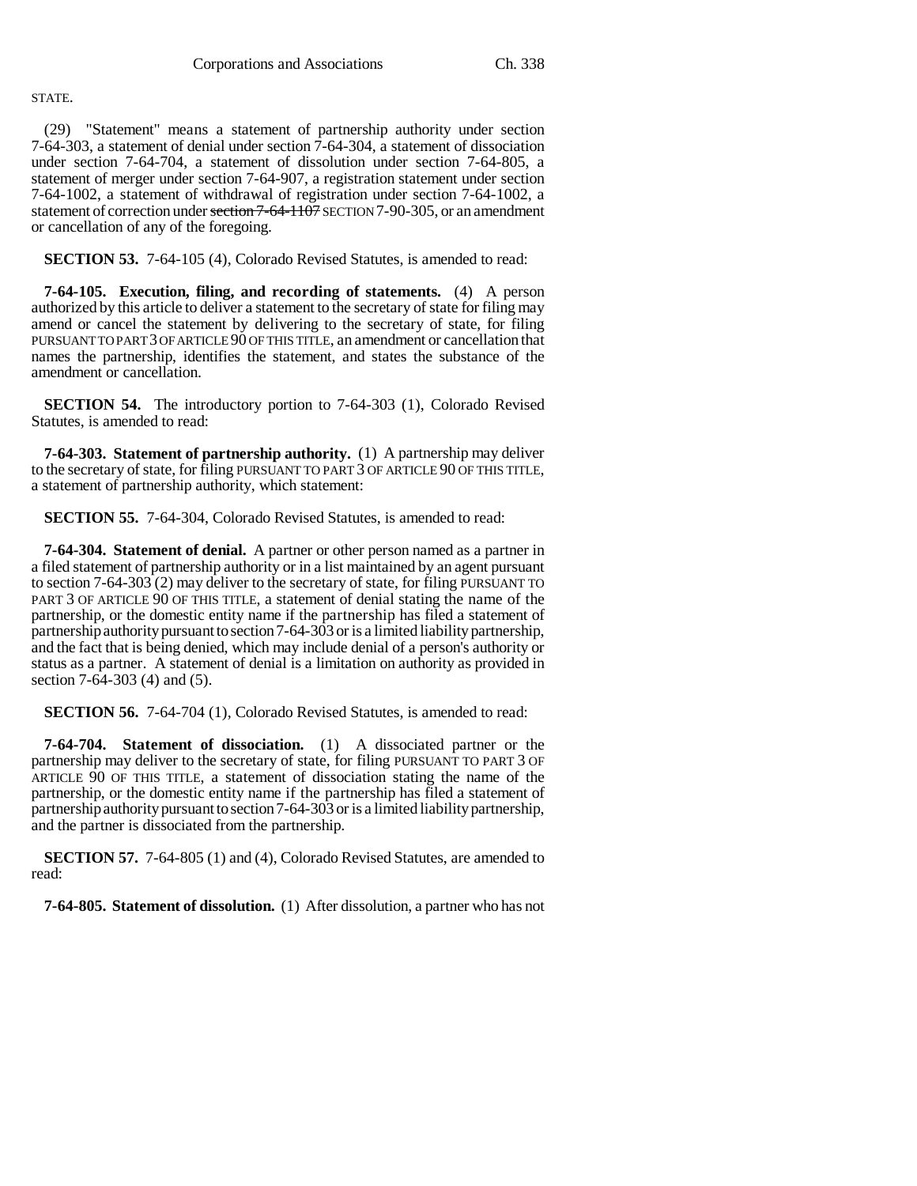## STATE.

(29) "Statement" means a statement of partnership authority under section 7-64-303, a statement of denial under section 7-64-304, a statement of dissociation under section 7-64-704, a statement of dissolution under section 7-64-805, a statement of merger under section 7-64-907, a registration statement under section 7-64-1002, a statement of withdrawal of registration under section 7-64-1002, a statement of correction under section 7-64-1107 SECTION 7-90-305, or an amendment or cancellation of any of the foregoing.

**SECTION 53.** 7-64-105 (4), Colorado Revised Statutes, is amended to read:

**7-64-105. Execution, filing, and recording of statements.** (4) A person authorized by this article to deliver a statement to the secretary of state for filing may amend or cancel the statement by delivering to the secretary of state, for filing PURSUANT TO PART 3 OF ARTICLE 90 OF THIS TITLE, an amendment or cancellation that names the partnership, identifies the statement, and states the substance of the amendment or cancellation.

**SECTION 54.** The introductory portion to 7-64-303 (1), Colorado Revised Statutes, is amended to read:

**7-64-303. Statement of partnership authority.** (1) A partnership may deliver to the secretary of state, for filing PURSUANT TO PART 3 OF ARTICLE 90 OF THIS TITLE, a statement of partnership authority, which statement:

**SECTION 55.** 7-64-304, Colorado Revised Statutes, is amended to read:

**7-64-304. Statement of denial.** A partner or other person named as a partner in a filed statement of partnership authority or in a list maintained by an agent pursuant to section 7-64-303 (2) may deliver to the secretary of state, for filing PURSUANT TO PART 3 OF ARTICLE 90 OF THIS TITLE, a statement of denial stating the name of the partnership, or the domestic entity name if the partnership has filed a statement of partnership authority pursuant to section 7-64-303 or is a limited liability partnership, and the fact that is being denied, which may include denial of a person's authority or status as a partner. A statement of denial is a limitation on authority as provided in section 7-64-303 (4) and (5).

**SECTION 56.** 7-64-704 (1), Colorado Revised Statutes, is amended to read:

**7-64-704. Statement of dissociation.** (1) A dissociated partner or the partnership may deliver to the secretary of state, for filing PURSUANT TO PART 3 OF ARTICLE 90 OF THIS TITLE, a statement of dissociation stating the name of the partnership, or the domestic entity name if the partnership has filed a statement of partnership authority pursuant to section 7-64-303 or is a limited liability partnership, and the partner is dissociated from the partnership.

**SECTION 57.** 7-64-805 (1) and (4), Colorado Revised Statutes, are amended to read:

**7-64-805. Statement of dissolution.** (1) After dissolution, a partner who has not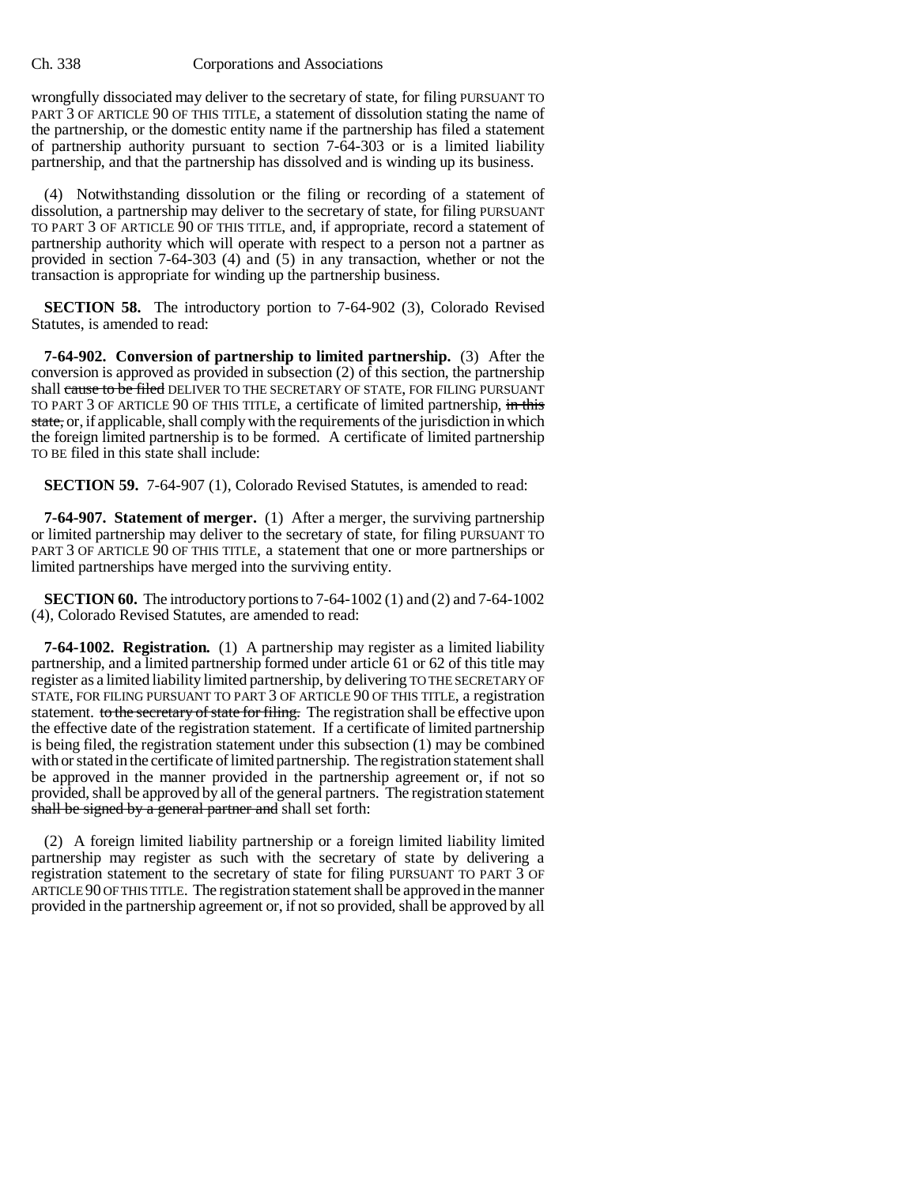wrongfully dissociated may deliver to the secretary of state, for filing PURSUANT TO PART 3 OF ARTICLE 90 OF THIS TITLE, a statement of dissolution stating the name of the partnership, or the domestic entity name if the partnership has filed a statement of partnership authority pursuant to section 7-64-303 or is a limited liability partnership, and that the partnership has dissolved and is winding up its business.

(4) Notwithstanding dissolution or the filing or recording of a statement of dissolution, a partnership may deliver to the secretary of state, for filing PURSUANT TO PART 3 OF ARTICLE 90 OF THIS TITLE, and, if appropriate, record a statement of partnership authority which will operate with respect to a person not a partner as provided in section 7-64-303 (4) and (5) in any transaction, whether or not the transaction is appropriate for winding up the partnership business.

**SECTION 58.** The introductory portion to 7-64-902 (3), Colorado Revised Statutes, is amended to read:

**7-64-902. Conversion of partnership to limited partnership.** (3) After the conversion is approved as provided in subsection (2) of this section, the partnership shall cause to be filed DELIVER TO THE SECRETARY OF STATE, FOR FILING PURSUANT TO PART 3 OF ARTICLE 90 OF THIS TITLE, a certificate of limited partnership, in this state, or, if applicable, shall comply with the requirements of the jurisdiction in which the foreign limited partnership is to be formed. A certificate of limited partnership TO BE filed in this state shall include:

**SECTION 59.** 7-64-907 (1), Colorado Revised Statutes, is amended to read:

**7-64-907. Statement of merger.** (1) After a merger, the surviving partnership or limited partnership may deliver to the secretary of state, for filing PURSUANT TO PART 3 OF ARTICLE 90 OF THIS TITLE, a statement that one or more partnerships or limited partnerships have merged into the surviving entity.

**SECTION 60.** The introductory portions to 7-64-1002 (1) and (2) and 7-64-1002 (4), Colorado Revised Statutes, are amended to read:

**7-64-1002. Registration.** (1) A partnership may register as a limited liability partnership, and a limited partnership formed under article 61 or 62 of this title may register as a limited liability limited partnership, by delivering TO THE SECRETARY OF STATE, FOR FILING PURSUANT TO PART 3 OF ARTICLE 90 OF THIS TITLE, a registration statement. to the secretary of state for filing. The registration shall be effective upon the effective date of the registration statement. If a certificate of limited partnership is being filed, the registration statement under this subsection (1) may be combined with or stated in the certificate of limited partnership. The registration statement shall be approved in the manner provided in the partnership agreement or, if not so provided, shall be approved by all of the general partners. The registration statement shall be signed by a general partner and shall set forth:

(2) A foreign limited liability partnership or a foreign limited liability limited partnership may register as such with the secretary of state by delivering a registration statement to the secretary of state for filing PURSUANT TO PART 3 OF ARTICLE 90 OF THIS TITLE. The registration statement shall be approved in the manner provided in the partnership agreement or, if not so provided, shall be approved by all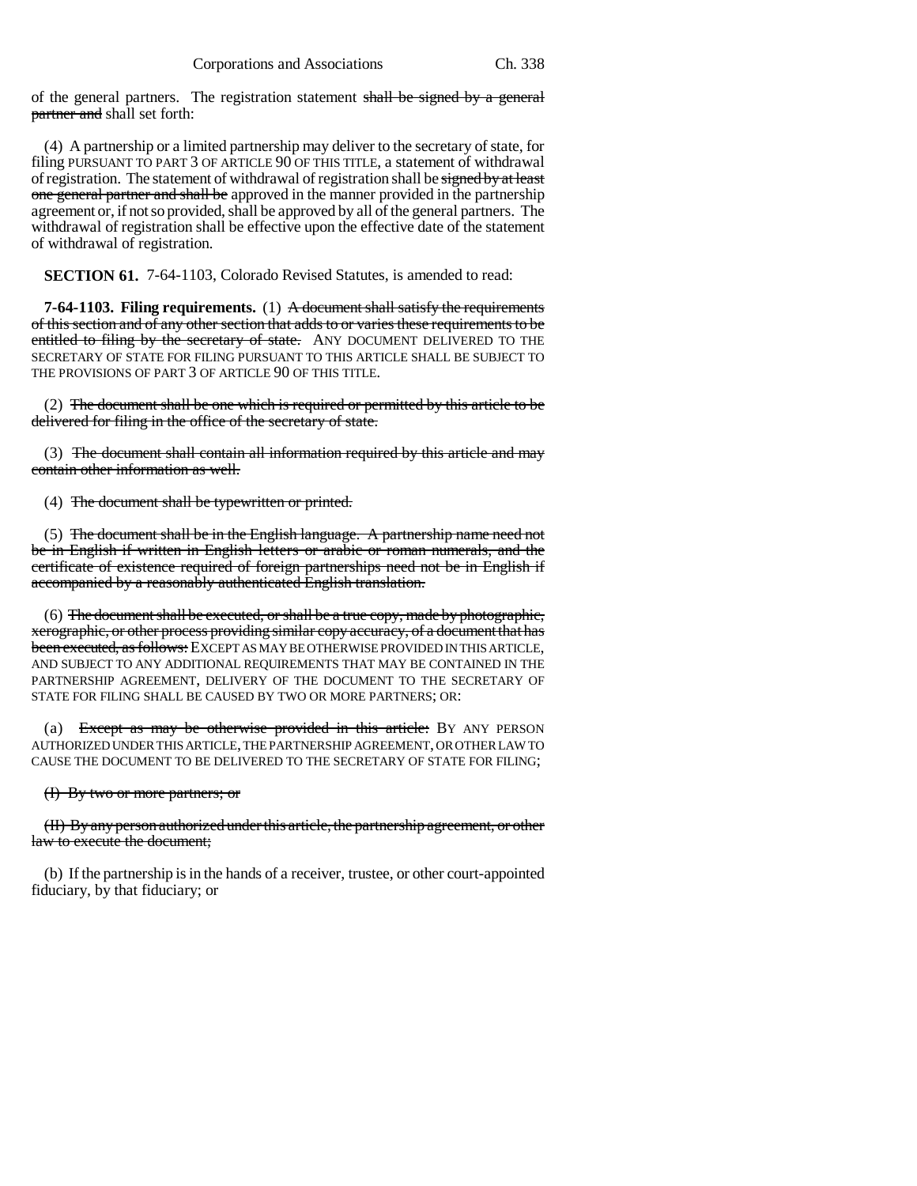of the general partners. The registration statement shall be signed by a general partner and shall set forth:

(4) A partnership or a limited partnership may deliver to the secretary of state, for filing PURSUANT TO PART 3 OF ARTICLE 90 OF THIS TITLE, a statement of withdrawal of registration. The statement of withdrawal of registration shall be signed by at least one general partner and shall be approved in the manner provided in the partnership agreement or, if not so provided, shall be approved by all of the general partners. The withdrawal of registration shall be effective upon the effective date of the statement of withdrawal of registration.

**SECTION 61.** 7-64-1103, Colorado Revised Statutes, is amended to read:

**7-64-1103. Filing requirements.** (1) A document shall satisfy the requirements of this section and of any other section that adds to or varies these requirements to be entitled to filing by the secretary of state. ANY DOCUMENT DELIVERED TO THE SECRETARY OF STATE FOR FILING PURSUANT TO THIS ARTICLE SHALL BE SUBJECT TO THE PROVISIONS OF PART 3 OF ARTICLE 90 OF THIS TITLE.

(2) The document shall be one which is required or permitted by this article to be delivered for filing in the office of the secretary of state.

(3) The document shall contain all information required by this article and may contain other information as well.

(4) The document shall be typewritten or printed.

(5) The document shall be in the English language. A partnership name need not be in English if written in English letters or arabic or roman numerals, and the certificate of existence required of foreign partnerships need not be in English if accompanied by a reasonably authenticated English translation.

(6) The document shall be executed, or shall be a true copy, made by photographic, xerographic, or other process providing similar copy accuracy, of a document that has been executed, as follows: EXCEPT AS MAY BE OTHERWISE PROVIDED IN THIS ARTICLE, AND SUBJECT TO ANY ADDITIONAL REQUIREMENTS THAT MAY BE CONTAINED IN THE PARTNERSHIP AGREEMENT, DELIVERY OF THE DOCUMENT TO THE SECRETARY OF STATE FOR FILING SHALL BE CAUSED BY TWO OR MORE PARTNERS; OR:

(a) Except as may be otherwise provided in this article: BY ANY PERSON AUTHORIZED UNDER THIS ARTICLE, THE PARTNERSHIP AGREEMENT, OR OTHER LAW TO CAUSE THE DOCUMENT TO BE DELIVERED TO THE SECRETARY OF STATE FOR FILING;

#### (I) By two or more partners; or

(II) By any person authorized under this article, the partnership agreement, or other law to execute the document;

(b) If the partnership is in the hands of a receiver, trustee, or other court-appointed fiduciary, by that fiduciary; or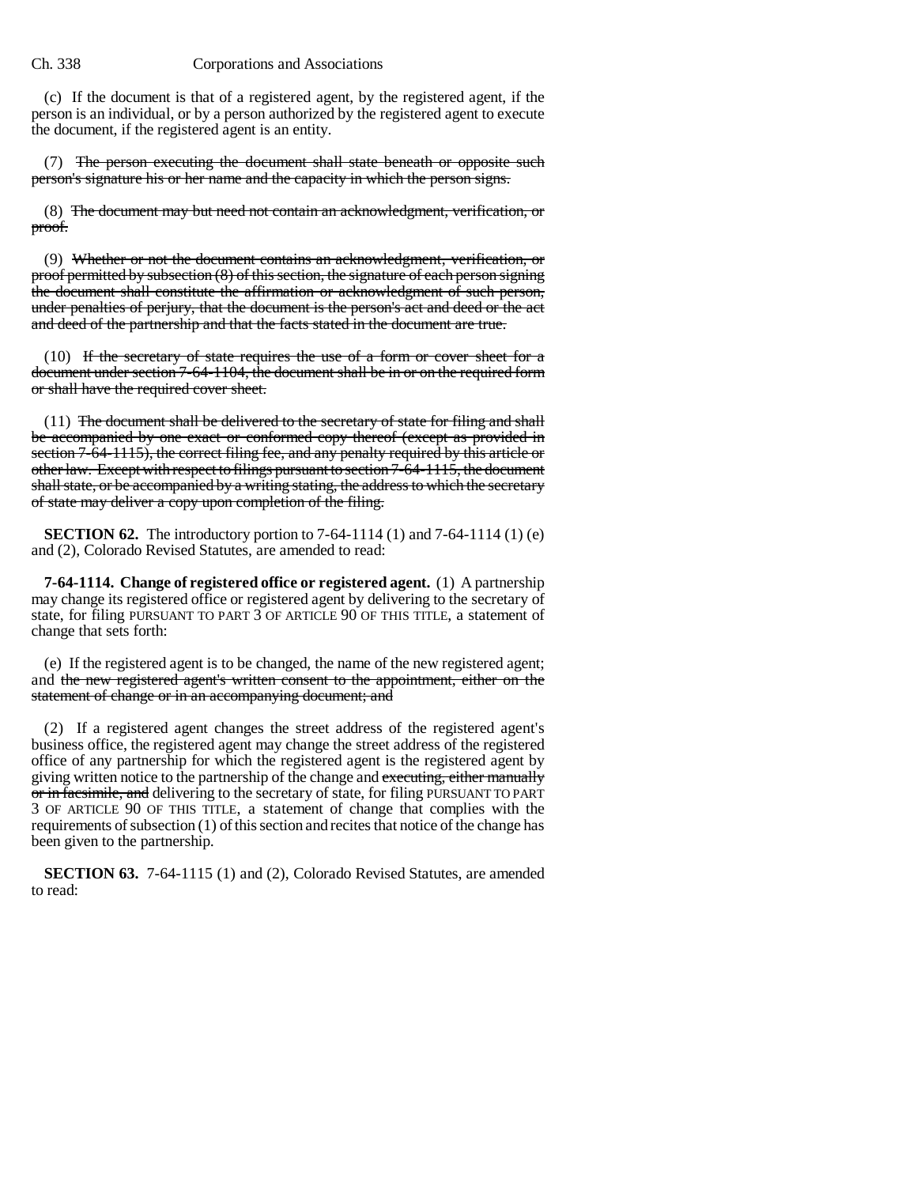(c) If the document is that of a registered agent, by the registered agent, if the person is an individual, or by a person authorized by the registered agent to execute the document, if the registered agent is an entity.

(7) The person executing the document shall state beneath or opposite such person's signature his or her name and the capacity in which the person signs.

(8) The document may but need not contain an acknowledgment, verification, or proof.

(9) Whether or not the document contains an acknowledgment, verification, or proof permitted by subsection (8) of this section, the signature of each person signing the document shall constitute the affirmation or acknowledgment of such person, under penalties of perjury, that the document is the person's act and deed or the act and deed of the partnership and that the facts stated in the document are true.

 $(10)$  If the secretary of state requires the use of a form or cover sheet for a document under section 7-64-1104, the document shall be in or on the required form or shall have the required cover sheet.

 $(11)$  The document shall be delivered to the secretary of state for filing and shall be accompanied by one exact or conformed copy thereof (except as provided in section 7-64-1115), the correct filing fee, and any penalty required by this article or other law. Except with respect to filings pursuant to section 7-64-1115, the document shall state, or be accompanied by a writing stating, the address to which the secretary of state may deliver a copy upon completion of the filing.

**SECTION 62.** The introductory portion to 7-64-1114 (1) and 7-64-1114 (1) (e) and (2), Colorado Revised Statutes, are amended to read:

**7-64-1114. Change of registered office or registered agent.** (1) A partnership may change its registered office or registered agent by delivering to the secretary of state, for filing PURSUANT TO PART 3 OF ARTICLE 90 OF THIS TITLE, a statement of change that sets forth:

(e) If the registered agent is to be changed, the name of the new registered agent; and the new registered agent's written consent to the appointment, either on the statement of change or in an accompanying document; and

(2) If a registered agent changes the street address of the registered agent's business office, the registered agent may change the street address of the registered office of any partnership for which the registered agent is the registered agent by giving written notice to the partnership of the change and executing, either manually or in facsimile, and delivering to the secretary of state, for filing PURSUANT TO PART 3 OF ARTICLE 90 OF THIS TITLE, a statement of change that complies with the requirements of subsection (1) of this section and recites that notice of the change has been given to the partnership.

**SECTION 63.** 7-64-1115 (1) and (2), Colorado Revised Statutes, are amended to read: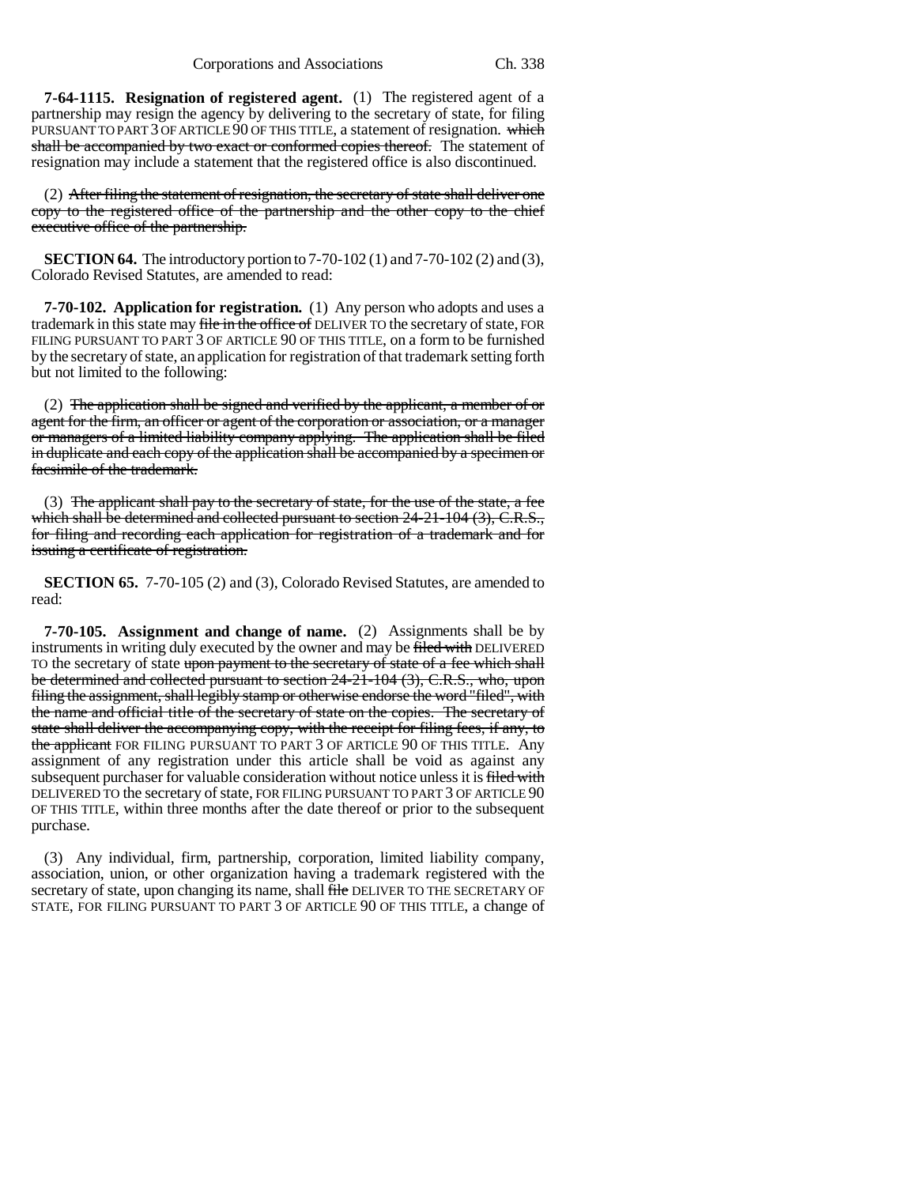**7-64-1115. Resignation of registered agent.** (1) The registered agent of a partnership may resign the agency by delivering to the secretary of state, for filing PURSUANT TO PART 3 OF ARTICLE 90 OF THIS TITLE, a statement of resignation. which shall be accompanied by two exact or conformed copies thereof. The statement of resignation may include a statement that the registered office is also discontinued.

(2) After filing the statement of resignation, the secretary of state shall deliver one copy to the registered office of the partnership and the other copy to the chief executive office of the partnership.

**SECTION 64.** The introductory portion to 7-70-102 (1) and 7-70-102 (2) and (3), Colorado Revised Statutes, are amended to read:

**7-70-102. Application for registration.** (1) Any person who adopts and uses a trademark in this state may file in the office of DELIVER TO the secretary of state, FOR FILING PURSUANT TO PART 3 OF ARTICLE 90 OF THIS TITLE, on a form to be furnished by the secretary of state, an application for registration of that trademark setting forth but not limited to the following:

(2) The application shall be signed and verified by the applicant, a member of or agent for the firm, an officer or agent of the corporation or association, or a manager or managers of a limited liability company applying. The application shall be filed in duplicate and each copy of the application shall be accompanied by a specimen or facsimile of the trademark.

(3) The applicant shall pay to the secretary of state, for the use of the state, a fee which shall be determined and collected pursuant to section 24-21-104 (3), C.R.S., for filing and recording each application for registration of a trademark and for issuing a certificate of registration.

**SECTION 65.** 7-70-105 (2) and (3), Colorado Revised Statutes, are amended to read:

**7-70-105. Assignment and change of name.** (2) Assignments shall be by instruments in writing duly executed by the owner and may be filed with DELIVERED TO the secretary of state upon payment to the secretary of state of a fee which shall be determined and collected pursuant to section 24-21-104 (3), C.R.S., who, upon filing the assignment, shall legibly stamp or otherwise endorse the word "filed", with the name and official title of the secretary of state on the copies. The secretary of state shall deliver the accompanying copy, with the receipt for filing fees, if any, to the applicant FOR FILING PURSUANT TO PART 3 OF ARTICLE 90 OF THIS TITLE. Any assignment of any registration under this article shall be void as against any subsequent purchaser for valuable consideration without notice unless it is filed with DELIVERED TO the secretary of state, FOR FILING PURSUANT TO PART 3 OF ARTICLE 90 OF THIS TITLE, within three months after the date thereof or prior to the subsequent purchase.

(3) Any individual, firm, partnership, corporation, limited liability company, association, union, or other organization having a trademark registered with the secretary of state, upon changing its name, shall file DELIVER TO THE SECRETARY OF STATE, FOR FILING PURSUANT TO PART 3 OF ARTICLE 90 OF THIS TITLE, a change of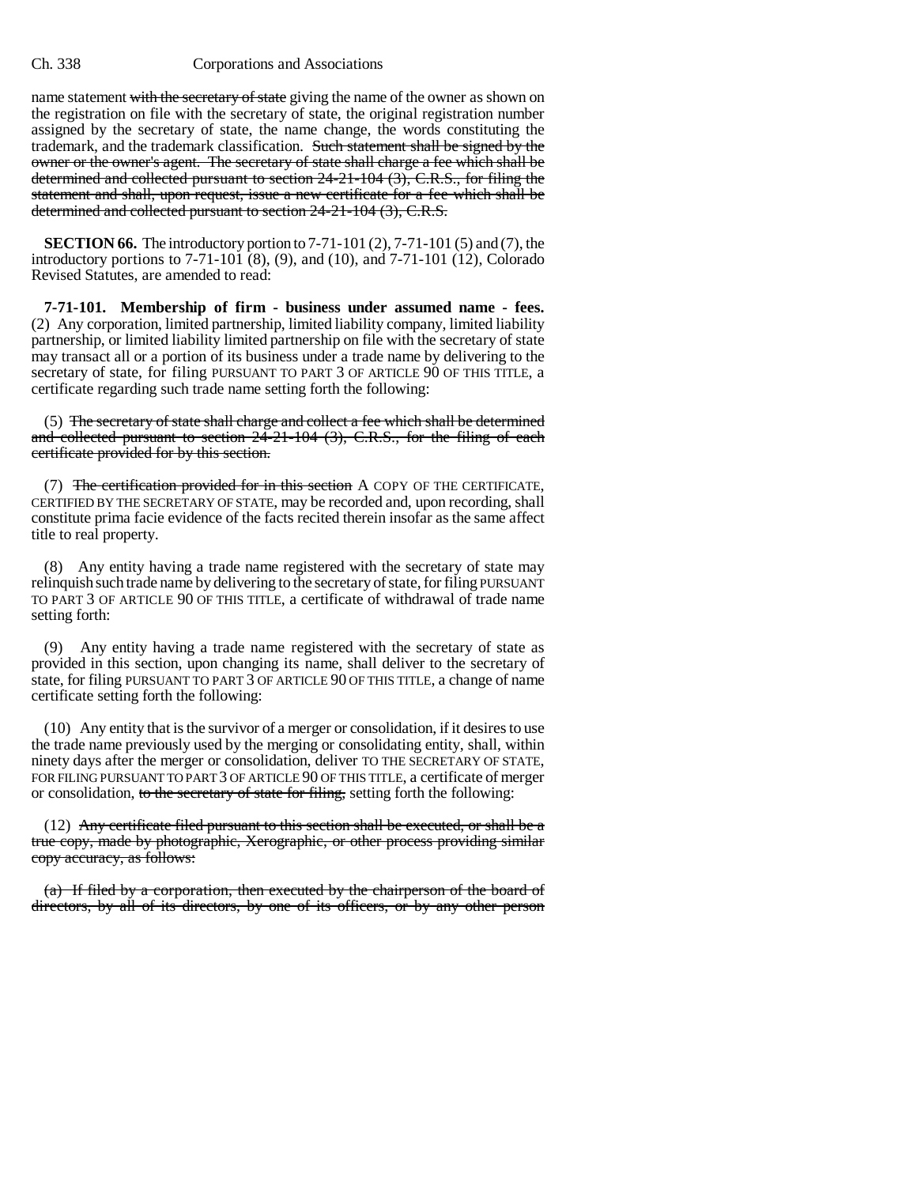name statement with the secretary of state giving the name of the owner as shown on the registration on file with the secretary of state, the original registration number assigned by the secretary of state, the name change, the words constituting the trademark, and the trademark classification. Such statement shall be signed by the owner or the owner's agent. The secretary of state shall charge a fee which shall be determined and collected pursuant to section 24-21-104 (3), C.R.S., for filing the statement and shall, upon request, issue a new certificate for a fee which shall be determined and collected pursuant to section 24-21-104 (3), C.R.S.

**SECTION 66.** The introductory portion to 7-71-101 (2), 7-71-101 (5) and (7), the introductory portions to 7-71-101 (8), (9), and (10), and 7-71-101 (12), Colorado Revised Statutes, are amended to read:

**7-71-101. Membership of firm - business under assumed name - fees.** (2) Any corporation, limited partnership, limited liability company, limited liability partnership, or limited liability limited partnership on file with the secretary of state may transact all or a portion of its business under a trade name by delivering to the secretary of state, for filing PURSUANT TO PART 3 OF ARTICLE 90 OF THIS TITLE, a certificate regarding such trade name setting forth the following:

(5) The secretary of state shall charge and collect a fee which shall be determined and collected pursuant to section 24-21-104 (3), C.R.S., for the filing of each certificate provided for by this section.

(7) The certification provided for in this section A COPY OF THE CERTIFICATE, CERTIFIED BY THE SECRETARY OF STATE, may be recorded and, upon recording, shall constitute prima facie evidence of the facts recited therein insofar as the same affect title to real property.

(8) Any entity having a trade name registered with the secretary of state may relinquish such trade name by delivering to the secretary of state, for filing PURSUANT TO PART 3 OF ARTICLE 90 OF THIS TITLE, a certificate of withdrawal of trade name setting forth:

(9) Any entity having a trade name registered with the secretary of state as provided in this section, upon changing its name, shall deliver to the secretary of state, for filing PURSUANT TO PART 3 OF ARTICLE 90 OF THIS TITLE, a change of name certificate setting forth the following:

(10) Any entity that is the survivor of a merger or consolidation, if it desires to use the trade name previously used by the merging or consolidating entity, shall, within ninety days after the merger or consolidation, deliver TO THE SECRETARY OF STATE, FOR FILING PURSUANT TO PART 3 OF ARTICLE 90 OF THIS TITLE, a certificate of merger or consolidation, to the secretary of state for filing, setting forth the following:

 $(12)$  Any certificate filed pursuant to this section shall be executed, or shall be a true copy, made by photographic, Xerographic, or other process providing similar copy accuracy, as follows:

(a) If filed by a corporation, then executed by the chairperson of the board of directors, by all of its directors, by one of its officers, or by any other person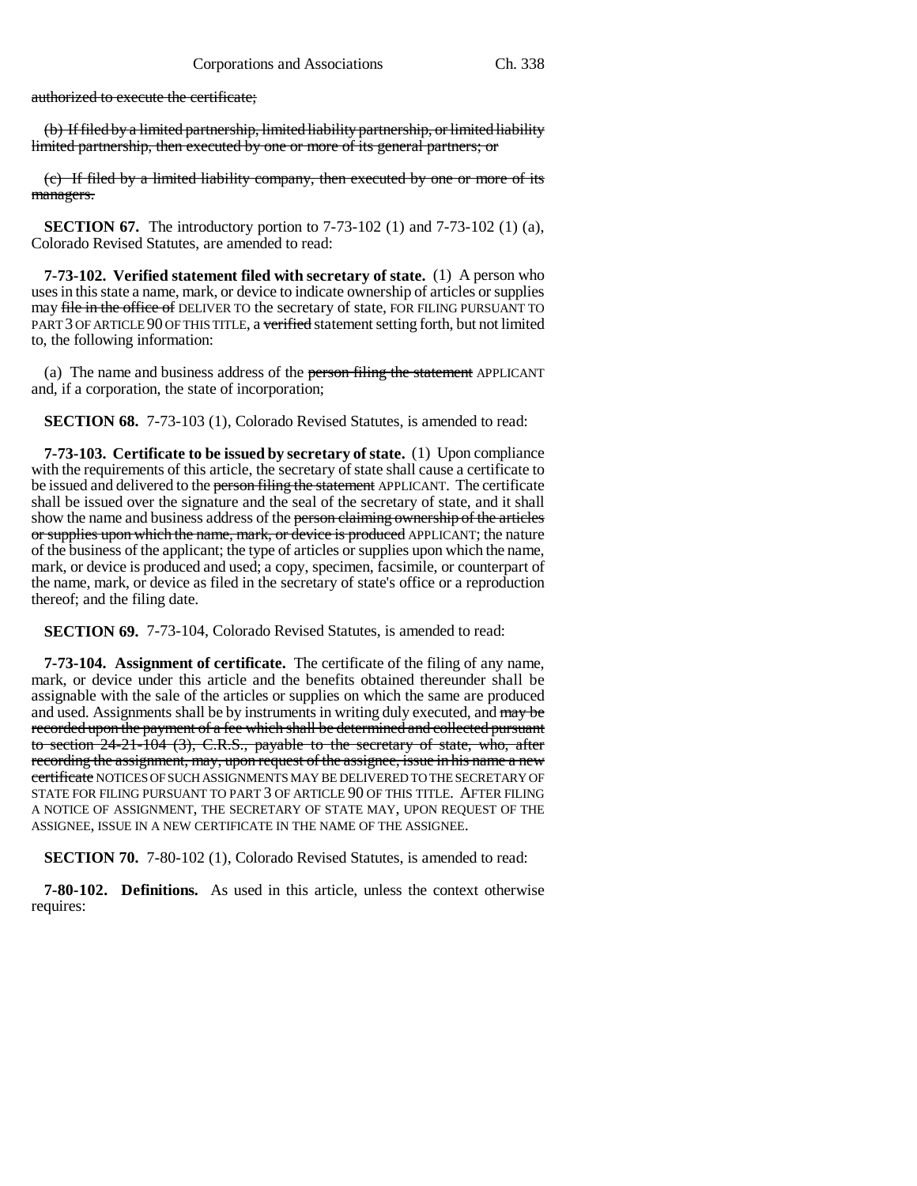authorized to execute the certificate;

(b) If filed by a limited partnership, limited liability partnership, or limited liability limited partnership, then executed by one or more of its general partners; or

(c) If filed by a limited liability company, then executed by one or more of its managers.

**SECTION 67.** The introductory portion to 7-73-102 (1) and 7-73-102 (1) (a), Colorado Revised Statutes, are amended to read:

**7-73-102. Verified statement filed with secretary of state.** (1) A person who uses in this state a name, mark, or device to indicate ownership of articles or supplies may file in the office of DELIVER TO the secretary of state, FOR FILING PURSUANT TO PART 3 OF ARTICLE 90 OF THIS TITLE, a verified statement setting forth, but not limited to, the following information:

(a) The name and business address of the person filing the statement APPLICANT and, if a corporation, the state of incorporation;

**SECTION 68.** 7-73-103 (1), Colorado Revised Statutes, is amended to read:

**7-73-103. Certificate to be issued by secretary of state.** (1) Upon compliance with the requirements of this article, the secretary of state shall cause a certificate to be issued and delivered to the person filing the statement APPLICANT. The certificate shall be issued over the signature and the seal of the secretary of state, and it shall show the name and business address of the person claiming ownership of the articles or supplies upon which the name, mark, or device is produced APPLICANT; the nature of the business of the applicant; the type of articles or supplies upon which the name, mark, or device is produced and used; a copy, specimen, facsimile, or counterpart of the name, mark, or device as filed in the secretary of state's office or a reproduction thereof; and the filing date.

**SECTION 69.** 7-73-104, Colorado Revised Statutes, is amended to read:

**7-73-104. Assignment of certificate.** The certificate of the filing of any name, mark, or device under this article and the benefits obtained thereunder shall be assignable with the sale of the articles or supplies on which the same are produced and used. Assignments shall be by instruments in writing duly executed, and may be recorded upon the payment of a fee which shall be determined and collected pursuant to section 24-21-104 (3), C.R.S., payable to the secretary of state, who, after recording the assignment, may, upon request of the assignee, issue in his name a new certificate NOTICES OF SUCH ASSIGNMENTS MAY BE DELIVERED TO THE SECRETARY OF STATE FOR FILING PURSUANT TO PART 3 OF ARTICLE 90 OF THIS TITLE. AFTER FILING A NOTICE OF ASSIGNMENT, THE SECRETARY OF STATE MAY, UPON REQUEST OF THE ASSIGNEE, ISSUE IN A NEW CERTIFICATE IN THE NAME OF THE ASSIGNEE.

**SECTION 70.** 7-80-102 (1), Colorado Revised Statutes, is amended to read:

**7-80-102. Definitions.** As used in this article, unless the context otherwise requires: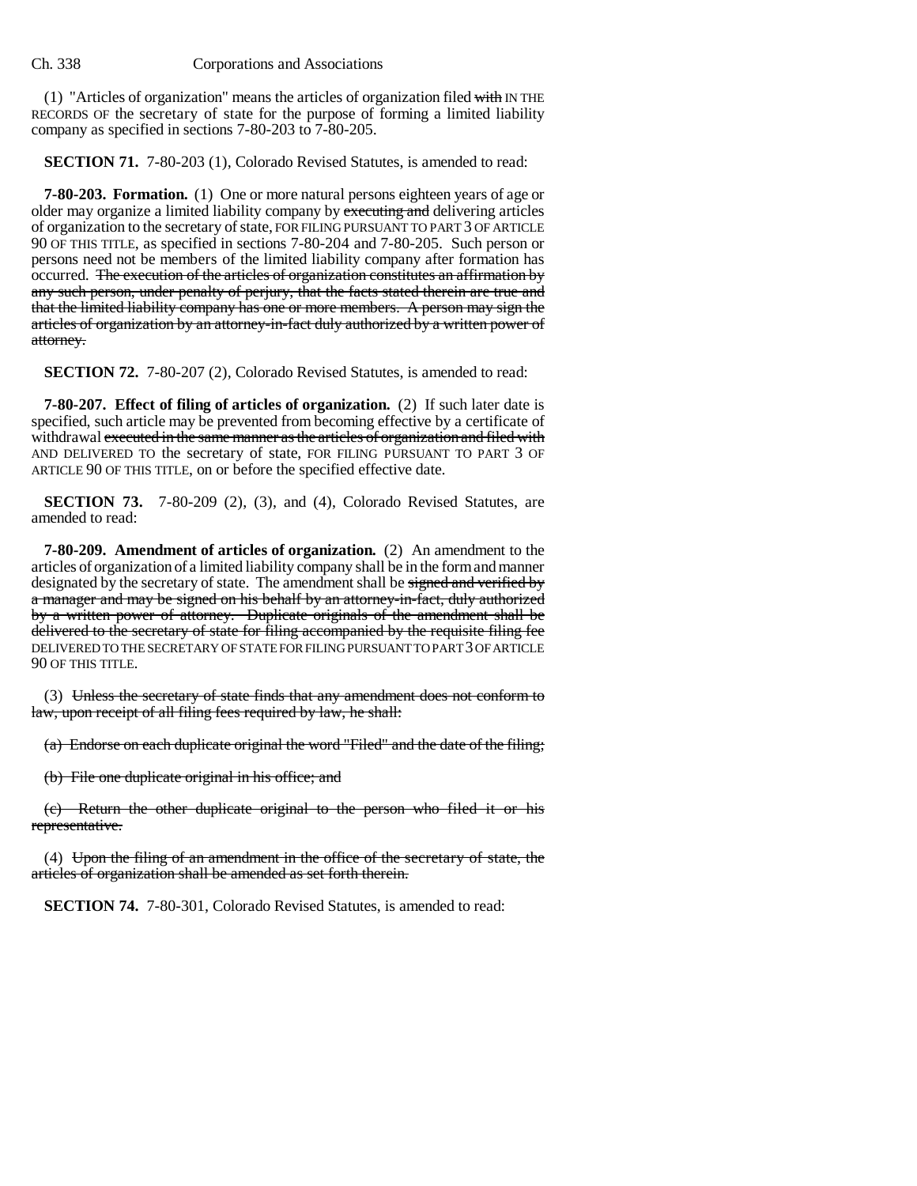$(1)$  "Articles of organization" means the articles of organization filed with IN THE RECORDS OF the secretary of state for the purpose of forming a limited liability company as specified in sections 7-80-203 to 7-80-205.

**SECTION 71.** 7-80-203 (1), Colorado Revised Statutes, is amended to read:

**7-80-203. Formation.** (1) One or more natural persons eighteen years of age or older may organize a limited liability company by executing and delivering articles of organization to the secretary of state, FOR FILING PURSUANT TO PART 3 OF ARTICLE 90 OF THIS TITLE, as specified in sections 7-80-204 and 7-80-205. Such person or persons need not be members of the limited liability company after formation has occurred. The execution of the articles of organization constitutes an affirmation by any such person, under penalty of perjury, that the facts stated therein are true and that the limited liability company has one or more members. A person may sign the articles of organization by an attorney-in-fact duly authorized by a written power of attorney.

**SECTION 72.** 7-80-207 (2), Colorado Revised Statutes, is amended to read:

**7-80-207. Effect of filing of articles of organization.** (2) If such later date is specified, such article may be prevented from becoming effective by a certificate of withdrawal executed in the same manner as the articles of organization and filed with AND DELIVERED TO the secretary of state, FOR FILING PURSUANT TO PART 3 OF ARTICLE 90 OF THIS TITLE, on or before the specified effective date.

**SECTION 73.** 7-80-209 (2), (3), and (4), Colorado Revised Statutes, are amended to read:

**7-80-209. Amendment of articles of organization.** (2) An amendment to the articles of organization of a limited liability company shall be in the form and manner designated by the secretary of state. The amendment shall be signed and verified by a manager and may be signed on his behalf by an attorney-in-fact, duly authorized by a written power of attorney. Duplicate originals of the amendment shall be delivered to the secretary of state for filing accompanied by the requisite filing fee DELIVERED TO THE SECRETARY OF STATE FOR FILING PURSUANT TO PART 3 OF ARTICLE 90 OF THIS TITLE.

(3) Unless the secretary of state finds that any amendment does not conform to law, upon receipt of all filing fees required by law, he shall:

(a) Endorse on each duplicate original the word "Filed" and the date of the filing;

(b) File one duplicate original in his office; and

(c) Return the other duplicate original to the person who filed it or his representative.

(4) Upon the filing of an amendment in the office of the secretary of state, the articles of organization shall be amended as set forth therein.

**SECTION 74.** 7-80-301, Colorado Revised Statutes, is amended to read: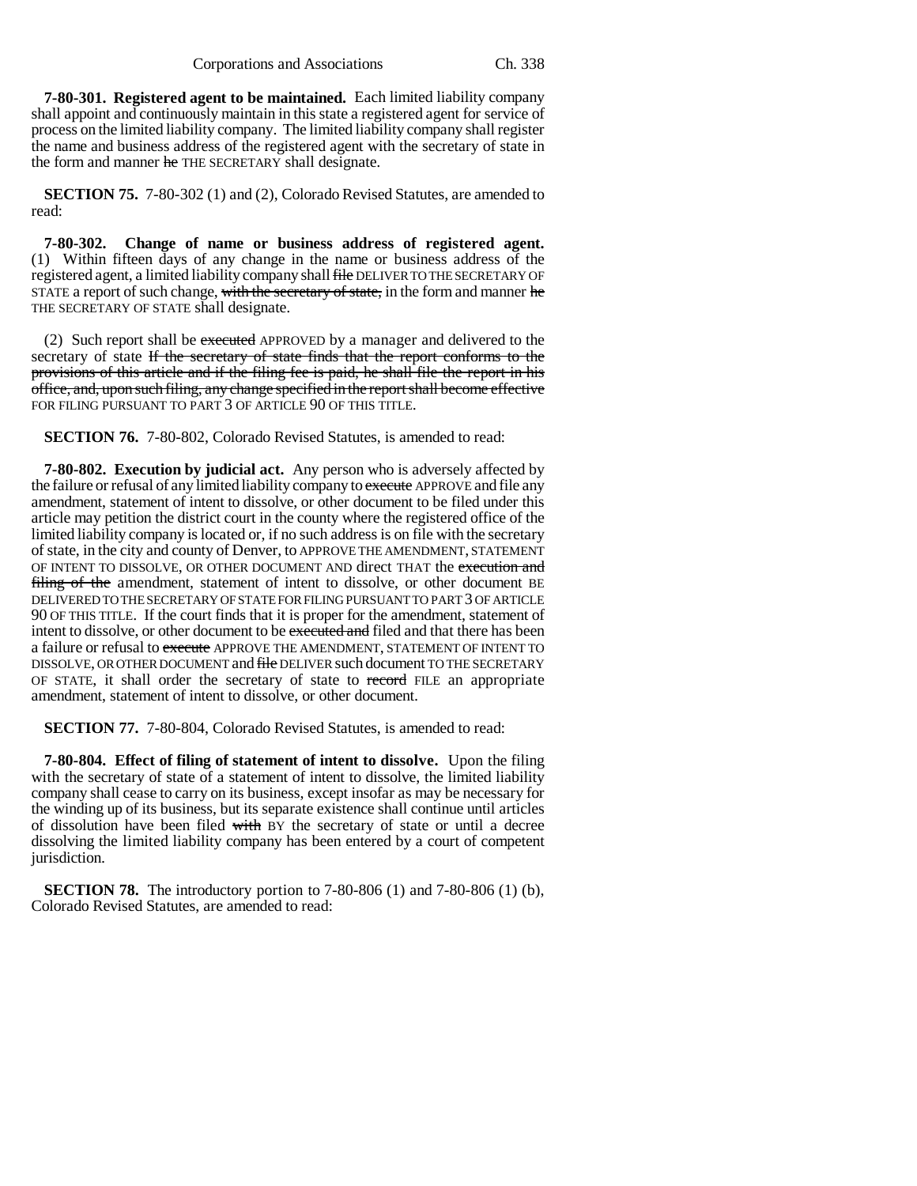**7-80-301. Registered agent to be maintained.** Each limited liability company shall appoint and continuously maintain in this state a registered agent for service of process on the limited liability company. The limited liability company shall register the name and business address of the registered agent with the secretary of state in the form and manner he THE SECRETARY shall designate.

**SECTION 75.** 7-80-302 (1) and (2), Colorado Revised Statutes, are amended to read:

**7-80-302. Change of name or business address of registered agent.** (1) Within fifteen days of any change in the name or business address of the registered agent, a limited liability company shall file DELIVER TO THE SECRETARY OF STATE a report of such change, with the secretary of state, in the form and manner he THE SECRETARY OF STATE shall designate.

(2) Such report shall be executed APPROVED by a manager and delivered to the secretary of state If the secretary of state finds that the report conforms to the provisions of this article and if the filing fee is paid, he shall file the report in his office, and, upon such filing, any change specified in the report shall become effective FOR FILING PURSUANT TO PART 3 OF ARTICLE 90 OF THIS TITLE.

**SECTION 76.** 7-80-802, Colorado Revised Statutes, is amended to read:

**7-80-802. Execution by judicial act.** Any person who is adversely affected by the failure or refusal of any limited liability company to execute APPROVE and file any amendment, statement of intent to dissolve, or other document to be filed under this article may petition the district court in the county where the registered office of the limited liability company is located or, if no such address is on file with the secretary of state, in the city and county of Denver, to APPROVE THE AMENDMENT, STATEMENT OF INTENT TO DISSOLVE, OR OTHER DOCUMENT AND direct THAT the execution and filing of the amendment, statement of intent to dissolve, or other document BE DELIVERED TO THE SECRETARY OF STATE FOR FILING PURSUANT TO PART 3 OF ARTICLE 90 OF THIS TITLE. If the court finds that it is proper for the amendment, statement of intent to dissolve, or other document to be executed and filed and that there has been a failure or refusal to execute APPROVE THE AMENDMENT, STATEMENT OF INTENT TO DISSOLVE, OR OTHER DOCUMENT and file DELIVER such document TO THE SECRETARY OF STATE, it shall order the secretary of state to record FILE an appropriate amendment, statement of intent to dissolve, or other document.

**SECTION 77.** 7-80-804, Colorado Revised Statutes, is amended to read:

**7-80-804. Effect of filing of statement of intent to dissolve.** Upon the filing with the secretary of state of a statement of intent to dissolve, the limited liability company shall cease to carry on its business, except insofar as may be necessary for the winding up of its business, but its separate existence shall continue until articles of dissolution have been filed with BY the secretary of state or until a decree dissolving the limited liability company has been entered by a court of competent jurisdiction.

**SECTION 78.** The introductory portion to 7-80-806 (1) and 7-80-806 (1) (b), Colorado Revised Statutes, are amended to read: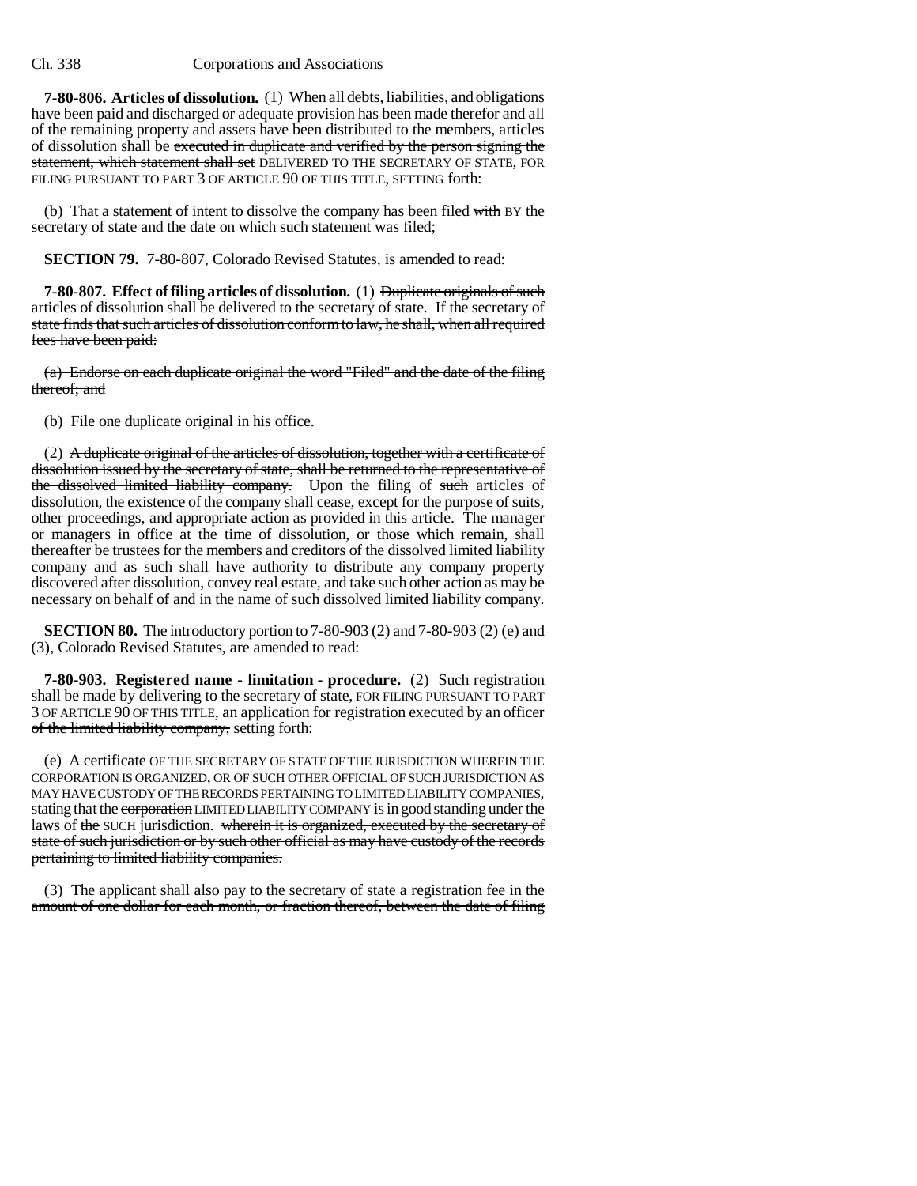**7-80-806. Articles of dissolution.** (1) When all debts, liabilities, and obligations have been paid and discharged or adequate provision has been made therefor and all of the remaining property and assets have been distributed to the members, articles of dissolution shall be executed in duplicate and verified by the person signing the statement, which statement shall set DELIVERED TO THE SECRETARY OF STATE, FOR FILING PURSUANT TO PART 3 OF ARTICLE 90 OF THIS TITLE, SETTING forth:

(b) That a statement of intent to dissolve the company has been filed with BY the secretary of state and the date on which such statement was filed;

**SECTION 79.** 7-80-807, Colorado Revised Statutes, is amended to read:

**7-80-807. Effect of filing articles of dissolution.** (1) Duplicate originals of such articles of dissolution shall be delivered to the secretary of state. If the secretary of state finds that such articles of dissolution conform to law, he shall, when all required fees have been paid:

(a) Endorse on each duplicate original the word "Filed" and the date of the filing thereof; and

(b) File one duplicate original in his office.

(2) A duplicate original of the articles of dissolution, together with a certificate of dissolution issued by the secretary of state, shall be returned to the representative of the dissolved limited liability company. Upon the filing of such articles of dissolution, the existence of the company shall cease, except for the purpose of suits, other proceedings, and appropriate action as provided in this article. The manager or managers in office at the time of dissolution, or those which remain, shall thereafter be trustees for the members and creditors of the dissolved limited liability company and as such shall have authority to distribute any company property discovered after dissolution, convey real estate, and take such other action as may be necessary on behalf of and in the name of such dissolved limited liability company.

**SECTION 80.** The introductory portion to 7-80-903 (2) and 7-80-903 (2) (e) and (3), Colorado Revised Statutes, are amended to read:

**7-80-903. Registered name - limitation - procedure.** (2) Such registration shall be made by delivering to the secretary of state, FOR FILING PURSUANT TO PART 3 OF ARTICLE 90 OF THIS TITLE, an application for registration executed by an officer of the limited liability company, setting forth:

(e) A certificate OF THE SECRETARY OF STATE OF THE JURISDICTION WHEREIN THE CORPORATION IS ORGANIZED, OR OF SUCH OTHER OFFICIAL OF SUCH JURISDICTION AS MAY HAVE CUSTODY OF THE RECORDS PERTAINING TO LIMITED LIABILITY COMPANIES, stating that the corporation LIMITED LIABILITY COMPANY is in good standing under the laws of the SUCH jurisdiction. wherein it is organized, executed by the secretary of state of such jurisdiction or by such other official as may have custody of the records pertaining to limited liability companies.

(3) The applicant shall also pay to the secretary of state a registration fee in the amount of one dollar for each month, or fraction thereof, between the date of filing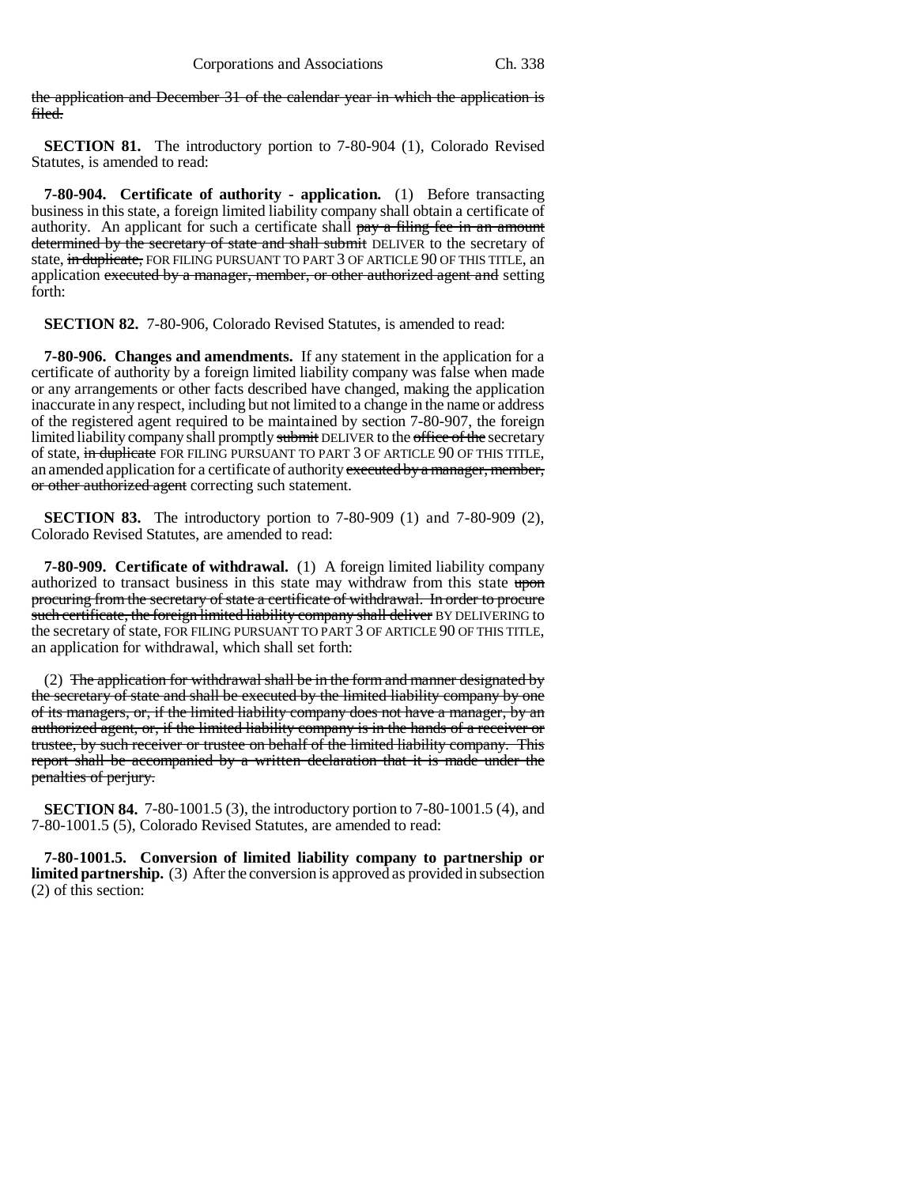the application and December 31 of the calendar year in which the application is filed.

**SECTION 81.** The introductory portion to 7-80-904 (1), Colorado Revised Statutes, is amended to read:

**7-80-904. Certificate of authority - application.** (1) Before transacting business in this state, a foreign limited liability company shall obtain a certificate of authority. An applicant for such a certificate shall pay a filing fee in an amount determined by the secretary of state and shall submit DELIVER to the secretary of state, in duplicate, FOR FILING PURSUANT TO PART 3 OF ARTICLE 90 OF THIS TITLE, an application executed by a manager, member, or other authorized agent and setting forth:

**SECTION 82.** 7-80-906, Colorado Revised Statutes, is amended to read:

**7-80-906. Changes and amendments.** If any statement in the application for a certificate of authority by a foreign limited liability company was false when made or any arrangements or other facts described have changed, making the application inaccurate in any respect, including but not limited to a change in the name or address of the registered agent required to be maintained by section 7-80-907, the foreign limited liability company shall promptly submit DELIVER to the office of the secretary of state, in duplicate FOR FILING PURSUANT TO PART 3 OF ARTICLE 90 OF THIS TITLE, an amended application for a certificate of authority executed by a manager, member, or other authorized agent correcting such statement.

**SECTION 83.** The introductory portion to 7-80-909 (1) and 7-80-909 (2), Colorado Revised Statutes, are amended to read:

**7-80-909. Certificate of withdrawal.** (1) A foreign limited liability company authorized to transact business in this state may withdraw from this state upon procuring from the secretary of state a certificate of withdrawal. In order to procure such certificate, the foreign limited liability company shall deliver BY DELIVERING to the secretary of state, FOR FILING PURSUANT TO PART 3 OF ARTICLE 90 OF THIS TITLE, an application for withdrawal, which shall set forth:

(2) The application for withdrawal shall be in the form and manner designated by the secretary of state and shall be executed by the limited liability company by one of its managers, or, if the limited liability company does not have a manager, by an authorized agent, or, if the limited liability company is in the hands of a receiver or trustee, by such receiver or trustee on behalf of the limited liability company. This report shall be accompanied by a written declaration that it is made under the penalties of perjury.

**SECTION 84.** 7-80-1001.5 (3), the introductory portion to 7-80-1001.5 (4), and 7-80-1001.5 (5), Colorado Revised Statutes, are amended to read:

**7-80-1001.5. Conversion of limited liability company to partnership or limited partnership.** (3) After the conversion is approved as provided in subsection (2) of this section: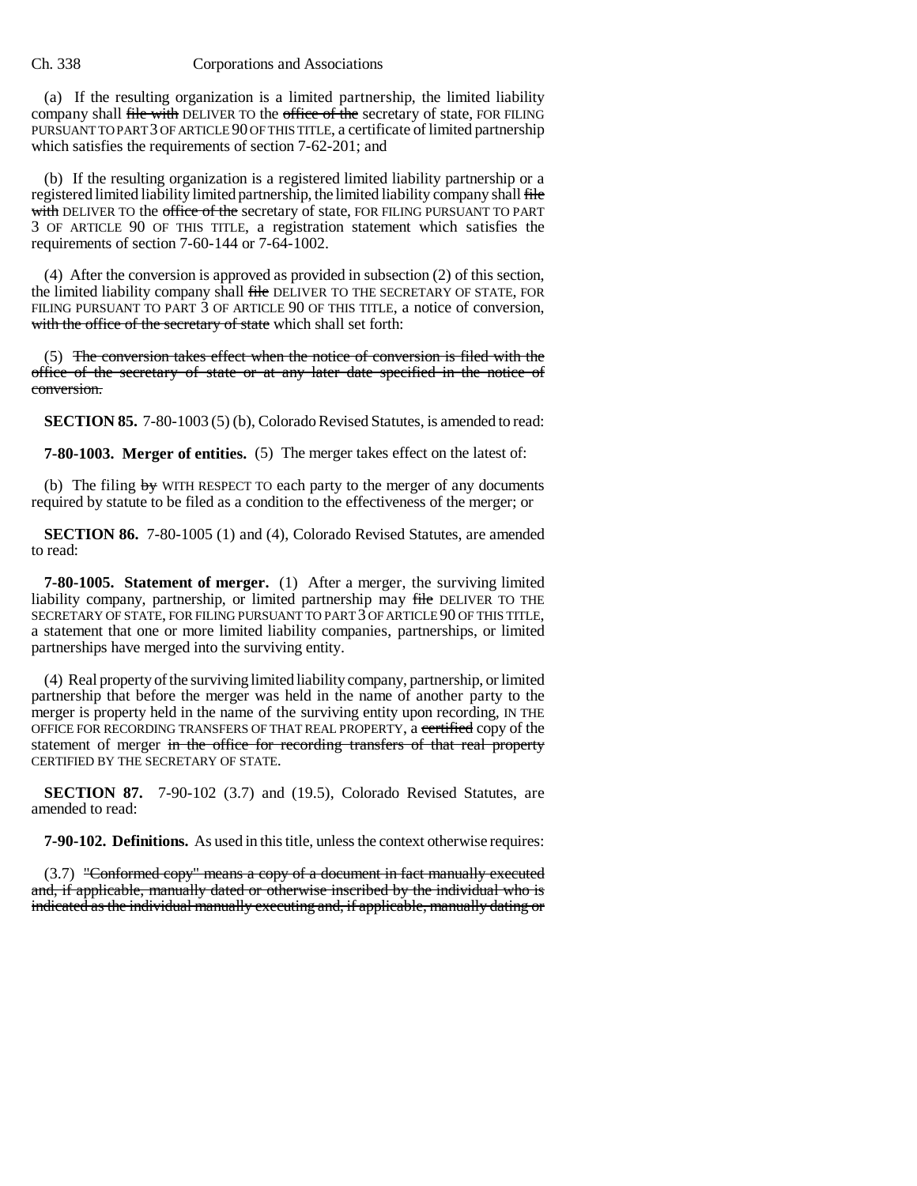(a) If the resulting organization is a limited partnership, the limited liability company shall file with DELIVER TO the office of the secretary of state, FOR FILING PURSUANT TO PART 3 OF ARTICLE 90 OF THIS TITLE, a certificate of limited partnership which satisfies the requirements of section 7-62-201; and

(b) If the resulting organization is a registered limited liability partnership or a registered limited liability limited partnership, the limited liability company shall file with DELIVER TO the office of the secretary of state, FOR FILING PURSUANT TO PART 3 OF ARTICLE 90 OF THIS TITLE, a registration statement which satisfies the requirements of section 7-60-144 or 7-64-1002.

(4) After the conversion is approved as provided in subsection (2) of this section, the limited liability company shall file DELIVER TO THE SECRETARY OF STATE, FOR FILING PURSUANT TO PART 3 OF ARTICLE 90 OF THIS TITLE, a notice of conversion, with the office of the secretary of state which shall set forth:

(5) The conversion takes effect when the notice of conversion is filed with the office of the secretary of state or at any later date specified in the notice of conversion.

**SECTION 85.** 7-80-1003 (5) (b), Colorado Revised Statutes, is amended to read:

**7-80-1003. Merger of entities.** (5) The merger takes effect on the latest of:

(b) The filing  $\frac{1}{2}$  WITH RESPECT TO each party to the merger of any documents required by statute to be filed as a condition to the effectiveness of the merger; or

**SECTION 86.** 7-80-1005 (1) and (4), Colorado Revised Statutes, are amended to read:

**7-80-1005. Statement of merger.** (1) After a merger, the surviving limited liability company, partnership, or limited partnership may file DELIVER TO THE SECRETARY OF STATE, FOR FILING PURSUANT TO PART 3 OF ARTICLE 90 OF THIS TITLE, a statement that one or more limited liability companies, partnerships, or limited partnerships have merged into the surviving entity.

(4) Real property of the surviving limited liability company, partnership, or limited partnership that before the merger was held in the name of another party to the merger is property held in the name of the surviving entity upon recording, IN THE OFFICE FOR RECORDING TRANSFERS OF THAT REAL PROPERTY, a certified copy of the statement of merger in the office for recording transfers of that real property CERTIFIED BY THE SECRETARY OF STATE.

**SECTION 87.** 7-90-102 (3.7) and (19.5), Colorado Revised Statutes, are amended to read:

**7-90-102. Definitions.** As used in this title, unless the context otherwise requires:

(3.7) "Conformed copy" means a copy of a document in fact manually executed and, if applicable, manually dated or otherwise inscribed by the individual who is indicated as the individual manually executing and, if applicable, manually dating or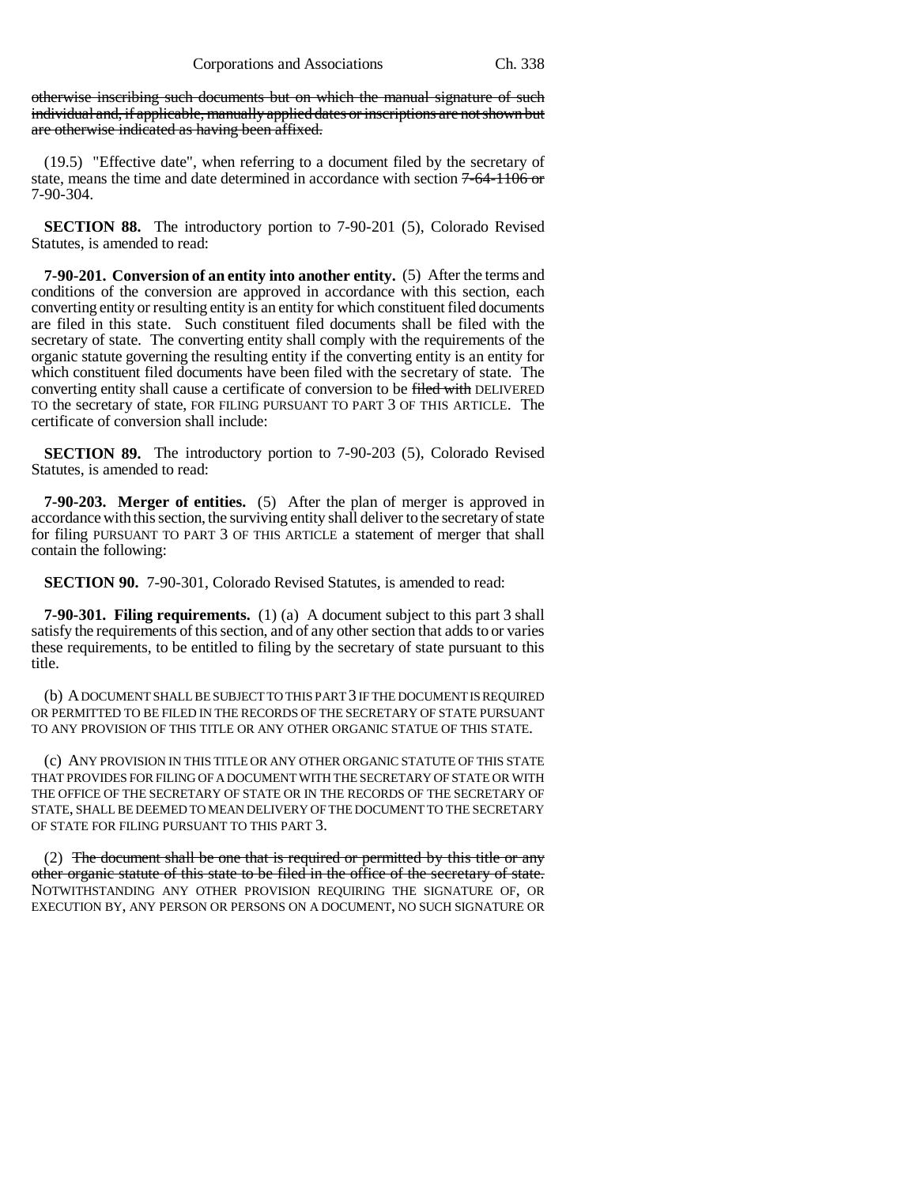otherwise inscribing such documents but on which the manual signature of such individual and, if applicable, manually applied dates or inscriptions are not shown but are otherwise indicated as having been affixed.

(19.5) "Effective date", when referring to a document filed by the secretary of state, means the time and date determined in accordance with section 7-64-1106 or 7-90-304.

**SECTION 88.** The introductory portion to 7-90-201 (5), Colorado Revised Statutes, is amended to read:

**7-90-201. Conversion of an entity into another entity.** (5) After the terms and conditions of the conversion are approved in accordance with this section, each converting entity or resulting entity is an entity for which constituent filed documents are filed in this state. Such constituent filed documents shall be filed with the secretary of state. The converting entity shall comply with the requirements of the organic statute governing the resulting entity if the converting entity is an entity for which constituent filed documents have been filed with the secretary of state. The converting entity shall cause a certificate of conversion to be filed with DELIVERED TO the secretary of state, FOR FILING PURSUANT TO PART 3 OF THIS ARTICLE. The certificate of conversion shall include:

**SECTION 89.** The introductory portion to 7-90-203 (5), Colorado Revised Statutes, is amended to read:

**7-90-203. Merger of entities.** (5) After the plan of merger is approved in accordance with this section, the surviving entity shall deliver to the secretary of state for filing PURSUANT TO PART 3 OF THIS ARTICLE a statement of merger that shall contain the following:

**SECTION 90.** 7-90-301, Colorado Revised Statutes, is amended to read:

**7-90-301. Filing requirements.** (1) (a) A document subject to this part 3 shall satisfy the requirements of this section, and of any other section that adds to or varies these requirements, to be entitled to filing by the secretary of state pursuant to this title.

(b) A DOCUMENT SHALL BE SUBJECT TO THIS PART 3 IF THE DOCUMENT IS REQUIRED OR PERMITTED TO BE FILED IN THE RECORDS OF THE SECRETARY OF STATE PURSUANT TO ANY PROVISION OF THIS TITLE OR ANY OTHER ORGANIC STATUE OF THIS STATE.

(c) ANY PROVISION IN THIS TITLE OR ANY OTHER ORGANIC STATUTE OF THIS STATE THAT PROVIDES FOR FILING OF A DOCUMENT WITH THE SECRETARY OF STATE OR WITH THE OFFICE OF THE SECRETARY OF STATE OR IN THE RECORDS OF THE SECRETARY OF STATE, SHALL BE DEEMED TO MEAN DELIVERY OF THE DOCUMENT TO THE SECRETARY OF STATE FOR FILING PURSUANT TO THIS PART 3.

(2) The document shall be one that is required or permitted by this title or any other organic statute of this state to be filed in the office of the secretary of state. NOTWITHSTANDING ANY OTHER PROVISION REQUIRING THE SIGNATURE OF, OR EXECUTION BY, ANY PERSON OR PERSONS ON A DOCUMENT, NO SUCH SIGNATURE OR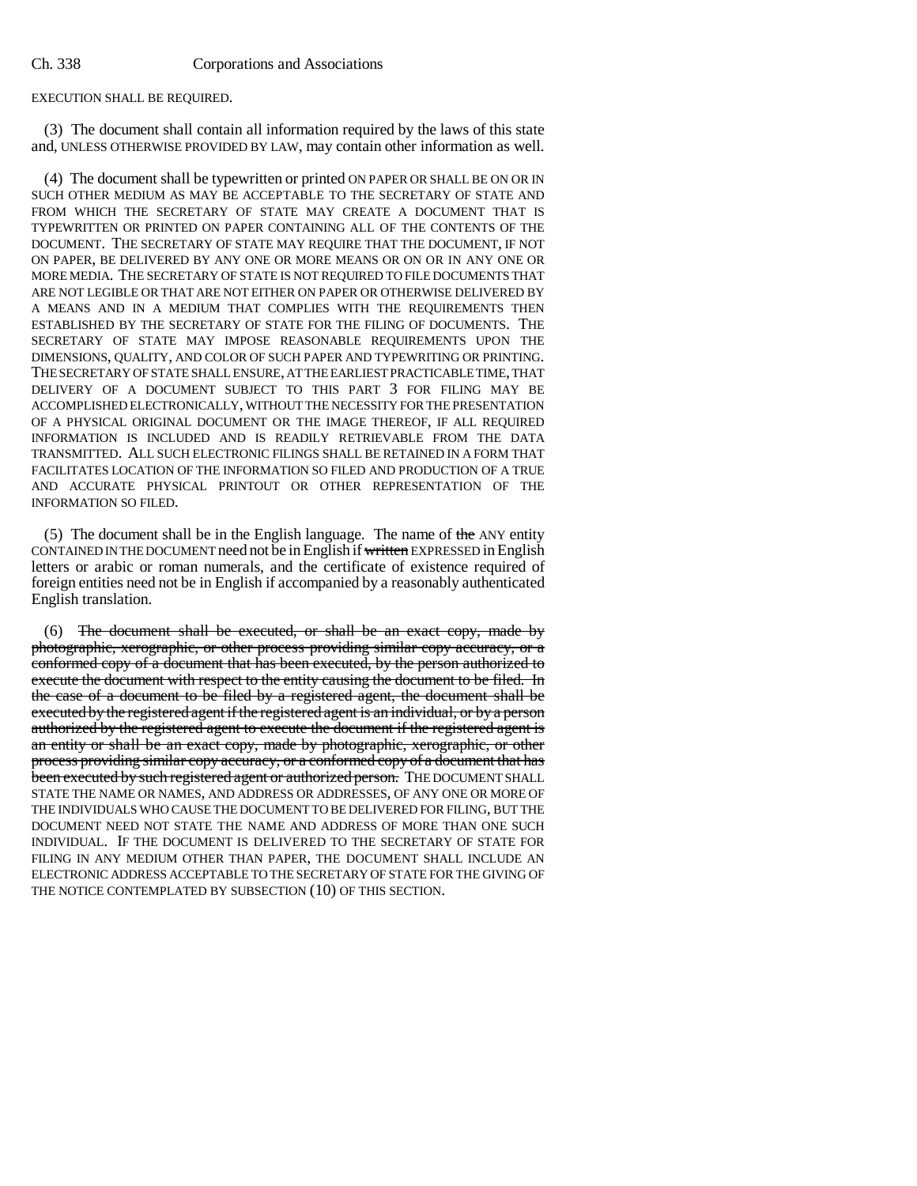EXECUTION SHALL BE REQUIRED.

(3) The document shall contain all information required by the laws of this state and, UNLESS OTHERWISE PROVIDED BY LAW, may contain other information as well.

(4) The document shall be typewritten or printed ON PAPER OR SHALL BE ON OR IN SUCH OTHER MEDIUM AS MAY BE ACCEPTABLE TO THE SECRETARY OF STATE AND FROM WHICH THE SECRETARY OF STATE MAY CREATE A DOCUMENT THAT IS TYPEWRITTEN OR PRINTED ON PAPER CONTAINING ALL OF THE CONTENTS OF THE DOCUMENT. THE SECRETARY OF STATE MAY REQUIRE THAT THE DOCUMENT, IF NOT ON PAPER, BE DELIVERED BY ANY ONE OR MORE MEANS OR ON OR IN ANY ONE OR MORE MEDIA. THE SECRETARY OF STATE IS NOT REQUIRED TO FILE DOCUMENTS THAT ARE NOT LEGIBLE OR THAT ARE NOT EITHER ON PAPER OR OTHERWISE DELIVERED BY A MEANS AND IN A MEDIUM THAT COMPLIES WITH THE REQUIREMENTS THEN ESTABLISHED BY THE SECRETARY OF STATE FOR THE FILING OF DOCUMENTS. THE SECRETARY OF STATE MAY IMPOSE REASONABLE REQUIREMENTS UPON THE DIMENSIONS, QUALITY, AND COLOR OF SUCH PAPER AND TYPEWRITING OR PRINTING. THE SECRETARY OF STATE SHALL ENSURE, AT THE EARLIEST PRACTICABLE TIME, THAT DELIVERY OF A DOCUMENT SUBJECT TO THIS PART 3 FOR FILING MAY BE ACCOMPLISHED ELECTRONICALLY, WITHOUT THE NECESSITY FOR THE PRESENTATION OF A PHYSICAL ORIGINAL DOCUMENT OR THE IMAGE THEREOF, IF ALL REQUIRED INFORMATION IS INCLUDED AND IS READILY RETRIEVABLE FROM THE DATA TRANSMITTED. ALL SUCH ELECTRONIC FILINGS SHALL BE RETAINED IN A FORM THAT FACILITATES LOCATION OF THE INFORMATION SO FILED AND PRODUCTION OF A TRUE AND ACCURATE PHYSICAL PRINTOUT OR OTHER REPRESENTATION OF THE INFORMATION SO FILED.

(5) The document shall be in the English language. The name of the ANY entity CONTAINED IN THE DOCUMENT need not be in English if written EXPRESSED in English letters or arabic or roman numerals, and the certificate of existence required of foreign entities need not be in English if accompanied by a reasonably authenticated English translation.

(6) The document shall be executed, or shall be an exact copy, made by photographic, xerographic, or other process providing similar copy accuracy, or a conformed copy of a document that has been executed, by the person authorized to execute the document with respect to the entity causing the document to be filed. In the case of a document to be filed by a registered agent, the document shall be executed by the registered agent if the registered agent is an individual, or by a person authorized by the registered agent to execute the document if the registered agent is an entity or shall be an exact copy, made by photographic, xerographic, or other process providing similar copy accuracy, or a conformed copy of a document that has been executed by such registered agent or authorized person. The DOCUMENT SHALL STATE THE NAME OR NAMES, AND ADDRESS OR ADDRESSES, OF ANY ONE OR MORE OF THE INDIVIDUALS WHO CAUSE THE DOCUMENT TO BE DELIVERED FOR FILING, BUT THE DOCUMENT NEED NOT STATE THE NAME AND ADDRESS OF MORE THAN ONE SUCH INDIVIDUAL. IF THE DOCUMENT IS DELIVERED TO THE SECRETARY OF STATE FOR FILING IN ANY MEDIUM OTHER THAN PAPER, THE DOCUMENT SHALL INCLUDE AN ELECTRONIC ADDRESS ACCEPTABLE TO THE SECRETARY OF STATE FOR THE GIVING OF THE NOTICE CONTEMPLATED BY SUBSECTION (10) OF THIS SECTION.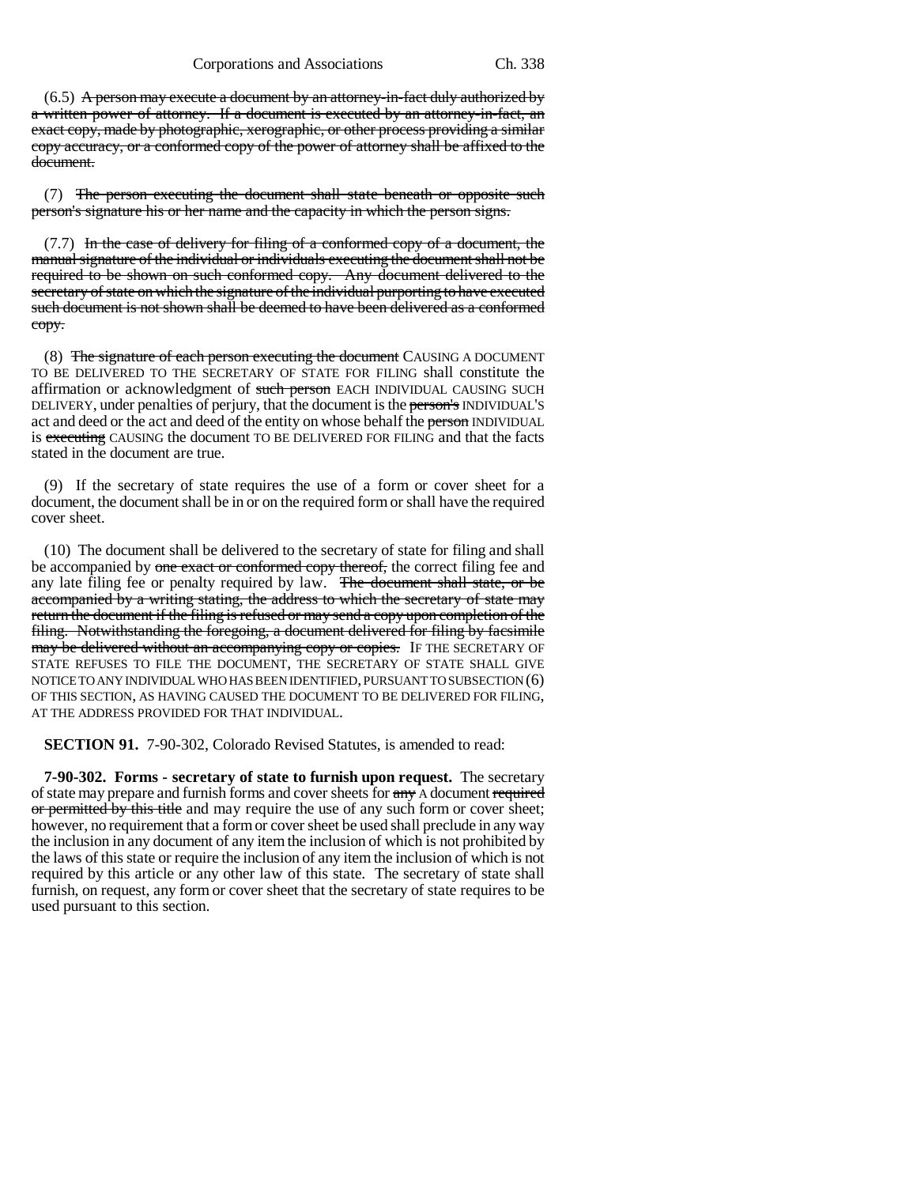$(6.5)$  A person may execute a document by an attorney-in-fact duly authorized by a written power of attorney. If a document is executed by an attorney-in-fact, an exact copy, made by photographic, xerographic, or other process providing a similar copy accuracy, or a conformed copy of the power of attorney shall be affixed to the document.

(7) The person executing the document shall state beneath or opposite such person's signature his or her name and the capacity in which the person signs.

 $(7.7)$  In the case of delivery for filing of a conformed copy of a document, the manual signature of the individual or individuals executing the document shall not be required to be shown on such conformed copy. Any document delivered to the secretary of state on which the signature of the individual purporting to have executed such document is not shown shall be deemed to have been delivered as a conformed copy.

(8) The signature of each person executing the document CAUSING A DOCUMENT TO BE DELIVERED TO THE SECRETARY OF STATE FOR FILING shall constitute the affirmation or acknowledgment of such person EACH INDIVIDUAL CAUSING SUCH DELIVERY, under penalties of perjury, that the document is the person's INDIVIDUAL'S act and deed or the act and deed of the entity on whose behalf the person INDIVIDUAL is executing CAUSING the document TO BE DELIVERED FOR FILING and that the facts stated in the document are true.

(9) If the secretary of state requires the use of a form or cover sheet for a document, the document shall be in or on the required form or shall have the required cover sheet.

(10) The document shall be delivered to the secretary of state for filing and shall be accompanied by one exact or conformed copy thereof, the correct filing fee and any late filing fee or penalty required by law. The document shall state, or be accompanied by a writing stating, the address to which the secretary of state may return the document if the filing is refused or may send a copy upon completion of the filing. Notwithstanding the foregoing, a document delivered for filing by facsimile may be delivered without an accompanying copy or copies. IF THE SECRETARY OF STATE REFUSES TO FILE THE DOCUMENT, THE SECRETARY OF STATE SHALL GIVE NOTICE TO ANY INDIVIDUAL WHO HAS BEEN IDENTIFIED, PURSUANT TO SUBSECTION (6) OF THIS SECTION, AS HAVING CAUSED THE DOCUMENT TO BE DELIVERED FOR FILING, AT THE ADDRESS PROVIDED FOR THAT INDIVIDUAL.

**SECTION 91.** 7-90-302, Colorado Revised Statutes, is amended to read:

**7-90-302. Forms - secretary of state to furnish upon request.** The secretary of state may prepare and furnish forms and cover sheets for any A document required or permitted by this title and may require the use of any such form or cover sheet; however, no requirement that a form or cover sheet be used shall preclude in any way the inclusion in any document of any item the inclusion of which is not prohibited by the laws of this state or require the inclusion of any item the inclusion of which is not required by this article or any other law of this state. The secretary of state shall furnish, on request, any form or cover sheet that the secretary of state requires to be used pursuant to this section.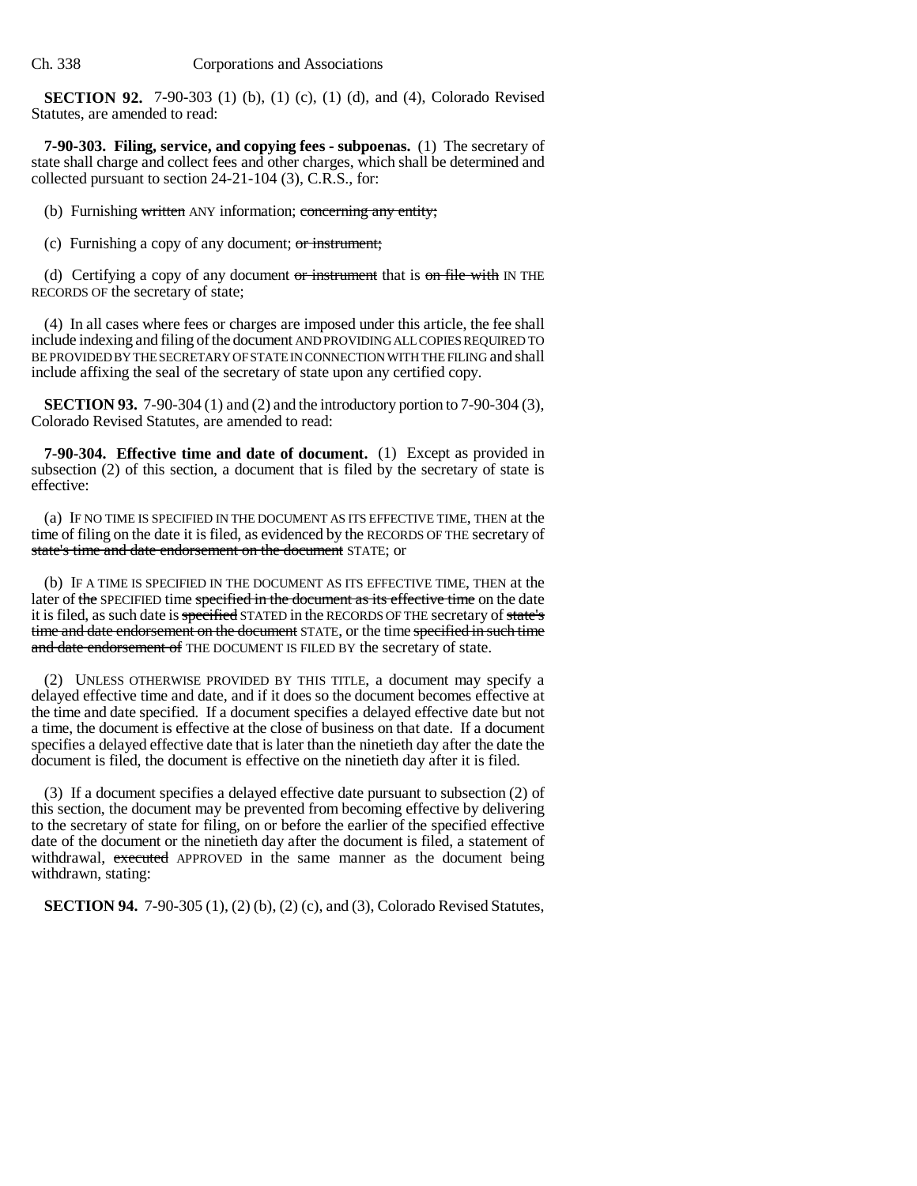**SECTION 92.** 7-90-303 (1) (b), (1) (c), (1) (d), and (4), Colorado Revised Statutes, are amended to read:

**7-90-303. Filing, service, and copying fees - subpoenas.** (1) The secretary of state shall charge and collect fees and other charges, which shall be determined and collected pursuant to section 24-21-104 (3), C.R.S., for:

(b) Furnishing written ANY information; concerning any entity;

(c) Furnishing a copy of any document; or instrument;

(d) Certifying a copy of any document or instrument that is on file with IN THE RECORDS OF the secretary of state;

(4) In all cases where fees or charges are imposed under this article, the fee shall include indexing and filing of the document AND PROVIDING ALL COPIES REQUIRED TO BE PROVIDED BY THE SECRETARY OF STATE IN CONNECTION WITH THE FILING and shall include affixing the seal of the secretary of state upon any certified copy.

**SECTION 93.** 7-90-304 (1) and (2) and the introductory portion to 7-90-304 (3), Colorado Revised Statutes, are amended to read:

**7-90-304. Effective time and date of document.** (1) Except as provided in subsection (2) of this section, a document that is filed by the secretary of state is effective:

(a) IF NO TIME IS SPECIFIED IN THE DOCUMENT AS ITS EFFECTIVE TIME, THEN at the time of filing on the date it is filed, as evidenced by the RECORDS OF THE secretary of state's time and date endorsement on the document STATE; or

(b) IF A TIME IS SPECIFIED IN THE DOCUMENT AS ITS EFFECTIVE TIME, THEN at the later of the SPECIFIED time specified in the document as its effective time on the date it is filed, as such date is specified STATED in the RECORDS OF THE secretary of state's time and date endorsement on the document STATE, or the time specified in such time and date endorsement of THE DOCUMENT IS FILED BY the secretary of state.

(2) UNLESS OTHERWISE PROVIDED BY THIS TITLE, a document may specify a delayed effective time and date, and if it does so the document becomes effective at the time and date specified. If a document specifies a delayed effective date but not a time, the document is effective at the close of business on that date. If a document specifies a delayed effective date that is later than the ninetieth day after the date the document is filed, the document is effective on the ninetieth day after it is filed.

(3) If a document specifies a delayed effective date pursuant to subsection (2) of this section, the document may be prevented from becoming effective by delivering to the secretary of state for filing, on or before the earlier of the specified effective date of the document or the ninetieth day after the document is filed, a statement of withdrawal, executed APPROVED in the same manner as the document being withdrawn, stating:

**SECTION 94.** 7-90-305 (1), (2) (b), (2) (c), and (3), Colorado Revised Statutes,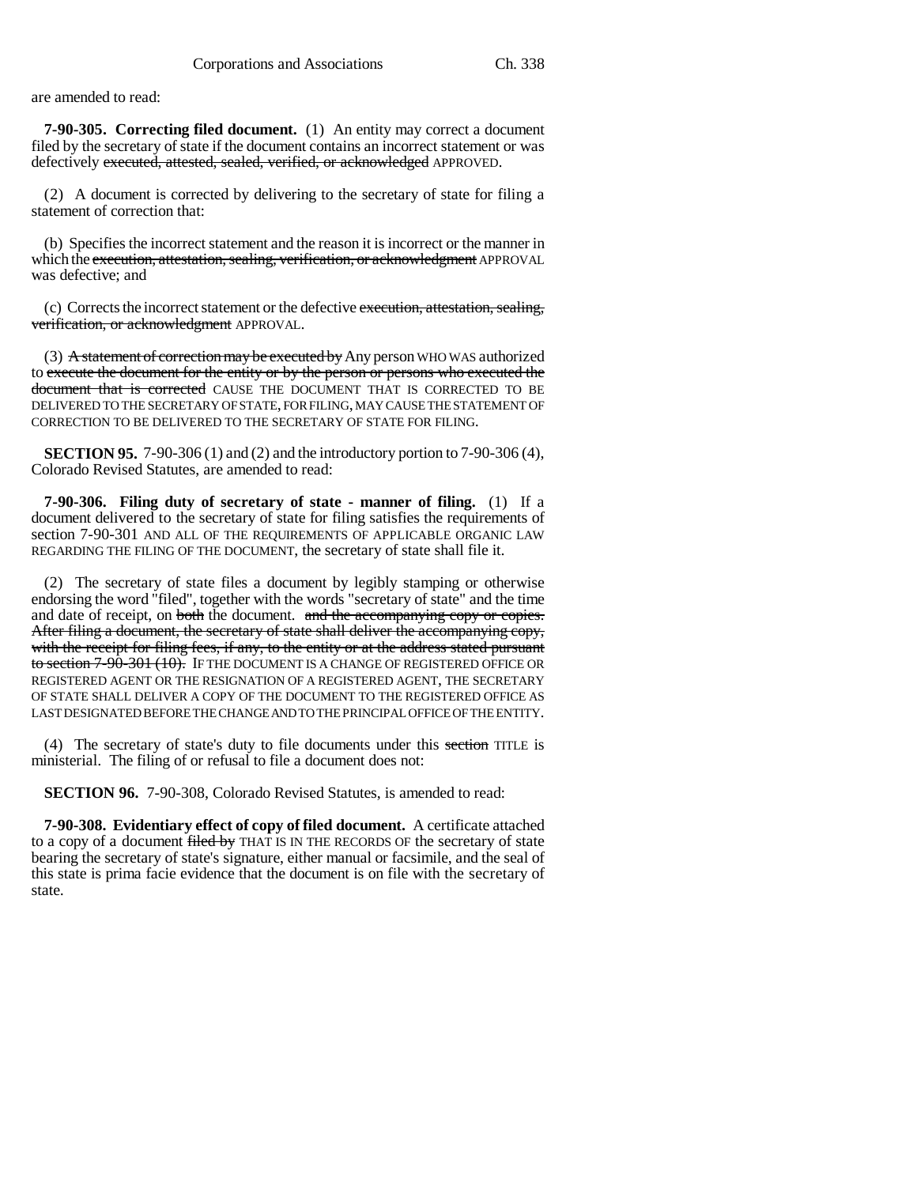are amended to read:

**7-90-305. Correcting filed document.** (1) An entity may correct a document filed by the secretary of state if the document contains an incorrect statement or was defectively executed, attested, sealed, verified, or acknowledged APPROVED.

(2) A document is corrected by delivering to the secretary of state for filing a statement of correction that:

(b) Specifies the incorrect statement and the reason it is incorrect or the manner in which the execution, attestation, sealing, verification, or acknowledgment APPROVAL was defective; and

(c) Corrects the incorrect statement or the defective execution, attestation, sealing, verification, or acknowledgment APPROVAL.

(3) A statement of correction may be executed by Any person WHO WAS authorized to execute the document for the entity or by the person or persons who executed the document that is corrected CAUSE THE DOCUMENT THAT IS CORRECTED TO BE DELIVERED TO THE SECRETARY OF STATE, FOR FILING, MAY CAUSE THE STATEMENT OF CORRECTION TO BE DELIVERED TO THE SECRETARY OF STATE FOR FILING.

**SECTION 95.** 7-90-306 (1) and (2) and the introductory portion to 7-90-306 (4), Colorado Revised Statutes, are amended to read:

**7-90-306. Filing duty of secretary of state - manner of filing.** (1) If a document delivered to the secretary of state for filing satisfies the requirements of section 7-90-301 AND ALL OF THE REQUIREMENTS OF APPLICABLE ORGANIC LAW REGARDING THE FILING OF THE DOCUMENT, the secretary of state shall file it.

(2) The secretary of state files a document by legibly stamping or otherwise endorsing the word "filed", together with the words "secretary of state" and the time and date of receipt, on both the document. and the accompanying copy or copies. After filing a document, the secretary of state shall deliver the accompanying copy, with the receipt for filing fees, if any, to the entity or at the address stated pursuant to section 7-90-301 (10). IF THE DOCUMENT IS A CHANGE OF REGISTERED OFFICE OR REGISTERED AGENT OR THE RESIGNATION OF A REGISTERED AGENT, THE SECRETARY OF STATE SHALL DELIVER A COPY OF THE DOCUMENT TO THE REGISTERED OFFICE AS LAST DESIGNATED BEFORE THE CHANGE AND TO THE PRINCIPAL OFFICE OF THE ENTITY.

(4) The secretary of state's duty to file documents under this section TITLE is ministerial. The filing of or refusal to file a document does not:

**SECTION 96.** 7-90-308, Colorado Revised Statutes, is amended to read:

**7-90-308. Evidentiary effect of copy of filed document.** A certificate attached to a copy of a document filed by THAT IS IN THE RECORDS OF the secretary of state bearing the secretary of state's signature, either manual or facsimile, and the seal of this state is prima facie evidence that the document is on file with the secretary of state.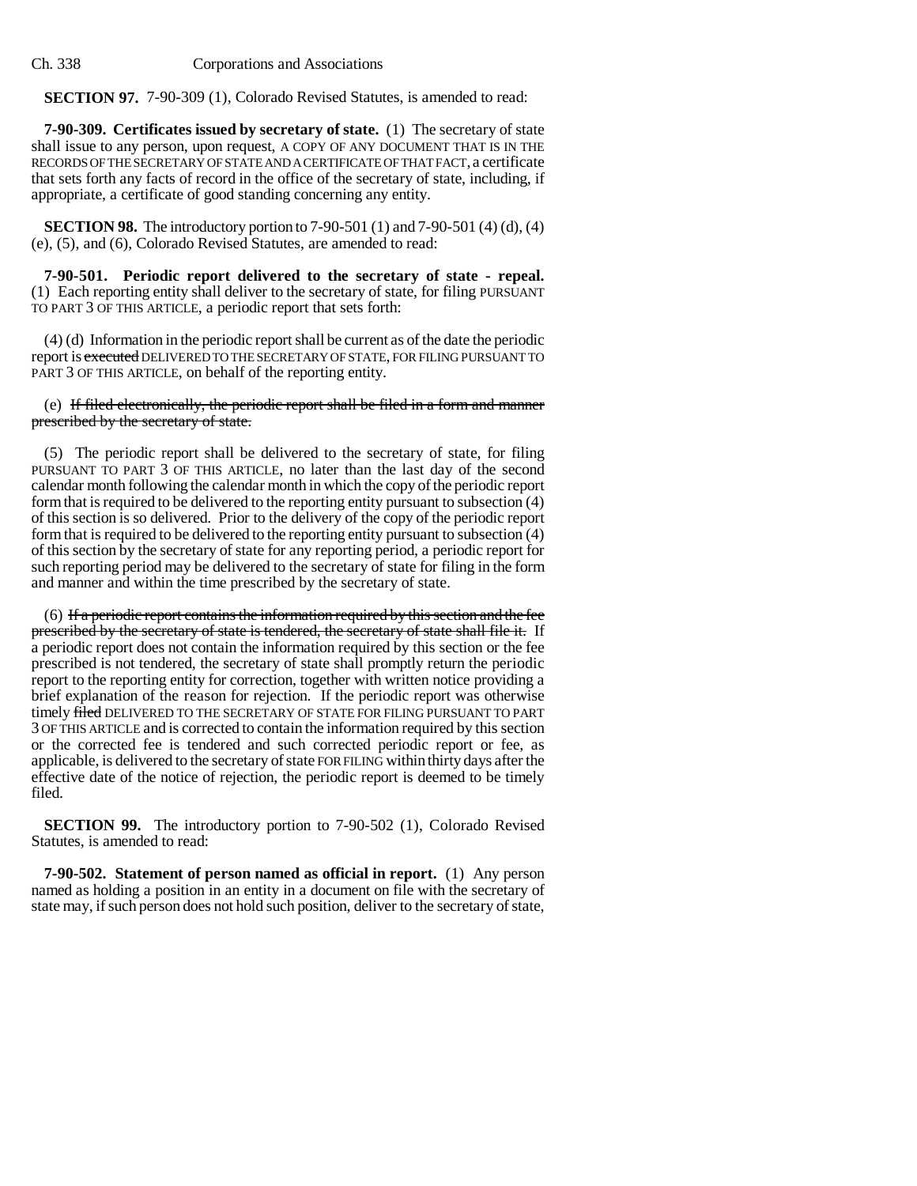**SECTION 97.** 7-90-309 (1), Colorado Revised Statutes, is amended to read:

**7-90-309. Certificates issued by secretary of state.** (1) The secretary of state shall issue to any person, upon request, A COPY OF ANY DOCUMENT THAT IS IN THE RECORDS OF THE SECRETARY OF STATE AND A CERTIFICATE OF THAT FACT, a certificate that sets forth any facts of record in the office of the secretary of state, including, if appropriate, a certificate of good standing concerning any entity.

**SECTION 98.** The introductory portion to 7-90-501 (1) and 7-90-501 (4) (d), (4) (e), (5), and (6), Colorado Revised Statutes, are amended to read:

**7-90-501. Periodic report delivered to the secretary of state - repeal.** (1) Each reporting entity shall deliver to the secretary of state, for filing PURSUANT TO PART 3 OF THIS ARTICLE, a periodic report that sets forth:

(4) (d) Information in the periodic report shall be current as of the date the periodic report is executed DELIVERED TO THE SECRETARY OF STATE, FOR FILING PURSUANT TO PART 3 OF THIS ARTICLE, on behalf of the reporting entity.

### (e) If filed electronically, the periodic report shall be filed in a form and manner prescribed by the secretary of state.

(5) The periodic report shall be delivered to the secretary of state, for filing PURSUANT TO PART 3 OF THIS ARTICLE, no later than the last day of the second calendar month following the calendar month in which the copy of the periodic report form that is required to be delivered to the reporting entity pursuant to subsection (4) of this section is so delivered. Prior to the delivery of the copy of the periodic report form that is required to be delivered to the reporting entity pursuant to subsection (4) of this section by the secretary of state for any reporting period, a periodic report for such reporting period may be delivered to the secretary of state for filing in the form and manner and within the time prescribed by the secretary of state.

(6) If a periodic report contains the information required by this section and the fee prescribed by the secretary of state is tendered, the secretary of state shall file it. If a periodic report does not contain the information required by this section or the fee prescribed is not tendered, the secretary of state shall promptly return the periodic report to the reporting entity for correction, together with written notice providing a brief explanation of the reason for rejection. If the periodic report was otherwise timely filed DELIVERED TO THE SECRETARY OF STATE FOR FILING PURSUANT TO PART 3 OF THIS ARTICLE and is corrected to contain the information required by this section or the corrected fee is tendered and such corrected periodic report or fee, as applicable, is delivered to the secretary of state FOR FILING within thirty days after the effective date of the notice of rejection, the periodic report is deemed to be timely filed.

**SECTION 99.** The introductory portion to 7-90-502 (1), Colorado Revised Statutes, is amended to read:

**7-90-502. Statement of person named as official in report.** (1) Any person named as holding a position in an entity in a document on file with the secretary of state may, if such person does not hold such position, deliver to the secretary of state,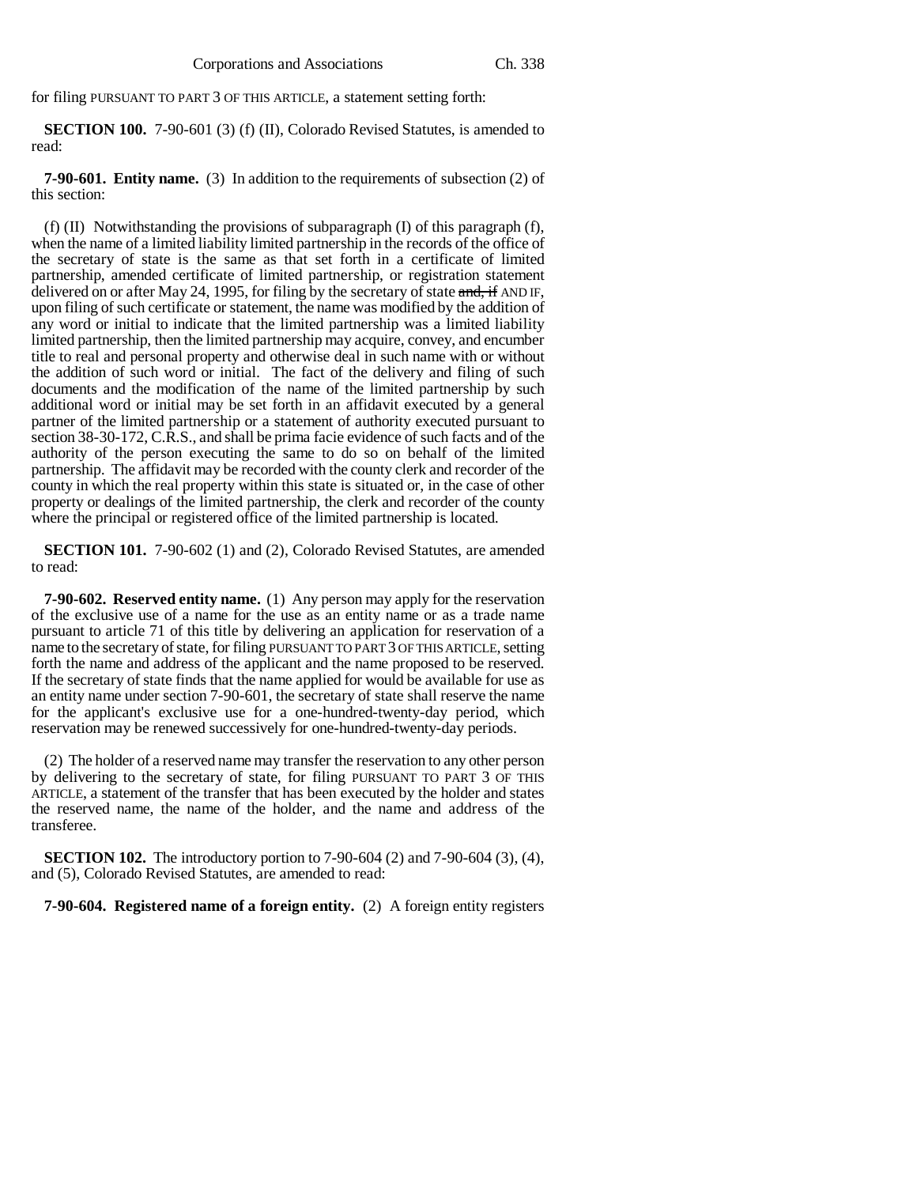for filing PURSUANT TO PART 3 OF THIS ARTICLE, a statement setting forth:

**SECTION 100.** 7-90-601 (3) (f) (II), Colorado Revised Statutes, is amended to read:

**7-90-601. Entity name.** (3) In addition to the requirements of subsection (2) of this section:

(f)  $(II)$  Notwithstanding the provisions of subparagraph  $(I)$  of this paragraph  $(f)$ , when the name of a limited liability limited partnership in the records of the office of the secretary of state is the same as that set forth in a certificate of limited partnership, amended certificate of limited partnership, or registration statement delivered on or after May 24, 1995, for filing by the secretary of state  $\frac{1}{2}$  and  $\frac{1}{2}$  and  $\frac{1}{2}$  and  $\frac{1}{2}$ upon filing of such certificate or statement, the name was modified by the addition of any word or initial to indicate that the limited partnership was a limited liability limited partnership, then the limited partnership may acquire, convey, and encumber title to real and personal property and otherwise deal in such name with or without the addition of such word or initial. The fact of the delivery and filing of such documents and the modification of the name of the limited partnership by such additional word or initial may be set forth in an affidavit executed by a general partner of the limited partnership or a statement of authority executed pursuant to section 38-30-172, C.R.S., and shall be prima facie evidence of such facts and of the authority of the person executing the same to do so on behalf of the limited partnership. The affidavit may be recorded with the county clerk and recorder of the county in which the real property within this state is situated or, in the case of other property or dealings of the limited partnership, the clerk and recorder of the county where the principal or registered office of the limited partnership is located.

**SECTION 101.** 7-90-602 (1) and (2), Colorado Revised Statutes, are amended to read:

**7-90-602. Reserved entity name.** (1) Any person may apply for the reservation of the exclusive use of a name for the use as an entity name or as a trade name pursuant to article 71 of this title by delivering an application for reservation of a name to the secretary of state, for filing PURSUANT TO PART 3 OF THIS ARTICLE, setting forth the name and address of the applicant and the name proposed to be reserved. If the secretary of state finds that the name applied for would be available for use as an entity name under section 7-90-601, the secretary of state shall reserve the name for the applicant's exclusive use for a one-hundred-twenty-day period, which reservation may be renewed successively for one-hundred-twenty-day periods.

(2) The holder of a reserved name may transfer the reservation to any other person by delivering to the secretary of state, for filing PURSUANT TO PART 3 OF THIS ARTICLE, a statement of the transfer that has been executed by the holder and states the reserved name, the name of the holder, and the name and address of the transferee.

**SECTION 102.** The introductory portion to 7-90-604 (2) and 7-90-604 (3), (4), and (5), Colorado Revised Statutes, are amended to read:

**7-90-604. Registered name of a foreign entity.** (2) A foreign entity registers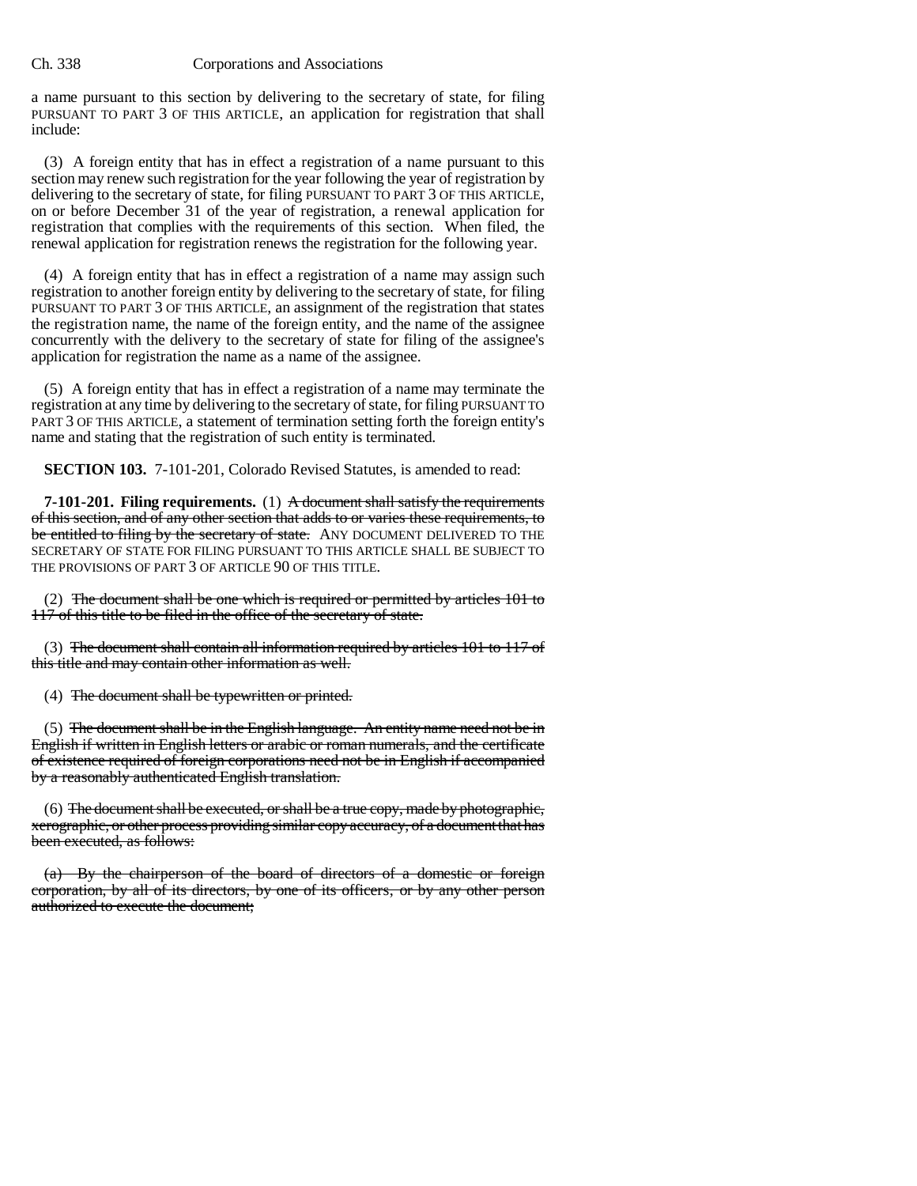a name pursuant to this section by delivering to the secretary of state, for filing PURSUANT TO PART 3 OF THIS ARTICLE, an application for registration that shall include:

(3) A foreign entity that has in effect a registration of a name pursuant to this section may renew such registration for the year following the year of registration by delivering to the secretary of state, for filing PURSUANT TO PART 3 OF THIS ARTICLE, on or before December 31 of the year of registration, a renewal application for registration that complies with the requirements of this section. When filed, the renewal application for registration renews the registration for the following year.

(4) A foreign entity that has in effect a registration of a name may assign such registration to another foreign entity by delivering to the secretary of state, for filing PURSUANT TO PART 3 OF THIS ARTICLE, an assignment of the registration that states the registration name, the name of the foreign entity, and the name of the assignee concurrently with the delivery to the secretary of state for filing of the assignee's application for registration the name as a name of the assignee.

(5) A foreign entity that has in effect a registration of a name may terminate the registration at any time by delivering to the secretary of state, for filing PURSUANT TO PART 3 OF THIS ARTICLE, a statement of termination setting forth the foreign entity's name and stating that the registration of such entity is terminated.

**SECTION 103.** 7-101-201, Colorado Revised Statutes, is amended to read:

**7-101-201. Filing requirements.** (1) A document shall satisfy the requirements of this section, and of any other section that adds to or varies these requirements, to be entitled to filing by the secretary of state. ANY DOCUMENT DELIVERED TO THE SECRETARY OF STATE FOR FILING PURSUANT TO THIS ARTICLE SHALL BE SUBJECT TO THE PROVISIONS OF PART 3 OF ARTICLE 90 OF THIS TITLE.

(2) The document shall be one which is required or permitted by articles 101 to 117 of this title to be filed in the office of the secretary of state.

(3) The document shall contain all information required by articles 101 to 117 of this title and may contain other information as well.

(4) The document shall be typewritten or printed.

(5) The document shall be in the English language. An entity name need not be in English if written in English letters or arabic or roman numerals, and the certificate of existence required of foreign corporations need not be in English if accompanied by a reasonably authenticated English translation.

 $(6)$  The document shall be executed, or shall be a true copy, made by photographic, xerographic, or other process providing similar copy accuracy, of a document that has been executed, as follows:

(a) By the chairperson of the board of directors of a domestic or foreign corporation, by all of its directors, by one of its officers, or by any other person authorized to execute the document;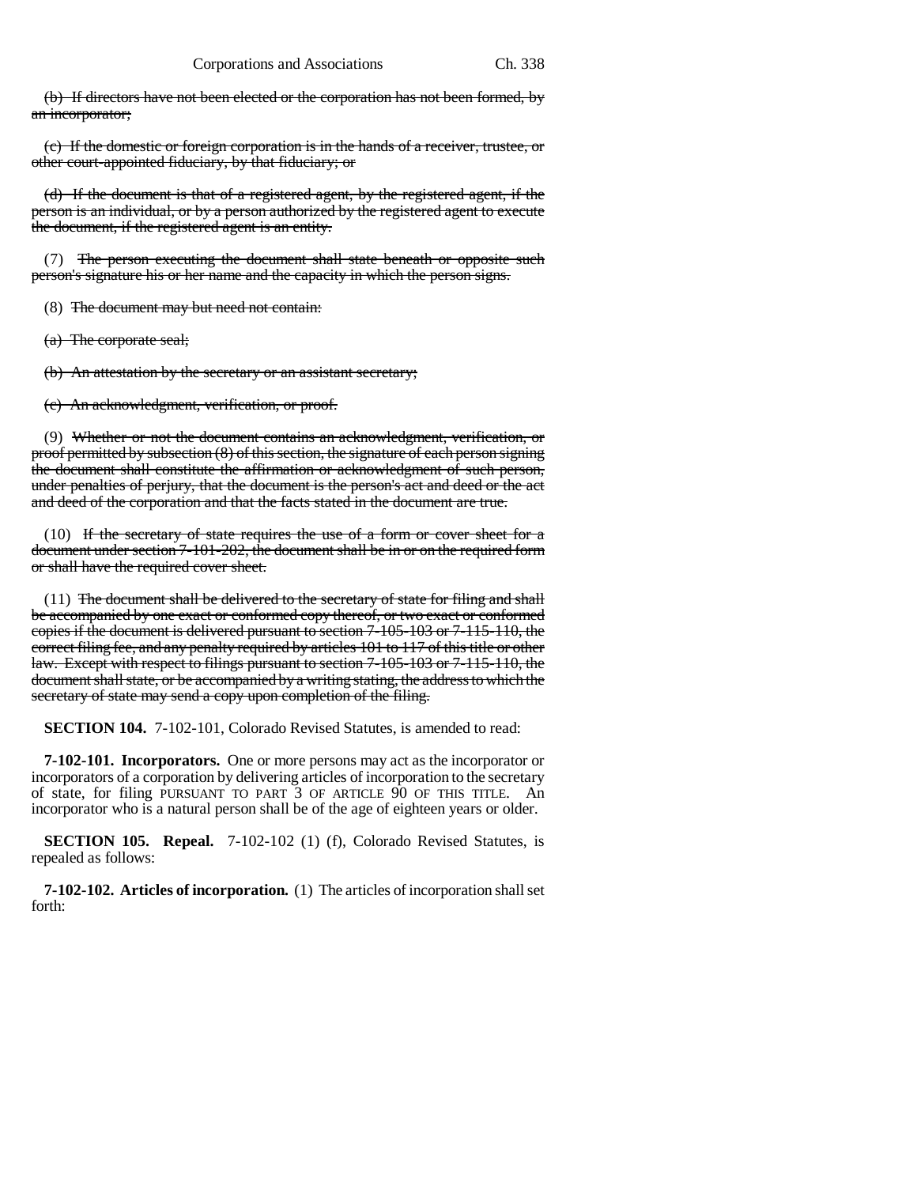(b) If directors have not been elected or the corporation has not been formed, by an incorporator;

(c) If the domestic or foreign corporation is in the hands of a receiver, trustee, or other court-appointed fiduciary, by that fiduciary; or

(d) If the document is that of a registered agent, by the registered agent, if the person is an individual, or by a person authorized by the registered agent to execute the document, if the registered agent is an entity.

(7) The person executing the document shall state beneath or opposite such person's signature his or her name and the capacity in which the person signs.

(8) The document may but need not contain:

(a) The corporate seal;

(b) An attestation by the secretary or an assistant secretary;

(c) An acknowledgment, verification, or proof.

(9) Whether or not the document contains an acknowledgment, verification, or proof permitted by subsection  $(8)$  of this section, the signature of each person signing the document shall constitute the affirmation or acknowledgment of such person, under penalties of perjury, that the document is the person's act and deed or the act and deed of the corporation and that the facts stated in the document are true.

(10) If the secretary of state requires the use of a form or cover sheet for a document under section 7-101-202, the document shall be in or on the required form or shall have the required cover sheet.

(11) The document shall be delivered to the secretary of state for filing and shall be accompanied by one exact or conformed copy thereof, or two exact or conformed copies if the document is delivered pursuant to section 7-105-103 or 7-115-110, the correct filing fee, and any penalty required by articles 101 to 117 of this title or other law. Except with respect to filings pursuant to section 7-105-103 or 7-115-110, the document shall state, or be accompanied by a writing stating, the address to which the secretary of state may send a copy upon completion of the filing.

**SECTION 104.** 7-102-101, Colorado Revised Statutes, is amended to read:

**7-102-101. Incorporators.** One or more persons may act as the incorporator or incorporators of a corporation by delivering articles of incorporation to the secretary of state, for filing PURSUANT TO PART 3 OF ARTICLE 90 OF THIS TITLE. An incorporator who is a natural person shall be of the age of eighteen years or older.

**SECTION 105. Repeal.** 7-102-102 (1) (f), Colorado Revised Statutes, is repealed as follows:

**7-102-102. Articles of incorporation.** (1) The articles of incorporation shall set forth: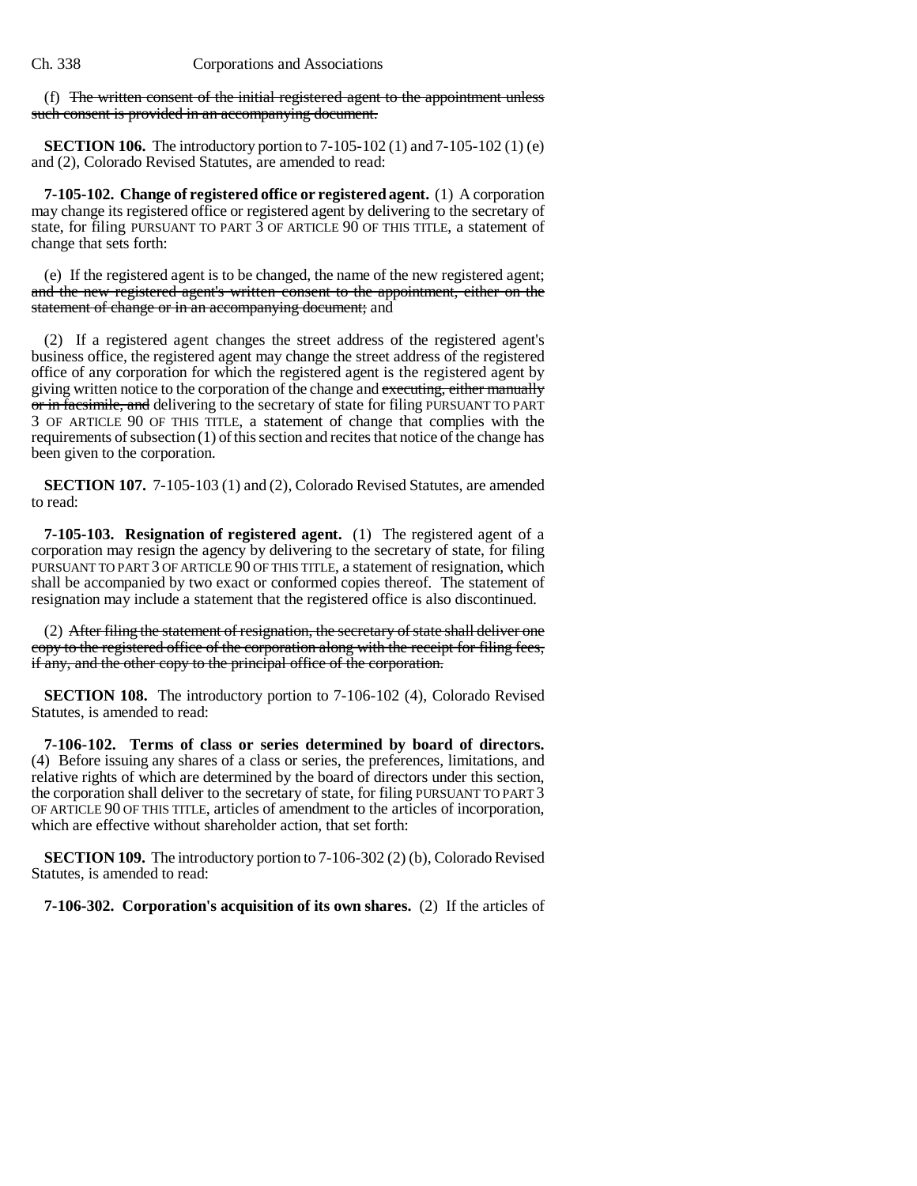(f) The written consent of the initial registered agent to the appointment unless such consent is provided in an accompanying document.

**SECTION 106.** The introductory portion to 7-105-102 (1) and 7-105-102 (1) (e) and (2), Colorado Revised Statutes, are amended to read:

**7-105-102. Change of registered office or registered agent.** (1) A corporation may change its registered office or registered agent by delivering to the secretary of state, for filing PURSUANT TO PART 3 OF ARTICLE 90 OF THIS TITLE, a statement of change that sets forth:

(e) If the registered agent is to be changed, the name of the new registered agent; and the new registered agent's written consent to the appointment, either on the statement of change or in an accompanying document; and

(2) If a registered agent changes the street address of the registered agent's business office, the registered agent may change the street address of the registered office of any corporation for which the registered agent is the registered agent by giving written notice to the corporation of the change and executing, either manually or in facsimile, and delivering to the secretary of state for filing PURSUANT TO PART 3 OF ARTICLE 90 OF THIS TITLE, a statement of change that complies with the requirements of subsection (1) of this section and recites that notice of the change has been given to the corporation.

**SECTION 107.** 7-105-103 (1) and (2), Colorado Revised Statutes, are amended to read:

**7-105-103. Resignation of registered agent.** (1) The registered agent of a corporation may resign the agency by delivering to the secretary of state, for filing PURSUANT TO PART 3 OF ARTICLE 90 OF THIS TITLE, a statement of resignation, which shall be accompanied by two exact or conformed copies thereof. The statement of resignation may include a statement that the registered office is also discontinued.

(2) After filing the statement of resignation, the secretary of state shall deliver one copy to the registered office of the corporation along with the receipt for filing fees, if any, and the other copy to the principal office of the corporation.

**SECTION 108.** The introductory portion to 7-106-102 (4), Colorado Revised Statutes, is amended to read:

**7-106-102. Terms of class or series determined by board of directors.** (4) Before issuing any shares of a class or series, the preferences, limitations, and relative rights of which are determined by the board of directors under this section, the corporation shall deliver to the secretary of state, for filing PURSUANT TO PART 3 OF ARTICLE 90 OF THIS TITLE, articles of amendment to the articles of incorporation, which are effective without shareholder action, that set forth:

**SECTION 109.** The introductory portion to 7-106-302 (2) (b), Colorado Revised Statutes, is amended to read:

**7-106-302. Corporation's acquisition of its own shares.** (2) If the articles of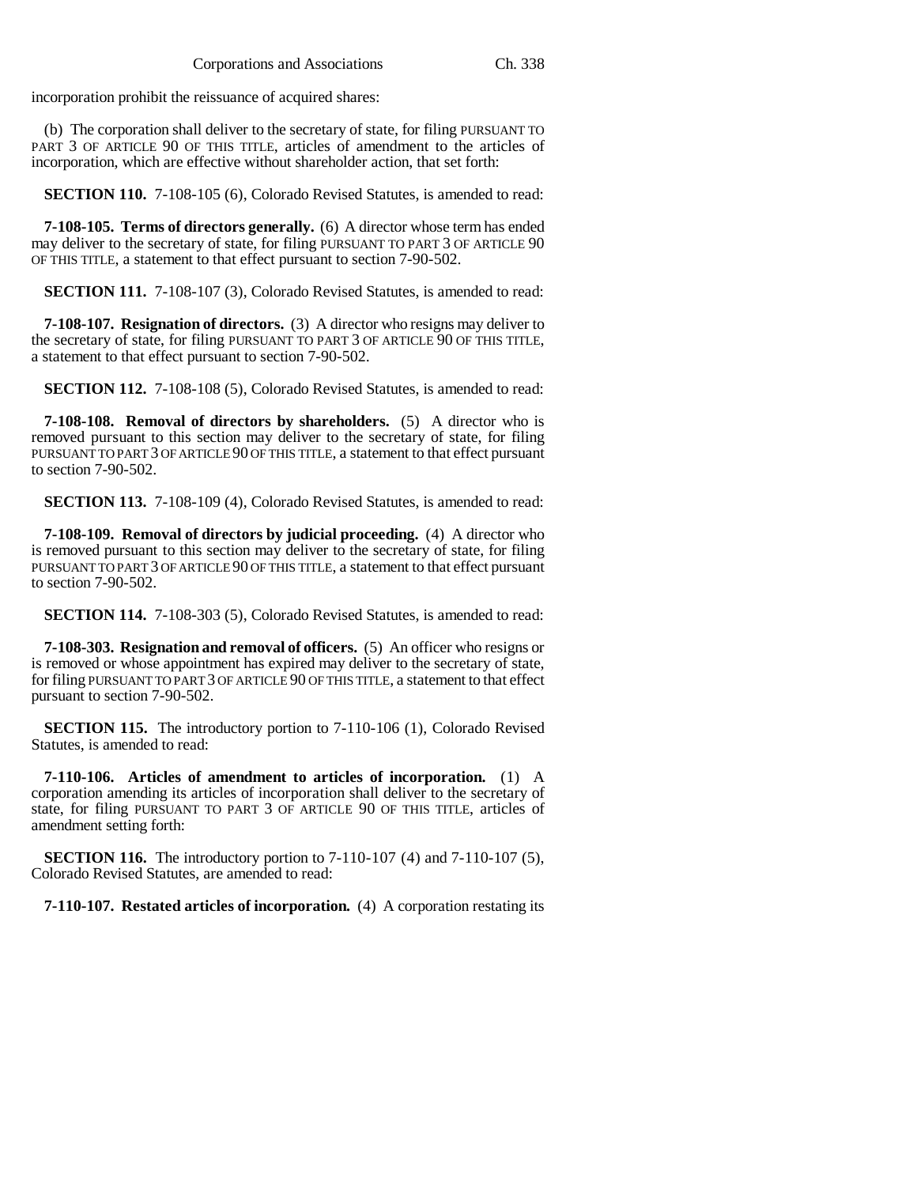incorporation prohibit the reissuance of acquired shares:

(b) The corporation shall deliver to the secretary of state, for filing PURSUANT TO PART 3 OF ARTICLE 90 OF THIS TITLE, articles of amendment to the articles of incorporation, which are effective without shareholder action, that set forth:

**SECTION 110.** 7-108-105 (6), Colorado Revised Statutes, is amended to read:

**7-108-105. Terms of directors generally.** (6) A director whose term has ended may deliver to the secretary of state, for filing PURSUANT TO PART 3 OF ARTICLE 90 OF THIS TITLE, a statement to that effect pursuant to section 7-90-502.

**SECTION 111.** 7-108-107 (3), Colorado Revised Statutes, is amended to read:

**7-108-107. Resignation of directors.** (3) A director who resigns may deliver to the secretary of state, for filing PURSUANT TO PART 3 OF ARTICLE 90 OF THIS TITLE, a statement to that effect pursuant to section 7-90-502.

**SECTION 112.** 7-108-108 (5), Colorado Revised Statutes, is amended to read:

**7-108-108. Removal of directors by shareholders.** (5) A director who is removed pursuant to this section may deliver to the secretary of state, for filing PURSUANT TO PART 3 OF ARTICLE 90 OF THIS TITLE, a statement to that effect pursuant to section 7-90-502.

**SECTION 113.** 7-108-109 (4), Colorado Revised Statutes, is amended to read:

**7-108-109. Removal of directors by judicial proceeding.** (4) A director who is removed pursuant to this section may deliver to the secretary of state, for filing PURSUANT TO PART 3 OF ARTICLE 90 OF THIS TITLE, a statement to that effect pursuant to section 7-90-502.

**SECTION 114.** 7-108-303 (5), Colorado Revised Statutes, is amended to read:

**7-108-303. Resignation and removal of officers.** (5) An officer who resigns or is removed or whose appointment has expired may deliver to the secretary of state, for filing PURSUANT TO PART 3 OF ARTICLE 90 OF THIS TITLE, a statement to that effect pursuant to section 7-90-502.

**SECTION 115.** The introductory portion to 7-110-106 (1), Colorado Revised Statutes, is amended to read:

**7-110-106. Articles of amendment to articles of incorporation.** (1) A corporation amending its articles of incorporation shall deliver to the secretary of state, for filing PURSUANT TO PART 3 OF ARTICLE 90 OF THIS TITLE, articles of amendment setting forth:

**SECTION 116.** The introductory portion to 7-110-107 (4) and 7-110-107 (5), Colorado Revised Statutes, are amended to read:

**7-110-107. Restated articles of incorporation.** (4) A corporation restating its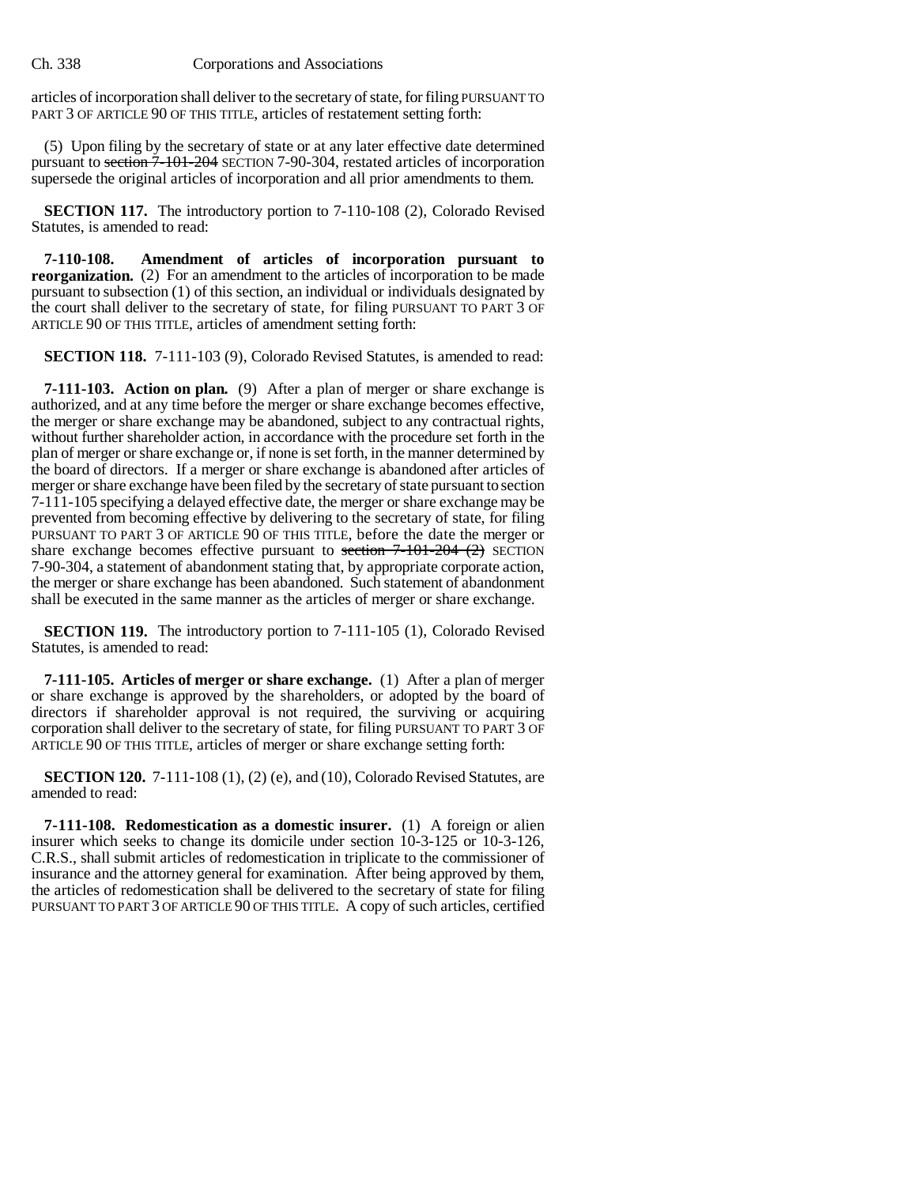articles of incorporation shall deliver to the secretary of state, for filing PURSUANT TO PART 3 OF ARTICLE 90 OF THIS TITLE, articles of restatement setting forth:

(5) Upon filing by the secretary of state or at any later effective date determined pursuant to section 7-101-204 SECTION 7-90-304, restated articles of incorporation supersede the original articles of incorporation and all prior amendments to them.

**SECTION 117.** The introductory portion to 7-110-108 (2), Colorado Revised Statutes, is amended to read:

**7-110-108. Amendment of articles of incorporation pursuant to reorganization.** (2) For an amendment to the articles of incorporation to be made pursuant to subsection (1) of this section, an individual or individuals designated by the court shall deliver to the secretary of state, for filing PURSUANT TO PART 3 OF ARTICLE 90 OF THIS TITLE, articles of amendment setting forth:

**SECTION 118.** 7-111-103 (9), Colorado Revised Statutes, is amended to read:

**7-111-103. Action on plan.** (9) After a plan of merger or share exchange is authorized, and at any time before the merger or share exchange becomes effective, the merger or share exchange may be abandoned, subject to any contractual rights, without further shareholder action, in accordance with the procedure set forth in the plan of merger or share exchange or, if none is set forth, in the manner determined by the board of directors. If a merger or share exchange is abandoned after articles of merger or share exchange have been filed by the secretary of state pursuant to section 7-111-105 specifying a delayed effective date, the merger or share exchange may be prevented from becoming effective by delivering to the secretary of state, for filing PURSUANT TO PART 3 OF ARTICLE 90 OF THIS TITLE, before the date the merger or share exchange becomes effective pursuant to section  $7-101-204$  (2) SECTION 7-90-304, a statement of abandonment stating that, by appropriate corporate action, the merger or share exchange has been abandoned. Such statement of abandonment shall be executed in the same manner as the articles of merger or share exchange.

**SECTION 119.** The introductory portion to 7-111-105 (1), Colorado Revised Statutes, is amended to read:

**7-111-105. Articles of merger or share exchange.** (1) After a plan of merger or share exchange is approved by the shareholders, or adopted by the board of directors if shareholder approval is not required, the surviving or acquiring corporation shall deliver to the secretary of state, for filing PURSUANT TO PART 3 OF ARTICLE 90 OF THIS TITLE, articles of merger or share exchange setting forth:

**SECTION 120.** 7-111-108 (1), (2) (e), and (10), Colorado Revised Statutes, are amended to read:

**7-111-108. Redomestication as a domestic insurer.** (1) A foreign or alien insurer which seeks to change its domicile under section 10-3-125 or 10-3-126, C.R.S., shall submit articles of redomestication in triplicate to the commissioner of insurance and the attorney general for examination. After being approved by them, the articles of redomestication shall be delivered to the secretary of state for filing PURSUANT TO PART 3 OF ARTICLE 90 OF THIS TITLE. A copy of such articles, certified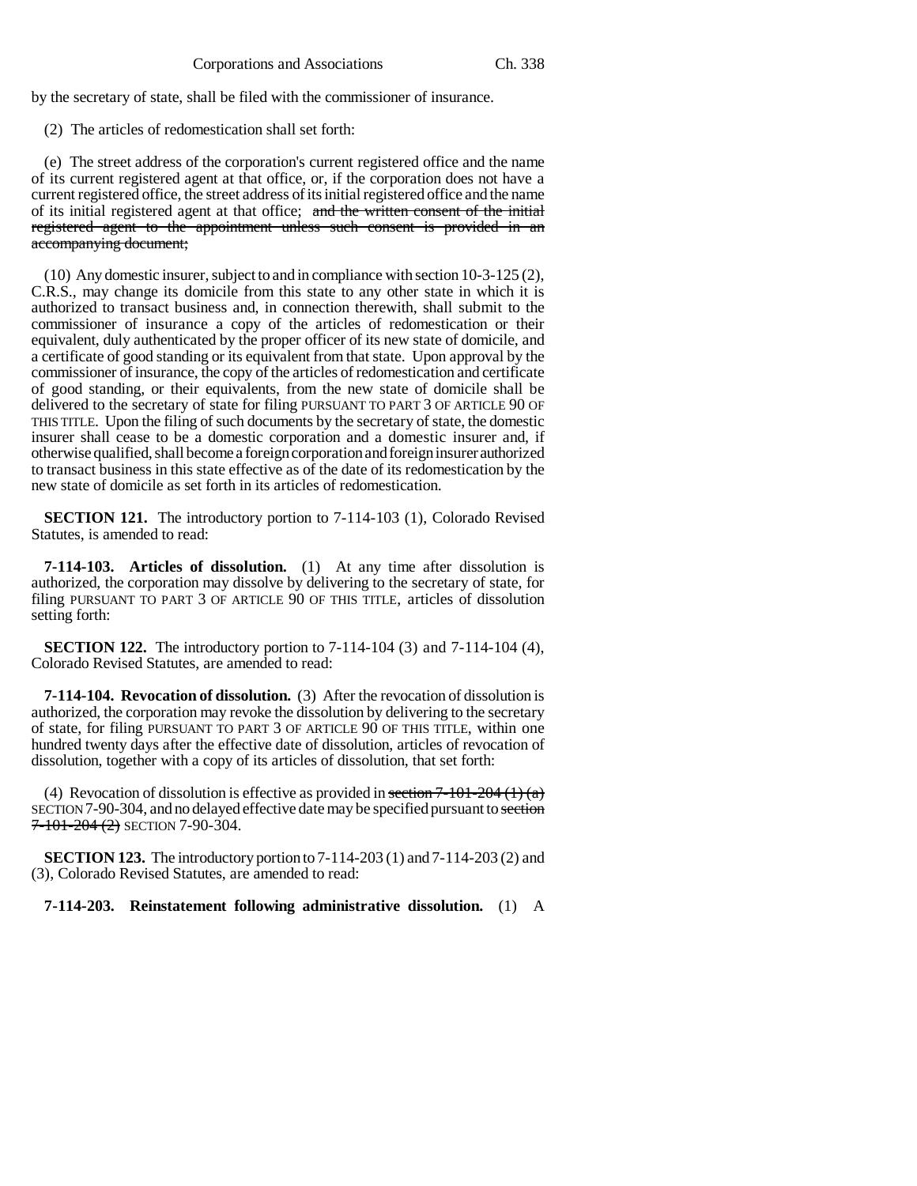by the secretary of state, shall be filed with the commissioner of insurance.

(2) The articles of redomestication shall set forth:

(e) The street address of the corporation's current registered office and the name of its current registered agent at that office, or, if the corporation does not have a current registered office, the street address of its initial registered office and the name of its initial registered agent at that office; and the written consent of the initial registered agent to the appointment unless such consent is provided in an accompanying document;

(10) Any domestic insurer, subject to and in compliance with section 10-3-125 (2), C.R.S., may change its domicile from this state to any other state in which it is authorized to transact business and, in connection therewith, shall submit to the commissioner of insurance a copy of the articles of redomestication or their equivalent, duly authenticated by the proper officer of its new state of domicile, and a certificate of good standing or its equivalent from that state. Upon approval by the commissioner of insurance, the copy of the articles of redomestication and certificate of good standing, or their equivalents, from the new state of domicile shall be delivered to the secretary of state for filing PURSUANT TO PART 3 OF ARTICLE 90 OF THIS TITLE. Upon the filing of such documents by the secretary of state, the domestic insurer shall cease to be a domestic corporation and a domestic insurer and, if otherwise qualified, shall become a foreign corporation and foreign insurer authorized to transact business in this state effective as of the date of its redomestication by the new state of domicile as set forth in its articles of redomestication.

**SECTION 121.** The introductory portion to 7-114-103 (1), Colorado Revised Statutes, is amended to read:

**7-114-103. Articles of dissolution.** (1) At any time after dissolution is authorized, the corporation may dissolve by delivering to the secretary of state, for filing PURSUANT TO PART 3 OF ARTICLE 90 OF THIS TITLE, articles of dissolution setting forth:

**SECTION 122.** The introductory portion to 7-114-104 (3) and 7-114-104 (4), Colorado Revised Statutes, are amended to read:

**7-114-104. Revocation of dissolution.** (3) After the revocation of dissolution is authorized, the corporation may revoke the dissolution by delivering to the secretary of state, for filing PURSUANT TO PART 3 OF ARTICLE 90 OF THIS TITLE, within one hundred twenty days after the effective date of dissolution, articles of revocation of dissolution, together with a copy of its articles of dissolution, that set forth:

(4) Revocation of dissolution is effective as provided in section  $7-101-204(1)(a)$ SECTION 7-90-304, and no delayed effective date may be specified pursuant to section  $7 - 101 - 204$  (2) SECTION 7-90-304.

**SECTION 123.** The introductory portion to 7-114-203 (1) and 7-114-203 (2) and (3), Colorado Revised Statutes, are amended to read:

**7-114-203. Reinstatement following administrative dissolution.** (1) A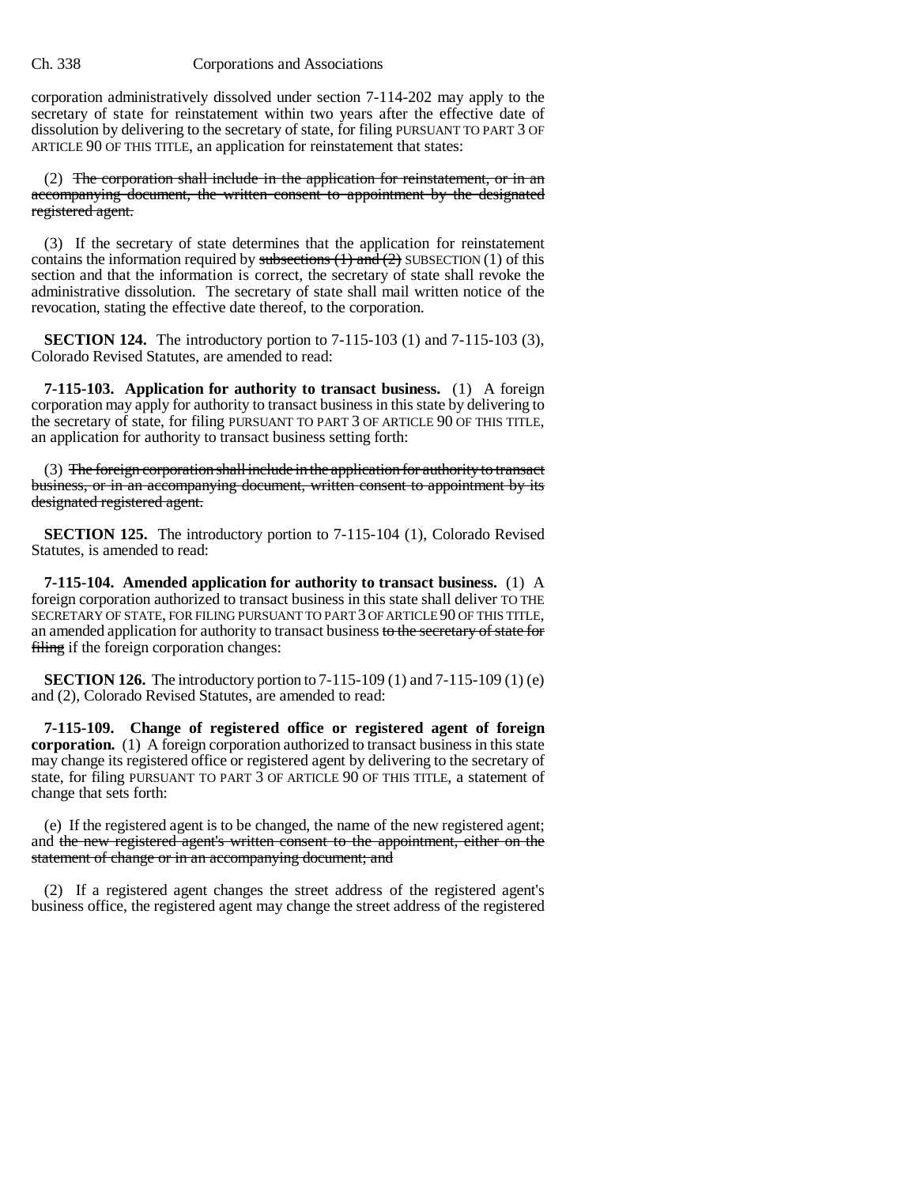corporation administratively dissolved under section 7-114-202 may apply to the secretary of state for reinstatement within two years after the effective date of dissolution by delivering to the secretary of state, for filing PURSUANT TO PART 3 OF ARTICLE 90 OF THIS TITLE, an application for reinstatement that states:

(2) The corporation shall include in the application for reinstatement, or in an accompanying document, the written consent to appointment by the designated registered agent.

(3) If the secretary of state determines that the application for reinstatement contains the information required by subsections  $(1)$  and  $(2)$  SUBSECTION  $(1)$  of this section and that the information is correct, the secretary of state shall revoke the administrative dissolution. The secretary of state shall mail written notice of the revocation, stating the effective date thereof, to the corporation.

**SECTION 124.** The introductory portion to 7-115-103 (1) and 7-115-103 (3), Colorado Revised Statutes, are amended to read:

**7-115-103. Application for authority to transact business.** (1) A foreign corporation may apply for authority to transact business in this state by delivering to the secretary of state, for filing PURSUANT TO PART 3 OF ARTICLE 90 OF THIS TITLE, an application for authority to transact business setting forth:

(3) The foreign corporation shall include in the application for authority to transact business, or in an accompanying document, written consent to appointment by its designated registered agent.

**SECTION 125.** The introductory portion to 7-115-104 (1), Colorado Revised Statutes, is amended to read:

**7-115-104. Amended application for authority to transact business.** (1) A foreign corporation authorized to transact business in this state shall deliver TO THE SECRETARY OF STATE, FOR FILING PURSUANT TO PART 3 OF ARTICLE 90 OF THIS TITLE, an amended application for authority to transact business to the secretary of state for filing if the foreign corporation changes:

**SECTION 126.** The introductory portion to 7-115-109 (1) and 7-115-109 (1) (e) and (2), Colorado Revised Statutes, are amended to read:

**7-115-109. Change of registered office or registered agent of foreign corporation.** (1) A foreign corporation authorized to transact business in this state may change its registered office or registered agent by delivering to the secretary of state, for filing PURSUANT TO PART 3 OF ARTICLE 90 OF THIS TITLE, a statement of change that sets forth:

(e) If the registered agent is to be changed, the name of the new registered agent; and the new registered agent's written consent to the appointment, either on the statement of change or in an accompanying document; and

(2) If a registered agent changes the street address of the registered agent's business office, the registered agent may change the street address of the registered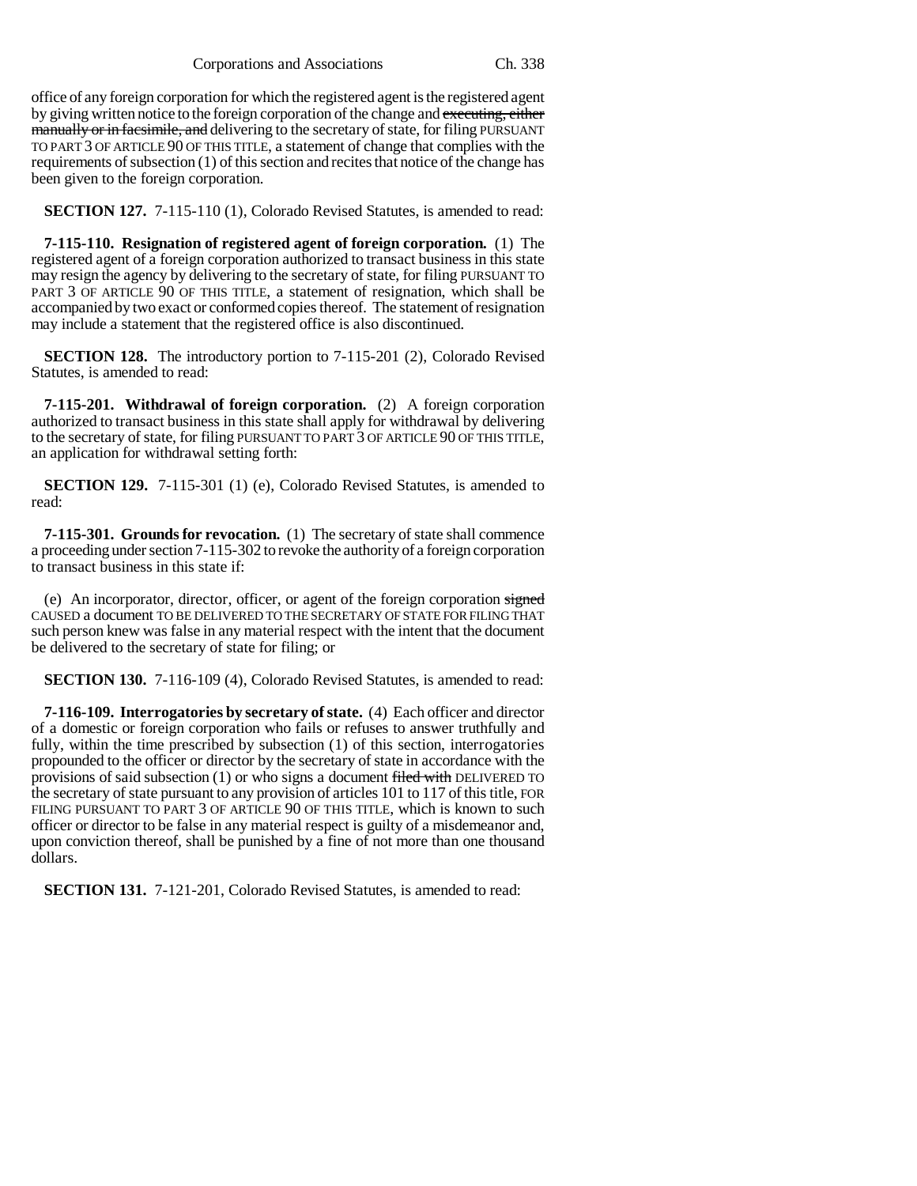office of any foreign corporation for which the registered agent is the registered agent by giving written notice to the foreign corporation of the change and executing, either manually or in facsimile, and delivering to the secretary of state, for filing PURSUANT TO PART 3 OF ARTICLE 90 OF THIS TITLE, a statement of change that complies with the requirements of subsection (1) of this section and recites that notice of the change has been given to the foreign corporation.

**SECTION 127.** 7-115-110 (1), Colorado Revised Statutes, is amended to read:

**7-115-110. Resignation of registered agent of foreign corporation.** (1) The registered agent of a foreign corporation authorized to transact business in this state may resign the agency by delivering to the secretary of state, for filing PURSUANT TO PART 3 OF ARTICLE 90 OF THIS TITLE, a statement of resignation, which shall be accompanied by two exact or conformed copies thereof. The statement of resignation may include a statement that the registered office is also discontinued.

**SECTION 128.** The introductory portion to 7-115-201 (2), Colorado Revised Statutes, is amended to read:

**7-115-201. Withdrawal of foreign corporation.** (2) A foreign corporation authorized to transact business in this state shall apply for withdrawal by delivering to the secretary of state, for filing PURSUANT TO PART 3 OF ARTICLE 90 OF THIS TITLE, an application for withdrawal setting forth:

**SECTION 129.** 7-115-301 (1) (e), Colorado Revised Statutes, is amended to read:

**7-115-301. Grounds for revocation.** (1) The secretary of state shall commence a proceeding under section 7-115-302 to revoke the authority of a foreign corporation to transact business in this state if:

(e) An incorporator, director, officer, or agent of the foreign corporation signed CAUSED a document TO BE DELIVERED TO THE SECRETARY OF STATE FOR FILING THAT such person knew was false in any material respect with the intent that the document be delivered to the secretary of state for filing; or

**SECTION 130.** 7-116-109 (4), Colorado Revised Statutes, is amended to read:

**7-116-109. Interrogatories by secretary of state.** (4) Each officer and director of a domestic or foreign corporation who fails or refuses to answer truthfully and fully, within the time prescribed by subsection (1) of this section, interrogatories propounded to the officer or director by the secretary of state in accordance with the provisions of said subsection (1) or who signs a document filed with DELIVERED TO the secretary of state pursuant to any provision of articles 101 to 117 of this title, FOR FILING PURSUANT TO PART 3 OF ARTICLE 90 OF THIS TITLE, which is known to such officer or director to be false in any material respect is guilty of a misdemeanor and, upon conviction thereof, shall be punished by a fine of not more than one thousand dollars.

**SECTION 131.** 7-121-201, Colorado Revised Statutes, is amended to read: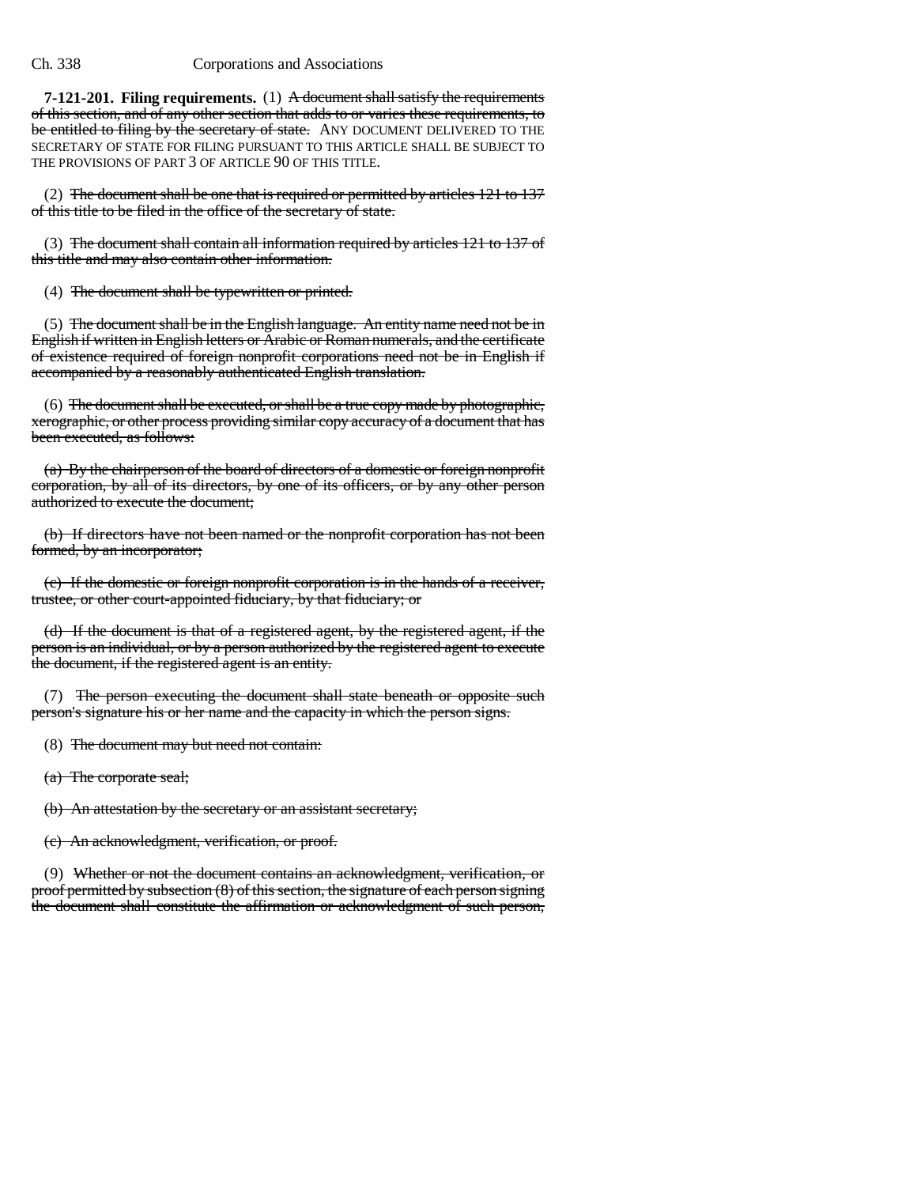**7-121-201. Filing requirements.** (1) A document shall satisfy the requirements of this section, and of any other section that adds to or varies these requirements, to be entitled to filing by the secretary of state. ANY DOCUMENT DELIVERED TO THE SECRETARY OF STATE FOR FILING PURSUANT TO THIS ARTICLE SHALL BE SUBJECT TO THE PROVISIONS OF PART 3 OF ARTICLE 90 OF THIS TITLE.

(2) The document shall be one that is required or permitted by articles 121 to 137 of this title to be filed in the office of the secretary of state.

(3) The document shall contain all information required by articles 121 to 137 of this title and may also contain other information.

(4) The document shall be typewritten or printed.

(5) The document shall be in the English language. An entity name need not be in English if written in English letters or Arabic or Roman numerals, and the certificate of existence required of foreign nonprofit corporations need not be in English if accompanied by a reasonably authenticated English translation.

(6) The document shall be executed, or shall be a true copy made by photographic, xerographic, or other process providing similar copy accuracy of a document that has been executed, as follows:

(a) By the chairperson of the board of directors of a domestic or foreign nonprofit corporation, by all of its directors, by one of its officers, or by any other person authorized to execute the document;

(b) If directors have not been named or the nonprofit corporation has not been formed, by an incorporator;

(c) If the domestic or foreign nonprofit corporation is in the hands of a receiver, trustee, or other court-appointed fiduciary, by that fiduciary; or

(d) If the document is that of a registered agent, by the registered agent, if the person is an individual, or by a person authorized by the registered agent to execute the document, if the registered agent is an entity.

(7) The person executing the document shall state beneath or opposite such person's signature his or her name and the capacity in which the person signs.

(8) The document may but need not contain:

(a) The corporate seal;

(b) An attestation by the secretary or an assistant secretary;

(c) An acknowledgment, verification, or proof.

(9) Whether or not the document contains an acknowledgment, verification, or proof permitted by subsection (8) of this section, the signature of each person signing the document shall constitute the affirmation or acknowledgment of such person,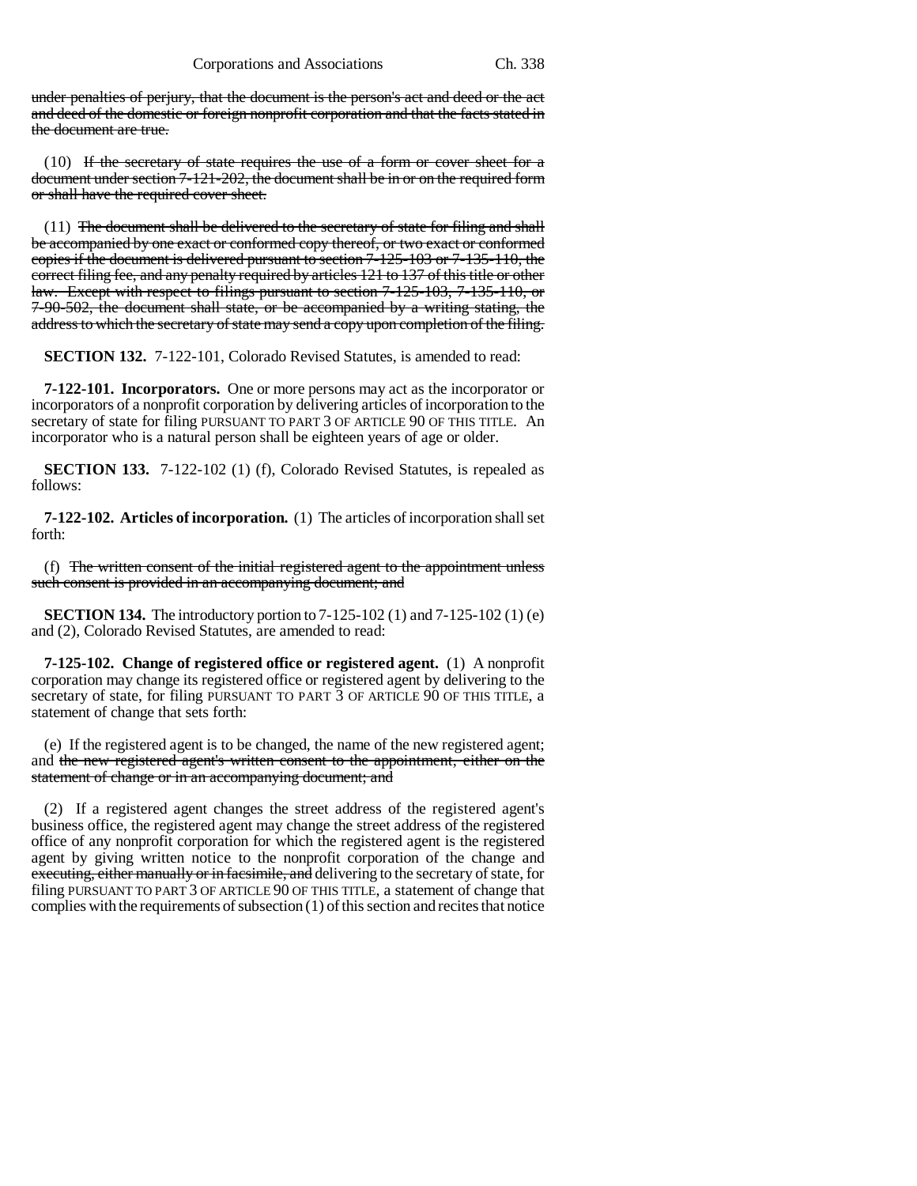under penalties of perjury, that the document is the person's act and deed or the act and deed of the domestic or foreign nonprofit corporation and that the facts stated in the document are true.

(10) If the secretary of state requires the use of a form or cover sheet for a document under section 7-121-202, the document shall be in or on the required form or shall have the required cover sheet.

 $(11)$  The document shall be delivered to the secretary of state for filing and shall be accompanied by one exact or conformed copy thereof, or two exact or conformed copies if the document is delivered pursuant to section 7-125-103 or 7-135-110, the correct filing fee, and any penalty required by articles 121 to 137 of this title or other law. Except with respect to filings pursuant to section 7-125-103, 7-135-110, or 7-90-502, the document shall state, or be accompanied by a writing stating, the address to which the secretary of state may send a copy upon completion of the filing.

**SECTION 132.** 7-122-101, Colorado Revised Statutes, is amended to read:

**7-122-101. Incorporators.** One or more persons may act as the incorporator or incorporators of a nonprofit corporation by delivering articles of incorporation to the secretary of state for filing PURSUANT TO PART 3 OF ARTICLE 90 OF THIS TITLE. An incorporator who is a natural person shall be eighteen years of age or older.

**SECTION 133.** 7-122-102 (1) (f), Colorado Revised Statutes, is repealed as follows:

**7-122-102. Articles of incorporation.** (1) The articles of incorporation shall set forth:

(f) The written consent of the initial registered agent to the appointment unless such consent is provided in an accompanying document; and

**SECTION 134.** The introductory portion to 7-125-102 (1) and 7-125-102 (1) (e) and (2), Colorado Revised Statutes, are amended to read:

**7-125-102. Change of registered office or registered agent.** (1) A nonprofit corporation may change its registered office or registered agent by delivering to the secretary of state, for filing PURSUANT TO PART 3 OF ARTICLE 90 OF THIS TITLE, a statement of change that sets forth:

(e) If the registered agent is to be changed, the name of the new registered agent; and the new registered agent's written consent to the appointment, either on the statement of change or in an accompanying document; and

(2) If a registered agent changes the street address of the registered agent's business office, the registered agent may change the street address of the registered office of any nonprofit corporation for which the registered agent is the registered agent by giving written notice to the nonprofit corporation of the change and executing, either manually or in facsimile, and delivering to the secretary of state, for filing PURSUANT TO PART 3 OF ARTICLE 90 OF THIS TITLE, a statement of change that complies with the requirements of subsection (1) of this section and recites that notice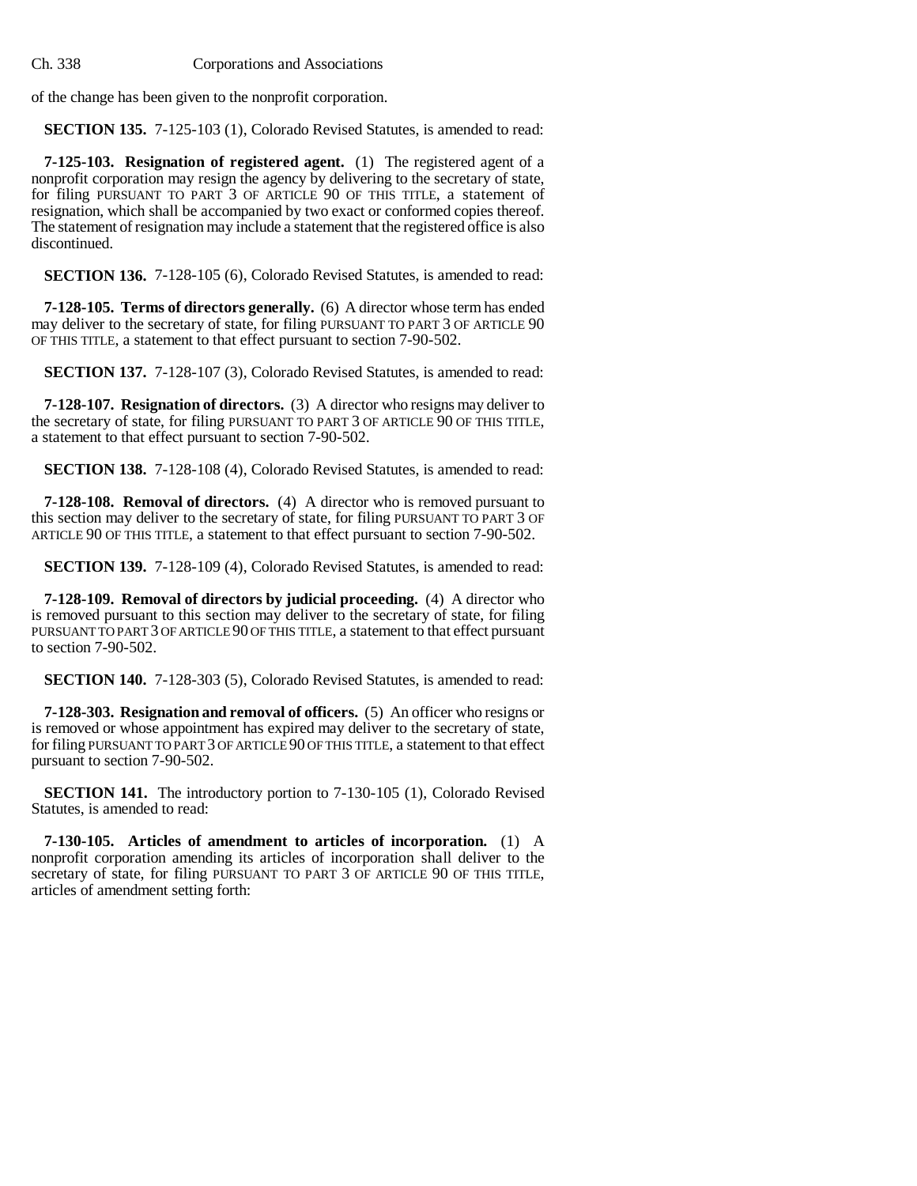of the change has been given to the nonprofit corporation.

**SECTION 135.** 7-125-103 (1), Colorado Revised Statutes, is amended to read:

**7-125-103. Resignation of registered agent.** (1) The registered agent of a nonprofit corporation may resign the agency by delivering to the secretary of state, for filing PURSUANT TO PART 3 OF ARTICLE 90 OF THIS TITLE, a statement of resignation, which shall be accompanied by two exact or conformed copies thereof. The statement of resignation may include a statement that the registered office is also discontinued.

**SECTION 136.** 7-128-105 (6), Colorado Revised Statutes, is amended to read:

**7-128-105. Terms of directors generally.** (6) A director whose term has ended may deliver to the secretary of state, for filing PURSUANT TO PART 3 OF ARTICLE 90 OF THIS TITLE, a statement to that effect pursuant to section 7-90-502.

**SECTION 137.** 7-128-107 (3), Colorado Revised Statutes, is amended to read:

**7-128-107. Resignation of directors.** (3) A director who resigns may deliver to the secretary of state, for filing PURSUANT TO PART 3 OF ARTICLE 90 OF THIS TITLE, a statement to that effect pursuant to section 7-90-502.

**SECTION 138.** 7-128-108 (4), Colorado Revised Statutes, is amended to read:

**7-128-108. Removal of directors.** (4) A director who is removed pursuant to this section may deliver to the secretary of state, for filing PURSUANT TO PART 3 OF ARTICLE 90 OF THIS TITLE, a statement to that effect pursuant to section 7-90-502.

**SECTION 139.** 7-128-109 (4), Colorado Revised Statutes, is amended to read:

**7-128-109. Removal of directors by judicial proceeding.** (4) A director who is removed pursuant to this section may deliver to the secretary of state, for filing PURSUANT TO PART 3 OF ARTICLE 90 OF THIS TITLE, a statement to that effect pursuant to section 7-90-502.

**SECTION 140.** 7-128-303 (5), Colorado Revised Statutes, is amended to read:

**7-128-303. Resignation and removal of officers.** (5) An officer who resigns or is removed or whose appointment has expired may deliver to the secretary of state, for filing PURSUANT TO PART 3 OF ARTICLE 90 OF THIS TITLE, a statement to that effect pursuant to section 7-90-502.

**SECTION 141.** The introductory portion to 7-130-105 (1), Colorado Revised Statutes, is amended to read:

**7-130-105. Articles of amendment to articles of incorporation.** (1) A nonprofit corporation amending its articles of incorporation shall deliver to the secretary of state, for filing PURSUANT TO PART 3 OF ARTICLE 90 OF THIS TITLE, articles of amendment setting forth: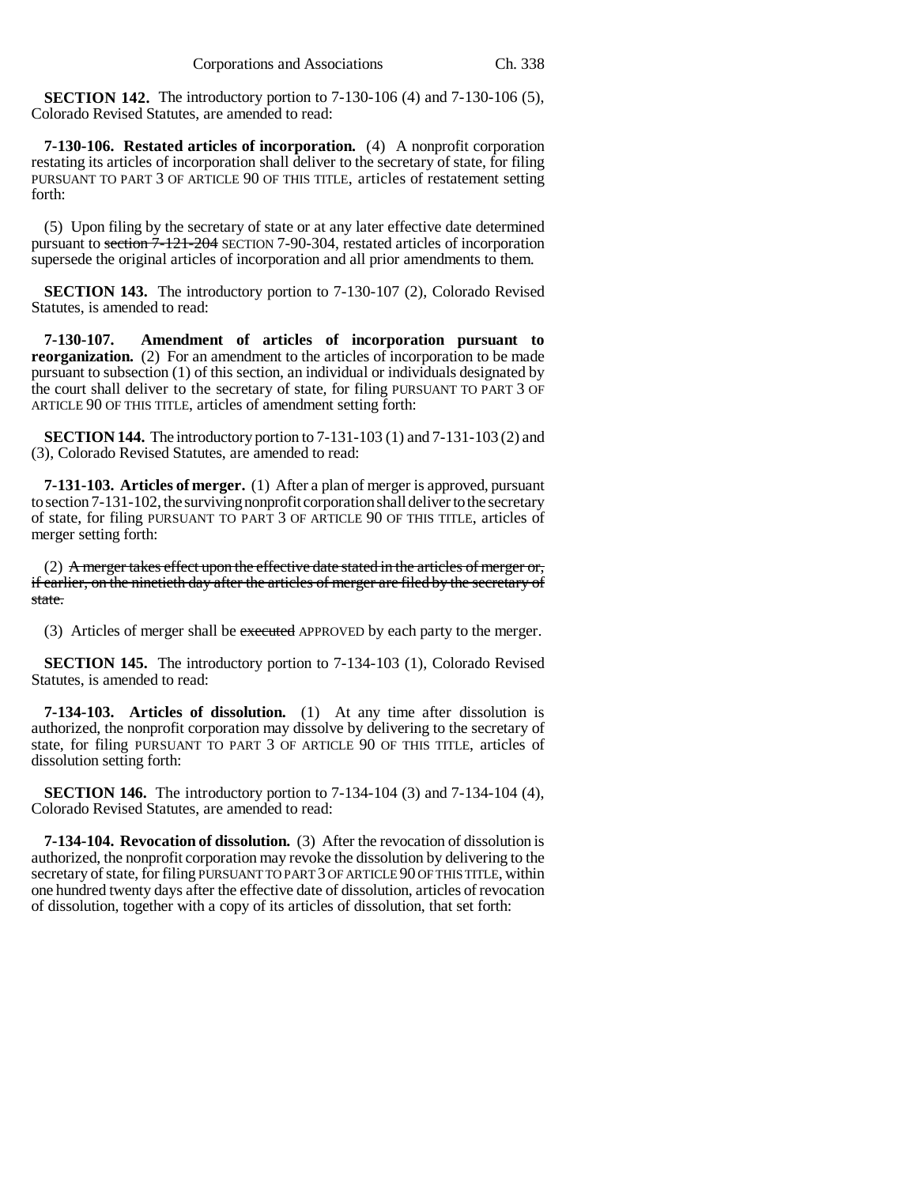**SECTION 142.** The introductory portion to 7-130-106 (4) and 7-130-106 (5), Colorado Revised Statutes, are amended to read:

**7-130-106. Restated articles of incorporation.** (4) A nonprofit corporation restating its articles of incorporation shall deliver to the secretary of state, for filing PURSUANT TO PART 3 OF ARTICLE 90 OF THIS TITLE, articles of restatement setting forth:

(5) Upon filing by the secretary of state or at any later effective date determined pursuant to section 7-121-204 SECTION 7-90-304, restated articles of incorporation supersede the original articles of incorporation and all prior amendments to them.

**SECTION 143.** The introductory portion to 7-130-107 (2), Colorado Revised Statutes, is amended to read:

**7-130-107. Amendment of articles of incorporation pursuant to reorganization.** (2) For an amendment to the articles of incorporation to be made pursuant to subsection (1) of this section, an individual or individuals designated by the court shall deliver to the secretary of state, for filing PURSUANT TO PART 3 OF ARTICLE 90 OF THIS TITLE, articles of amendment setting forth:

**SECTION 144.** The introductory portion to 7-131-103 (1) and 7-131-103 (2) and (3), Colorado Revised Statutes, are amended to read:

**7-131-103. Articles of merger.** (1) After a plan of merger is approved, pursuant to section 7-131-102, the surviving nonprofit corporation shall deliver to the secretary of state, for filing PURSUANT TO PART 3 OF ARTICLE 90 OF THIS TITLE, articles of merger setting forth:

(2) A merger takes effect upon the effective date stated in the articles of merger or, if earlier, on the ninetieth day after the articles of merger are filed by the secretary of state.

(3) Articles of merger shall be executed APPROVED by each party to the merger.

**SECTION 145.** The introductory portion to 7-134-103 (1), Colorado Revised Statutes, is amended to read:

**7-134-103. Articles of dissolution.** (1) At any time after dissolution is authorized, the nonprofit corporation may dissolve by delivering to the secretary of state, for filing PURSUANT TO PART 3 OF ARTICLE 90 OF THIS TITLE, articles of dissolution setting forth:

**SECTION 146.** The introductory portion to 7-134-104 (3) and 7-134-104 (4), Colorado Revised Statutes, are amended to read:

**7-134-104. Revocation of dissolution.** (3) After the revocation of dissolution is authorized, the nonprofit corporation may revoke the dissolution by delivering to the secretary of state, for filing PURSUANT TO PART 3 OF ARTICLE 90 OF THIS TITLE, within one hundred twenty days after the effective date of dissolution, articles of revocation of dissolution, together with a copy of its articles of dissolution, that set forth: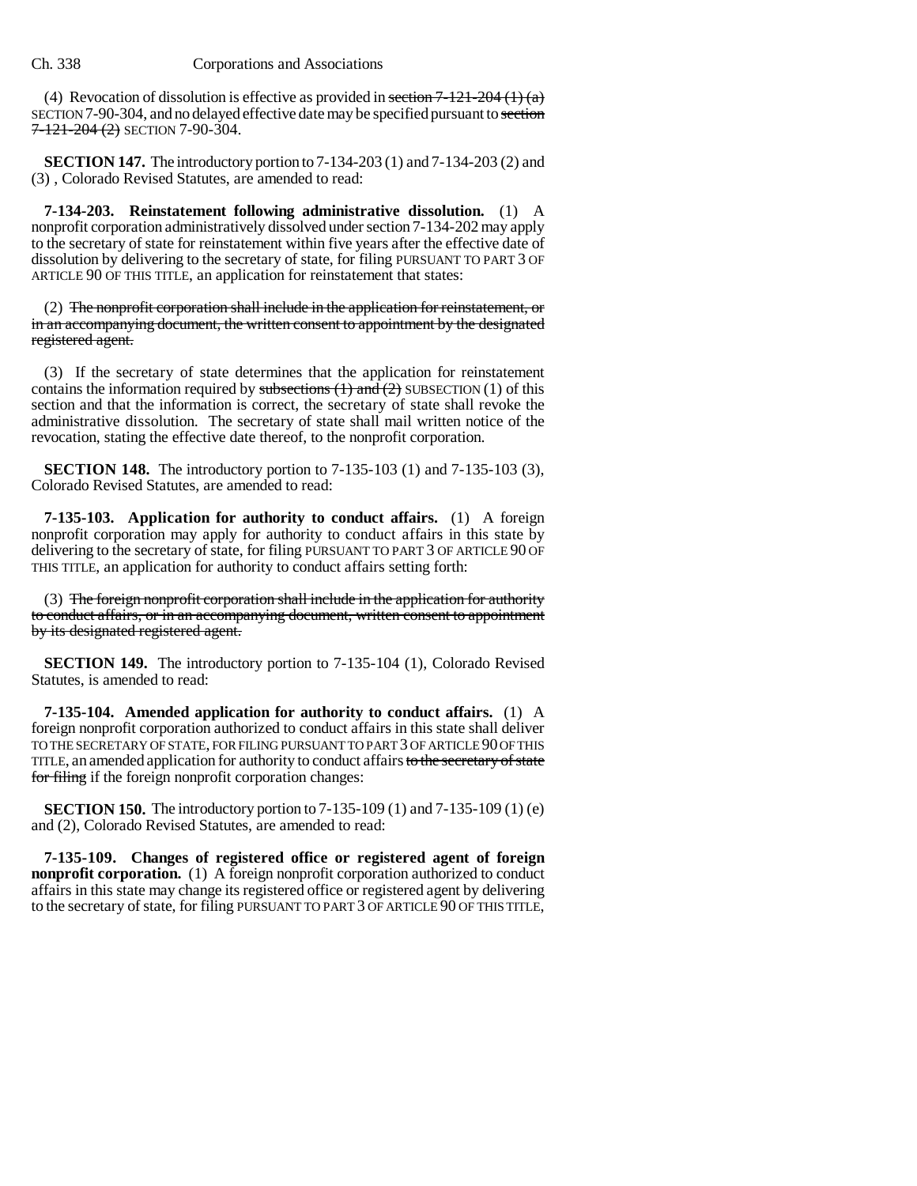(4) Revocation of dissolution is effective as provided in section  $7-121-204$  (1) (a) SECTION 7-90-304, and no delayed effective date may be specified pursuant to section  $7 - 121 - 204$  (2) SECTION 7-90-304.

**SECTION 147.** The introductory portion to 7-134-203 (1) and 7-134-203 (2) and (3) , Colorado Revised Statutes, are amended to read:

**7-134-203. Reinstatement following administrative dissolution.** (1) A nonprofit corporation administratively dissolved under section 7-134-202 may apply to the secretary of state for reinstatement within five years after the effective date of dissolution by delivering to the secretary of state, for filing PURSUANT TO PART 3 OF ARTICLE 90 OF THIS TITLE, an application for reinstatement that states:

(2) The nonprofit corporation shall include in the application for reinstatement, or in an accompanying document, the written consent to appointment by the designated registered agent.

(3) If the secretary of state determines that the application for reinstatement contains the information required by subsections  $(1)$  and  $(2)$  SUBSECTION  $(1)$  of this section and that the information is correct, the secretary of state shall revoke the administrative dissolution. The secretary of state shall mail written notice of the revocation, stating the effective date thereof, to the nonprofit corporation.

**SECTION 148.** The introductory portion to 7-135-103 (1) and 7-135-103 (3), Colorado Revised Statutes, are amended to read:

**7-135-103. Application for authority to conduct affairs.** (1) A foreign nonprofit corporation may apply for authority to conduct affairs in this state by delivering to the secretary of state, for filing PURSUANT TO PART 3 OF ARTICLE 90 OF THIS TITLE, an application for authority to conduct affairs setting forth:

(3) The foreign nonprofit corporation shall include in the application for authority to conduct affairs, or in an accompanying document, written consent to appointment by its designated registered agent.

**SECTION 149.** The introductory portion to 7-135-104 (1), Colorado Revised Statutes, is amended to read:

**7-135-104. Amended application for authority to conduct affairs.** (1) A foreign nonprofit corporation authorized to conduct affairs in this state shall deliver TO THE SECRETARY OF STATE, FOR FILING PURSUANT TO PART 3 OF ARTICLE 90 OF THIS TITLE, an amended application for authority to conduct affairs to the secretary of state for filing if the foreign nonprofit corporation changes:

**SECTION 150.** The introductory portion to 7-135-109 (1) and 7-135-109 (1) (e) and (2), Colorado Revised Statutes, are amended to read:

**7-135-109. Changes of registered office or registered agent of foreign nonprofit corporation.** (1) A foreign nonprofit corporation authorized to conduct affairs in this state may change its registered office or registered agent by delivering to the secretary of state, for filing PURSUANT TO PART 3 OF ARTICLE 90 OF THIS TITLE,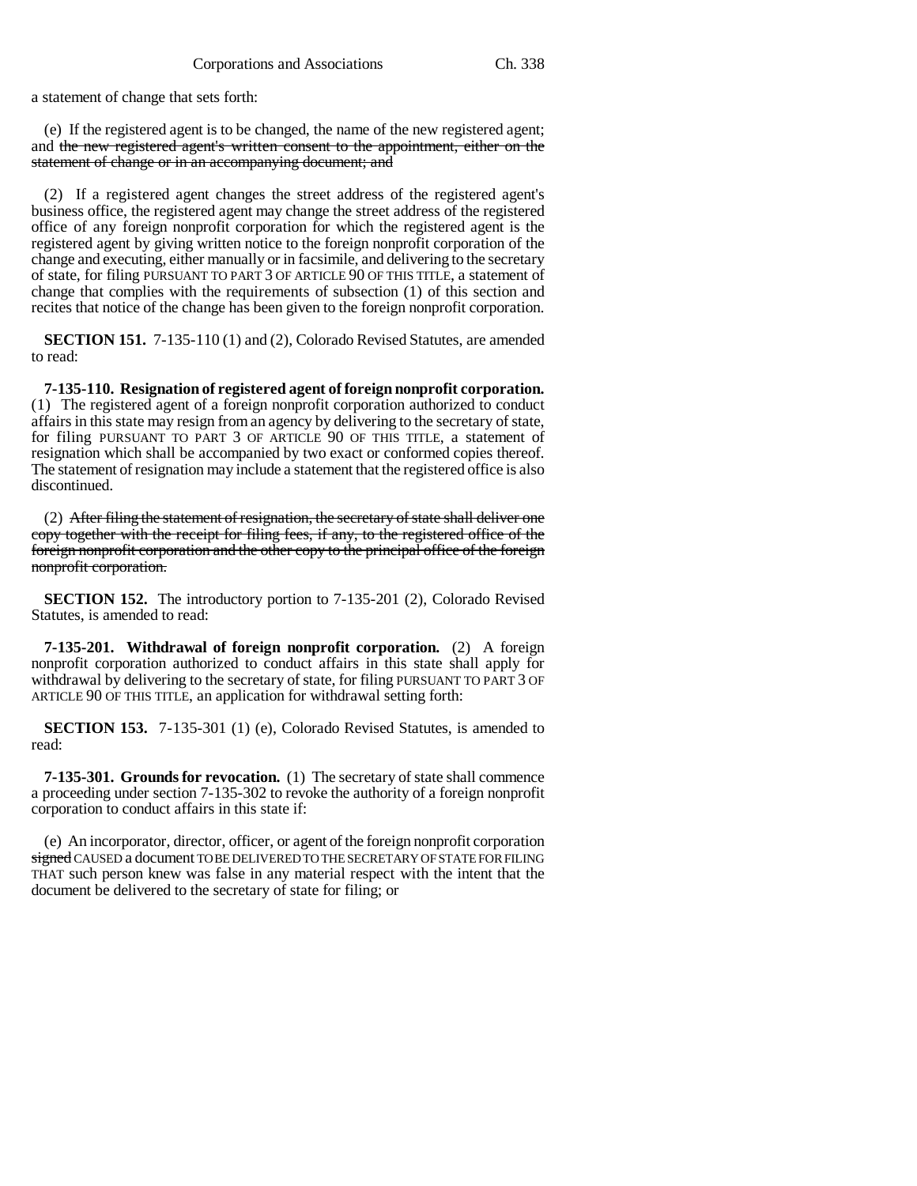a statement of change that sets forth:

(e) If the registered agent is to be changed, the name of the new registered agent; and the new registered agent's written consent to the appointment, either on the statement of change or in an accompanying document; and

(2) If a registered agent changes the street address of the registered agent's business office, the registered agent may change the street address of the registered office of any foreign nonprofit corporation for which the registered agent is the registered agent by giving written notice to the foreign nonprofit corporation of the change and executing, either manually or in facsimile, and delivering to the secretary of state, for filing PURSUANT TO PART 3 OF ARTICLE 90 OF THIS TITLE, a statement of change that complies with the requirements of subsection (1) of this section and recites that notice of the change has been given to the foreign nonprofit corporation.

**SECTION 151.** 7-135-110 (1) and (2), Colorado Revised Statutes, are amended to read:

**7-135-110. Resignation of registered agent of foreign nonprofit corporation.** (1) The registered agent of a foreign nonprofit corporation authorized to conduct affairs in this state may resign from an agency by delivering to the secretary of state, for filing PURSUANT TO PART 3 OF ARTICLE 90 OF THIS TITLE, a statement of resignation which shall be accompanied by two exact or conformed copies thereof. The statement of resignation may include a statement that the registered office is also discontinued.

(2) After filing the statement of resignation, the secretary of state shall deliver one copy together with the receipt for filing fees, if any, to the registered office of the foreign nonprofit corporation and the other copy to the principal office of the foreign nonprofit corporation.

**SECTION 152.** The introductory portion to 7-135-201 (2), Colorado Revised Statutes, is amended to read:

**7-135-201. Withdrawal of foreign nonprofit corporation.** (2) A foreign nonprofit corporation authorized to conduct affairs in this state shall apply for withdrawal by delivering to the secretary of state, for filing PURSUANT TO PART 3 OF ARTICLE 90 OF THIS TITLE, an application for withdrawal setting forth:

**SECTION 153.** 7-135-301 (1) (e), Colorado Revised Statutes, is amended to read:

**7-135-301. Grounds for revocation.** (1) The secretary of state shall commence a proceeding under section 7-135-302 to revoke the authority of a foreign nonprofit corporation to conduct affairs in this state if:

(e) An incorporator, director, officer, or agent of the foreign nonprofit corporation signed CAUSED a document TO BE DELIVERED TO THE SECRETARY OF STATE FOR FILING THAT such person knew was false in any material respect with the intent that the document be delivered to the secretary of state for filing; or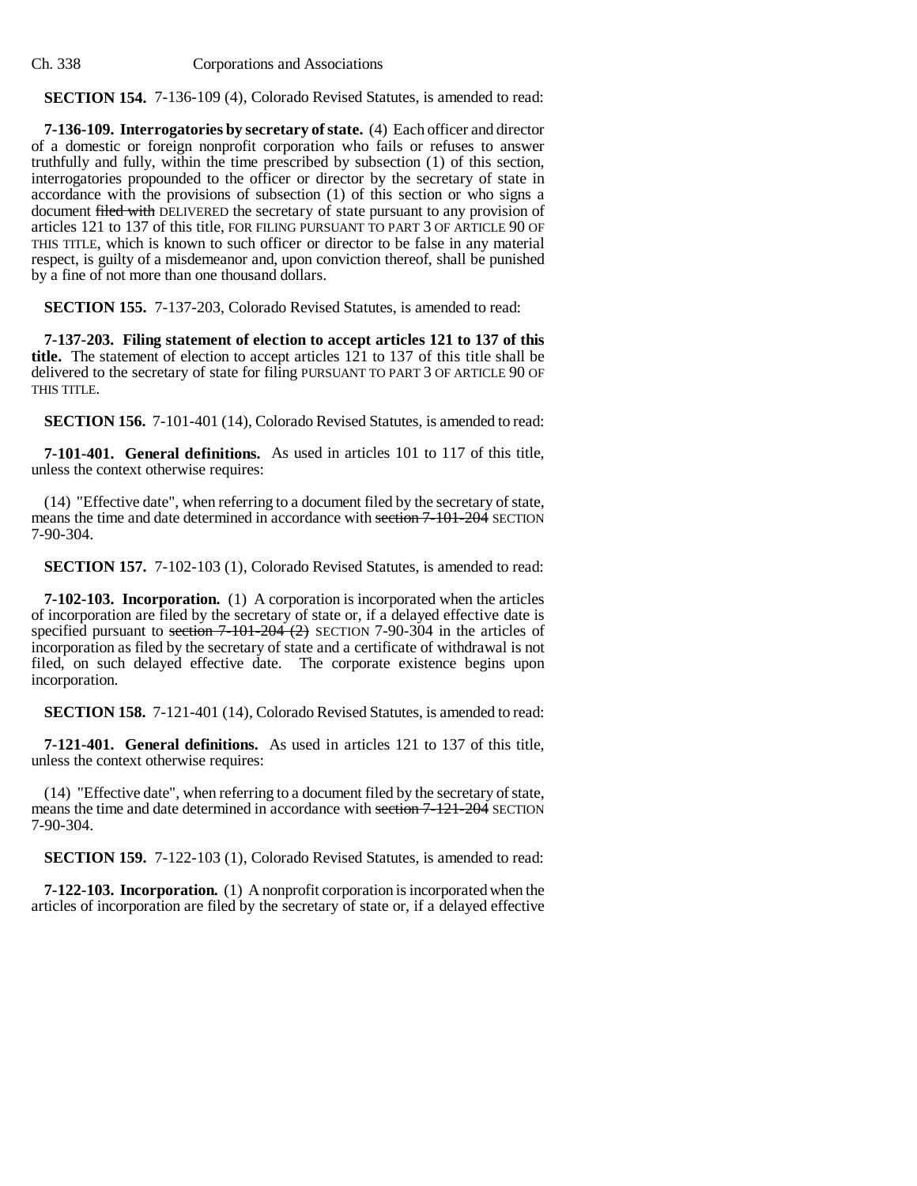**SECTION 154.** 7-136-109 (4), Colorado Revised Statutes, is amended to read:

**7-136-109. Interrogatories by secretary of state.** (4) Each officer and director of a domestic or foreign nonprofit corporation who fails or refuses to answer truthfully and fully, within the time prescribed by subsection (1) of this section, interrogatories propounded to the officer or director by the secretary of state in accordance with the provisions of subsection (1) of this section or who signs a document filed with DELIVERED the secretary of state pursuant to any provision of articles 121 to 137 of this title, FOR FILING PURSUANT TO PART 3 OF ARTICLE 90 OF THIS TITLE, which is known to such officer or director to be false in any material respect, is guilty of a misdemeanor and, upon conviction thereof, shall be punished by a fine of not more than one thousand dollars.

**SECTION 155.** 7-137-203, Colorado Revised Statutes, is amended to read:

**7-137-203. Filing statement of election to accept articles 121 to 137 of this title.** The statement of election to accept articles 121 to 137 of this title shall be delivered to the secretary of state for filing PURSUANT TO PART 3 OF ARTICLE 90 OF THIS TITLE.

**SECTION 156.** 7-101-401 (14), Colorado Revised Statutes, is amended to read:

**7-101-401. General definitions.** As used in articles 101 to 117 of this title, unless the context otherwise requires:

(14) "Effective date", when referring to a document filed by the secretary of state, means the time and date determined in accordance with section  $7-101-204$  SECTION 7-90-304.

**SECTION 157.** 7-102-103 (1), Colorado Revised Statutes, is amended to read:

**7-102-103. Incorporation.** (1) A corporation is incorporated when the articles of incorporation are filed by the secretary of state or, if a delayed effective date is specified pursuant to section  $7-101-204$  (2) SECTION 7-90-304 in the articles of incorporation as filed by the secretary of state and a certificate of withdrawal is not filed, on such delayed effective date. The corporate existence begins upon incorporation.

**SECTION 158.** 7-121-401 (14), Colorado Revised Statutes, is amended to read:

**7-121-401. General definitions.** As used in articles 121 to 137 of this title, unless the context otherwise requires:

(14) "Effective date", when referring to a document filed by the secretary of state, means the time and date determined in accordance with section 7-121-204 SECTION 7-90-304.

**SECTION 159.** 7-122-103 (1), Colorado Revised Statutes, is amended to read:

**7-122-103. Incorporation.** (1) A nonprofit corporation is incorporated when the articles of incorporation are filed by the secretary of state or, if a delayed effective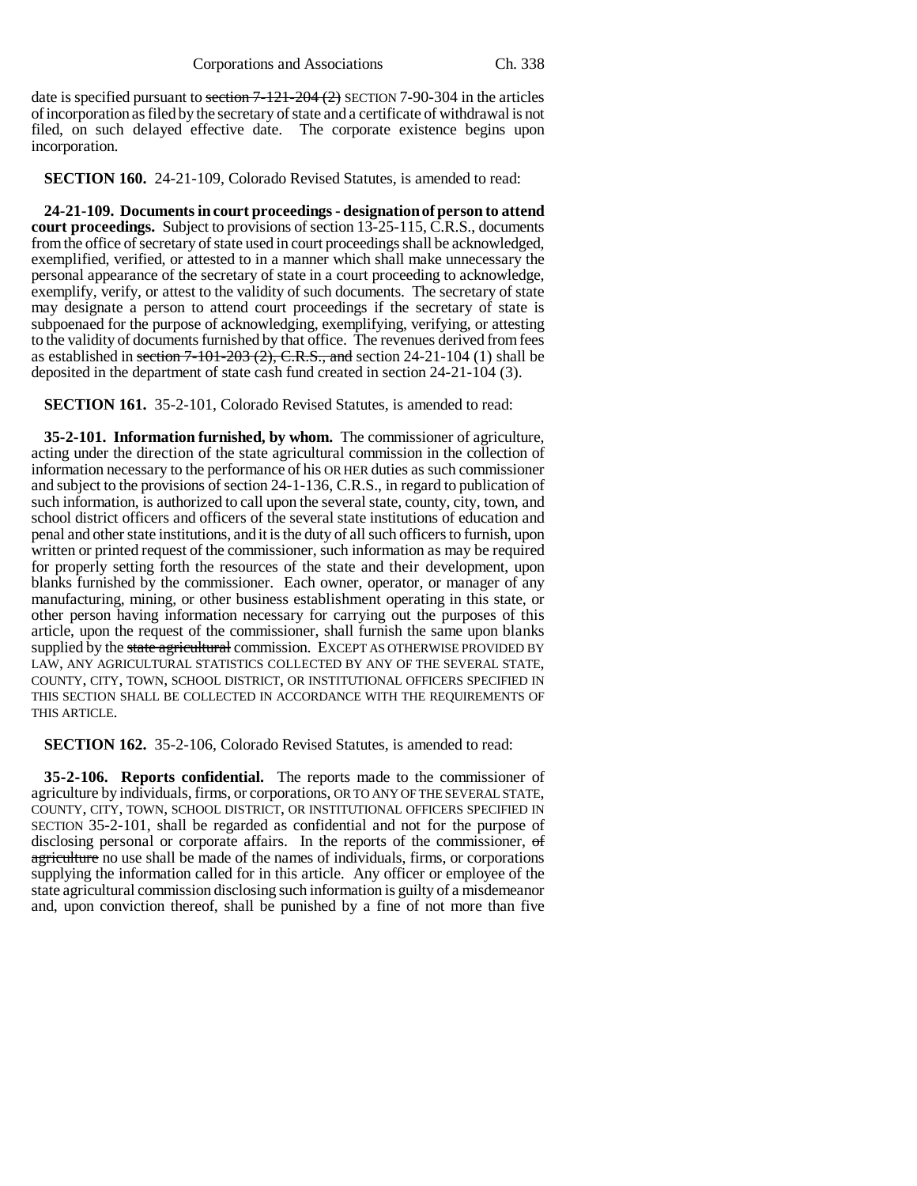date is specified pursuant to section 7-121-204 (2) SECTION 7-90-304 in the articles of incorporation as filed by the secretary of state and a certificate of withdrawal is not filed, on such delayed effective date. The corporate existence begins upon incorporation.

**SECTION 160.** 24-21-109, Colorado Revised Statutes, is amended to read:

**24-21-109. Documents in court proceedings - designation of person to attend court proceedings.** Subject to provisions of section 13-25-115, C.R.S., documents from the office of secretary of state used in court proceedings shall be acknowledged, exemplified, verified, or attested to in a manner which shall make unnecessary the personal appearance of the secretary of state in a court proceeding to acknowledge, exemplify, verify, or attest to the validity of such documents. The secretary of state may designate a person to attend court proceedings if the secretary of state is subpoenaed for the purpose of acknowledging, exemplifying, verifying, or attesting to the validity of documents furnished by that office. The revenues derived from fees as established in section  $7-101-203$  (2), C.R.S., and section 24-21-104 (1) shall be deposited in the department of state cash fund created in section 24-21-104 (3).

**SECTION 161.** 35-2-101, Colorado Revised Statutes, is amended to read:

**35-2-101. Information furnished, by whom.** The commissioner of agriculture, acting under the direction of the state agricultural commission in the collection of information necessary to the performance of his OR HER duties as such commissioner and subject to the provisions of section 24-1-136, C.R.S., in regard to publication of such information, is authorized to call upon the several state, county, city, town, and school district officers and officers of the several state institutions of education and penal and other state institutions, and it is the duty of all such officers to furnish, upon written or printed request of the commissioner, such information as may be required for properly setting forth the resources of the state and their development, upon blanks furnished by the commissioner. Each owner, operator, or manager of any manufacturing, mining, or other business establishment operating in this state, or other person having information necessary for carrying out the purposes of this article, upon the request of the commissioner, shall furnish the same upon blanks supplied by the state agricultural commission. EXCEPT AS OTHERWISE PROVIDED BY LAW, ANY AGRICULTURAL STATISTICS COLLECTED BY ANY OF THE SEVERAL STATE, COUNTY, CITY, TOWN, SCHOOL DISTRICT, OR INSTITUTIONAL OFFICERS SPECIFIED IN THIS SECTION SHALL BE COLLECTED IN ACCORDANCE WITH THE REQUIREMENTS OF THIS ARTICLE.

**SECTION 162.** 35-2-106, Colorado Revised Statutes, is amended to read:

**35-2-106. Reports confidential.** The reports made to the commissioner of agriculture by individuals, firms, or corporations, OR TO ANY OF THE SEVERAL STATE, COUNTY, CITY, TOWN, SCHOOL DISTRICT, OR INSTITUTIONAL OFFICERS SPECIFIED IN SECTION 35-2-101, shall be regarded as confidential and not for the purpose of disclosing personal or corporate affairs. In the reports of the commissioner, of agriculture no use shall be made of the names of individuals, firms, or corporations supplying the information called for in this article. Any officer or employee of the state agricultural commission disclosing such information is guilty of a misdemeanor and, upon conviction thereof, shall be punished by a fine of not more than five